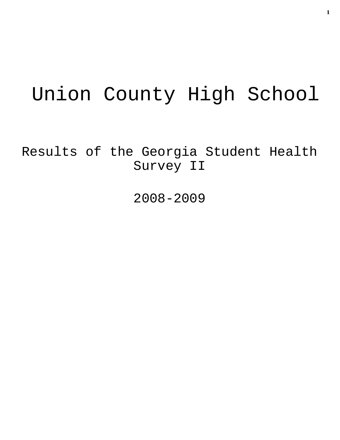# Union County High School

Results of the Georgia Student Health Survey II

2008-2009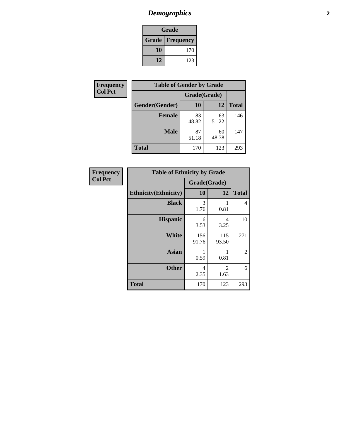# *Demographics* **2**

| Grade                    |     |  |  |  |
|--------------------------|-----|--|--|--|
| <b>Grade   Frequency</b> |     |  |  |  |
| 10                       | 170 |  |  |  |
| 12                       | 123 |  |  |  |

| <b>Frequency</b> | <b>Table of Gender by Grade</b> |              |             |              |  |  |
|------------------|---------------------------------|--------------|-------------|--------------|--|--|
| <b>Col Pct</b>   |                                 | Grade(Grade) |             |              |  |  |
|                  | Gender(Gender)                  | <b>10</b>    | 12          | <b>Total</b> |  |  |
|                  | <b>Female</b>                   | 83<br>48.82  | 63<br>51.22 | 146          |  |  |
|                  | <b>Male</b>                     | 87<br>51.18  | 60<br>48.78 | 147          |  |  |
|                  | <b>Total</b>                    | 170          | 123         | 293          |  |  |

| <b>Frequency</b><br>Col Pct |
|-----------------------------|
|                             |

| <b>Table of Ethnicity by Grade</b> |              |              |              |  |  |  |
|------------------------------------|--------------|--------------|--------------|--|--|--|
|                                    | Grade(Grade) |              |              |  |  |  |
| <b>Ethnicity</b> (Ethnicity)       | 10           | 12           | <b>Total</b> |  |  |  |
| <b>Black</b>                       | 3<br>1.76    | 0.81         | 4            |  |  |  |
| <b>Hispanic</b>                    | 6<br>3.53    | 4<br>3.25    | 10           |  |  |  |
| White                              | 156<br>91.76 | 115<br>93.50 | 271          |  |  |  |
| <b>Asian</b>                       | 1<br>0.59    | 0.81         | 2            |  |  |  |
| <b>Other</b>                       | 4<br>2.35    | 2<br>1.63    | 6            |  |  |  |
| <b>Total</b>                       | 170          | 123          | 293          |  |  |  |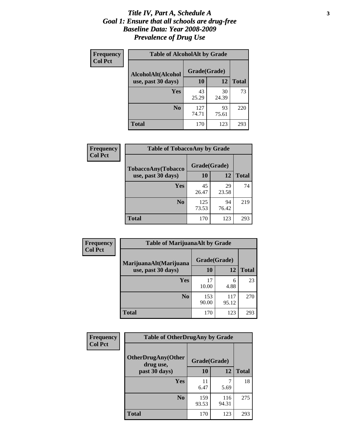### *Title IV, Part A, Schedule A* **3** *Goal 1: Ensure that all schools are drug-free Baseline Data: Year 2008-2009 Prevalence of Drug Use*

| Frequency<br><b>Col Pct</b> | <b>Table of AlcoholAlt by Grade</b> |              |             |              |  |  |
|-----------------------------|-------------------------------------|--------------|-------------|--------------|--|--|
|                             | AlcoholAlt(Alcohol                  | Grade(Grade) |             |              |  |  |
|                             | use, past 30 days)                  | 10           | 12          | <b>Total</b> |  |  |
|                             | <b>Yes</b>                          | 43<br>25.29  | 30<br>24.39 | 73           |  |  |
|                             | N <sub>0</sub>                      | 127<br>74.71 | 93<br>75.61 | 220          |  |  |
|                             | Total                               | 170          | 123         | 293          |  |  |

| Frequency      | <b>Table of TobaccoAny by Grade</b> |              |             |              |  |
|----------------|-------------------------------------|--------------|-------------|--------------|--|
| <b>Col Pct</b> | <b>TobaccoAny(Tobacco</b>           | Grade(Grade) |             |              |  |
|                | use, past 30 days)                  | <b>10</b>    | 12          | <b>Total</b> |  |
|                | Yes                                 | 45<br>26.47  | 29<br>23.58 | 74           |  |
|                | N <sub>0</sub>                      | 125<br>73.53 | 94<br>76.42 | 219          |  |
|                | Total                               | 170          | 123         | 293          |  |

| Frequency      | <b>Table of MarijuanaAlt by Grade</b> |              |              |              |  |  |
|----------------|---------------------------------------|--------------|--------------|--------------|--|--|
| <b>Col Pct</b> | MarijuanaAlt(Marijuana                | Grade(Grade) |              |              |  |  |
|                | use, past 30 days)                    | 10           | 12           | <b>Total</b> |  |  |
|                | Yes                                   | 17<br>10.00  | 6<br>4.88    | 23           |  |  |
|                | N <sub>0</sub>                        | 153<br>90.00 | 117<br>95.12 | 270          |  |  |
|                | <b>Total</b>                          | 170          | 123          | 293          |  |  |

| Frequency<br><b>Col Pct</b> | <b>Table of OtherDrugAny by Grade</b>                  |              |              |              |  |
|-----------------------------|--------------------------------------------------------|--------------|--------------|--------------|--|
|                             | <b>OtherDrugAny(Other</b><br>Grade(Grade)<br>drug use, |              |              |              |  |
|                             | past 30 days)                                          | 10           | 12           | <b>Total</b> |  |
|                             | Yes                                                    | 11<br>6.47   | 5.69         | 18           |  |
|                             | N <sub>0</sub>                                         | 159<br>93.53 | 116<br>94.31 | 275          |  |
|                             | <b>Total</b>                                           | 170          | 123          | 293          |  |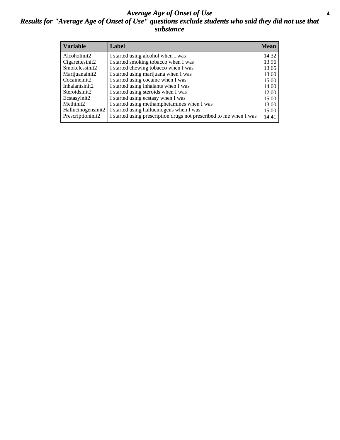### *Average Age of Onset of Use* **4** *Results for "Average Age of Onset of Use" questions exclude students who said they did not use that substance*

| <b>Variable</b>    | Label                                                              | <b>Mean</b> |
|--------------------|--------------------------------------------------------------------|-------------|
| Alcoholinit2       | I started using alcohol when I was                                 | 14.32       |
| Cigarettesinit2    | I started smoking tobacco when I was                               | 13.96       |
| Smokelessinit2     | I started chewing tobacco when I was                               | 13.65       |
| Marijuanainit2     | I started using marijuana when I was                               | 13.60       |
| Cocaineinit2       | I started using cocaine when I was                                 | 15.00       |
| Inhalantsinit2     | I started using inhalants when I was                               | 14.00       |
| Steroidsinit2      | I started using steroids when I was                                | 12.00       |
| Ecstasyinit2       | I started using ecstasy when I was                                 | 15.00       |
| Methinit2          | I started using methamphetamines when I was                        | 13.00       |
| Hallucinogensinit2 | I started using hallucinogens when I was                           | 15.00       |
| Prescriptioninit2  | I started using prescription drugs not prescribed to me when I was | 14.41       |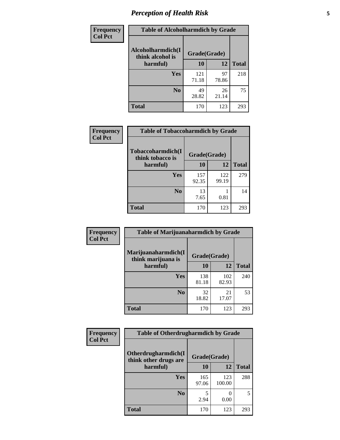# *Perception of Health Risk* **5**

| Frequency      | <b>Table of Alcoholharmdich by Grade</b> |              |             |              |  |
|----------------|------------------------------------------|--------------|-------------|--------------|--|
| <b>Col Pct</b> | Alcoholharmdich(I<br>think alcohol is    | Grade(Grade) |             |              |  |
|                | harmful)                                 | 10           | 12          | <b>Total</b> |  |
|                | Yes                                      | 121<br>71.18 | 97<br>78.86 | 218          |  |
|                | N <sub>0</sub>                           | 49<br>28.82  | 26<br>21.14 | 75           |  |
|                | <b>Total</b>                             | 170          | 123         | 293          |  |

| Frequency      | <b>Table of Tobaccoharmdich by Grade</b> |              |              |              |  |
|----------------|------------------------------------------|--------------|--------------|--------------|--|
| <b>Col Pct</b> | Tobaccoharmdich(I<br>think tobacco is    | Grade(Grade) |              |              |  |
|                | harmful)                                 | 10           | 12           | <b>Total</b> |  |
|                | Yes                                      | 157<br>92.35 | 122<br>99.19 | 279          |  |
|                | N <sub>0</sub>                           | 13<br>7.65   | 0.81         | 14           |  |
|                | <b>Total</b>                             | 170          | 123          | 293          |  |

| <b>Frequency</b> | <b>Table of Marijuanaharmdich by Grade</b> |              |              |              |  |
|------------------|--------------------------------------------|--------------|--------------|--------------|--|
| <b>Col Pct</b>   | Marijuanaharmdich(I<br>think marijuana is  | Grade(Grade) |              |              |  |
|                  | harmful)                                   | 10           | 12           | <b>Total</b> |  |
|                  | <b>Yes</b>                                 | 138<br>81.18 | 102<br>82.93 | 240          |  |
|                  | N <sub>0</sub>                             | 32<br>18.82  | 21<br>17.07  | 53           |  |
|                  | <b>Total</b>                               | 170          | 123          | 293          |  |

| Frequency      | <b>Table of Otherdrugharmdich by Grade</b>                   |              |               |              |  |  |  |  |
|----------------|--------------------------------------------------------------|--------------|---------------|--------------|--|--|--|--|
| <b>Col Pct</b> | Otherdrugharmdich(I<br>Grade(Grade)<br>think other drugs are |              |               |              |  |  |  |  |
|                | harmful)                                                     | 10           | 12            | <b>Total</b> |  |  |  |  |
|                | Yes                                                          | 165<br>97.06 | 123<br>100.00 | 288          |  |  |  |  |
|                | N <sub>0</sub>                                               | 2.94         | 0.00          | 5            |  |  |  |  |
|                | <b>Total</b>                                                 | 170          | 123           | 293          |  |  |  |  |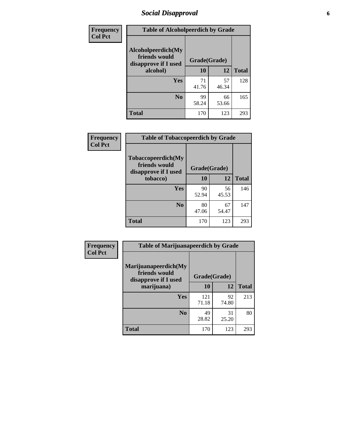# *Social Disapproval* **6**

| Frequency      | <b>Table of Alcoholpeerdich by Grade</b>                    |              |             |              |
|----------------|-------------------------------------------------------------|--------------|-------------|--------------|
| <b>Col Pct</b> | Alcoholpeerdich(My<br>friends would<br>disapprove if I used | Grade(Grade) |             |              |
|                | alcohol)                                                    |              | 12          | <b>Total</b> |
|                | <b>Yes</b>                                                  | 71<br>41.76  | 57<br>46.34 | 128          |
|                | N <sub>0</sub>                                              | 99<br>58.24  | 66<br>53.66 | 165          |
|                | <b>Total</b>                                                | 170          | 123         | 293          |

| <b>Frequency</b> |
|------------------|
| <b>Col Pct</b>   |

| <b>Table of Tobaccopeerdich by Grade</b>                            |             |              |              |  |  |  |  |
|---------------------------------------------------------------------|-------------|--------------|--------------|--|--|--|--|
| <b>Tobaccopeerdich</b> (My<br>friends would<br>disapprove if I used |             | Grade(Grade) |              |  |  |  |  |
| tobacco)                                                            | 10          | 12           | <b>Total</b> |  |  |  |  |
| Yes                                                                 | 90<br>52.94 | 56<br>45.53  | 146          |  |  |  |  |
| N <sub>0</sub>                                                      | 80<br>47.06 | 67<br>54.47  | 147          |  |  |  |  |
| <b>Total</b>                                                        | 170         | 123          | 293          |  |  |  |  |

| <b>Frequency</b> | <b>Table of Marijuanapeerdich by Grade</b>                    |              |             |              |  |  |  |  |
|------------------|---------------------------------------------------------------|--------------|-------------|--------------|--|--|--|--|
| <b>Col Pct</b>   | Marijuanapeerdich(My<br>friends would<br>disapprove if I used | Grade(Grade) |             |              |  |  |  |  |
|                  | marijuana)                                                    | 10           | 12          | <b>Total</b> |  |  |  |  |
|                  | <b>Yes</b>                                                    | 121<br>71.18 | 92<br>74.80 | 213          |  |  |  |  |
|                  | N <sub>0</sub>                                                | 49<br>28.82  | 31<br>25.20 | 80           |  |  |  |  |
|                  | <b>Total</b>                                                  | 170          | 123         | 293          |  |  |  |  |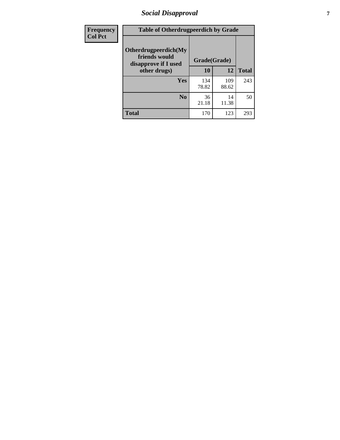# *Social Disapproval* **7**

| Frequency      | <b>Table of Otherdrugpeerdich by Grade</b>                    |              |              |              |  |  |  |  |
|----------------|---------------------------------------------------------------|--------------|--------------|--------------|--|--|--|--|
| <b>Col Pct</b> | Otherdrugpeerdich(My<br>friends would<br>disapprove if I used | Grade(Grade) |              |              |  |  |  |  |
|                | other drugs)                                                  | 10           | 12           | <b>Total</b> |  |  |  |  |
|                | Yes                                                           | 134<br>78.82 | 109<br>88.62 | 243          |  |  |  |  |
|                | N <sub>0</sub>                                                | 36<br>21.18  | 14<br>11.38  | 50           |  |  |  |  |
|                | <b>Total</b>                                                  | 170          | 123          | 293          |  |  |  |  |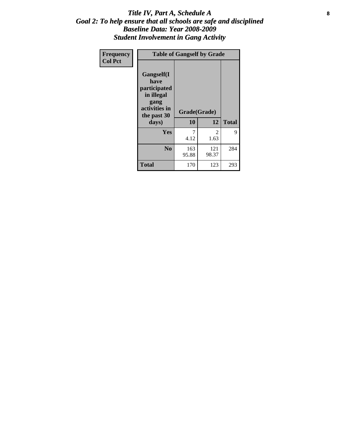### Title IV, Part A, Schedule A **8** *Goal 2: To help ensure that all schools are safe and disciplined Baseline Data: Year 2008-2009 Student Involvement in Gang Activity*

| Frequency      | <b>Table of Gangself by Grade</b>                                                                 |                    |              |              |
|----------------|---------------------------------------------------------------------------------------------------|--------------------|--------------|--------------|
| <b>Col Pct</b> | Gangself(I<br>have<br>participated<br>in illegal<br>gang<br>activities in<br>the past 30<br>days) | Grade(Grade)<br>10 | 12           | <b>Total</b> |
|                | Yes                                                                                               | 7<br>4.12          | 2<br>1.63    | 9            |
|                | N <sub>0</sub>                                                                                    | 163<br>95.88       | 121<br>98.37 | 284          |
|                | <b>Total</b>                                                                                      | 170                | 123          | 293          |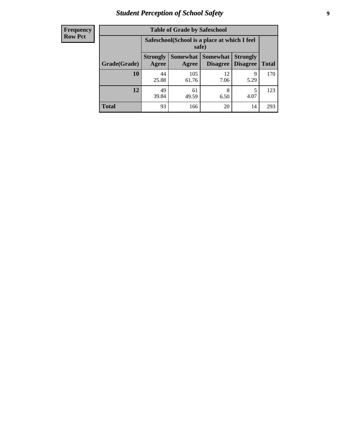# *Student Perception of School Safety* **9**

| <b>Frequency</b><br>Row Pct |
|-----------------------------|
|                             |

| <b>Table of Grade by Safeschool</b> |                                                                                                                                           |                                                        |            |           |     |  |  |
|-------------------------------------|-------------------------------------------------------------------------------------------------------------------------------------------|--------------------------------------------------------|------------|-----------|-----|--|--|
|                                     |                                                                                                                                           | Safeschool (School is a place at which I feel<br>safe) |            |           |     |  |  |
| Grade(Grade)                        | <b>Somewhat</b><br><b>Somewhat</b><br><b>Strongly</b><br><b>Strongly</b><br><b>Disagree</b><br>Agree<br>Disagree<br><b>Total</b><br>Agree |                                                        |            |           |     |  |  |
| 10                                  | 44<br>25.88                                                                                                                               | 105<br>61.76                                           | 12<br>7.06 | 9<br>5.29 | 170 |  |  |
| 12                                  | 49<br>39.84                                                                                                                               | 61<br>49.59                                            | 8<br>6.50  | 5<br>4.07 | 123 |  |  |
| <b>Total</b>                        | 93                                                                                                                                        | 166                                                    | 20         | 14        | 293 |  |  |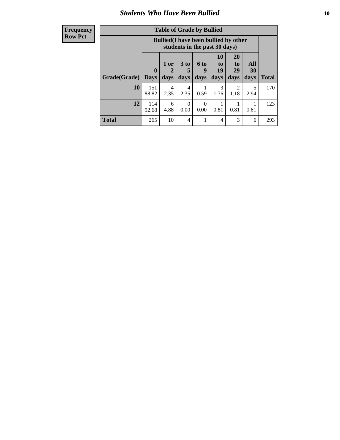### *Students Who Have Been Bullied* **10**

| <b>Frequency</b> |
|------------------|
| Row Pct          |

| <b>Table of Grade by Bullied</b> |                             |                                                                               |                              |                   |                        |                        |                                 |              |
|----------------------------------|-----------------------------|-------------------------------------------------------------------------------|------------------------------|-------------------|------------------------|------------------------|---------------------------------|--------------|
|                                  |                             | <b>Bullied</b> (I have been bullied by other<br>students in the past 30 days) |                              |                   |                        |                        |                                 |              |
| Grade(Grade)                     | $\mathbf{0}$<br><b>Days</b> | 1 or<br>2<br>days                                                             | 3 <sub>to</sub><br>5<br>days | 6 to<br>9<br>days | 10<br>to<br>19<br>days | 20<br>to<br>29<br>days | <b>All</b><br><b>30</b><br>days | <b>Total</b> |
| 10                               | 151<br>88.82                | $\overline{4}$<br>2.35                                                        | 4<br>2.35                    | 0.59              | 3<br>1.76              | 2<br>1.18              | 5<br>2.94                       | 170          |
| 12                               | 114<br>92.68                | 6<br>4.88                                                                     | $\Omega$<br>0.00             | 0<br>0.00         | 0.81                   | 0.81                   | 0.81                            | 123          |
| <b>Total</b>                     | 265                         | 10                                                                            | 4                            |                   | 4                      | 3                      | 6                               | 293          |

 $\blacksquare$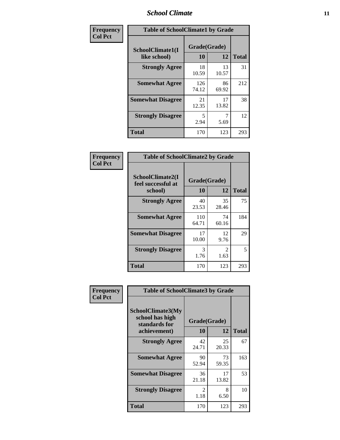### *School Climate* **11**

| Frequency      | <b>Table of SchoolClimate1 by Grade</b> |                    |             |              |  |  |  |
|----------------|-----------------------------------------|--------------------|-------------|--------------|--|--|--|
| <b>Col Pct</b> | SchoolClimate1(I<br>like school)        | Grade(Grade)<br>10 | 12          | <b>Total</b> |  |  |  |
|                | <b>Strongly Agree</b>                   | 18<br>10.59        | 13<br>10.57 | 31           |  |  |  |
|                | <b>Somewhat Agree</b>                   | 126<br>74.12       | 86<br>69.92 | 212          |  |  |  |
|                | <b>Somewhat Disagree</b>                | 21<br>12.35        | 17<br>13.82 | 38           |  |  |  |
|                | <b>Strongly Disagree</b>                | 5<br>2.94          | 5.69        | 12           |  |  |  |
|                | <b>Total</b>                            | 170                | 123         | 293          |  |  |  |

| Frequency      | <b>Table of SchoolClimate2 by Grade</b>           |              |                       |              |
|----------------|---------------------------------------------------|--------------|-----------------------|--------------|
| <b>Col Pct</b> | SchoolClimate2(I<br>feel successful at<br>school) | <b>10</b>    | Grade(Grade)<br>12    | <b>Total</b> |
|                | <b>Strongly Agree</b>                             | 40<br>23.53  | 35<br>28.46           | 75           |
|                | <b>Somewhat Agree</b>                             | 110<br>64.71 | 74<br>60.16           | 184          |
|                | <b>Somewhat Disagree</b>                          | 17<br>10.00  | 12<br>9.76            | 29           |
|                | <b>Strongly Disagree</b>                          | 3<br>1.76    | $\mathcal{L}$<br>1.63 | 5            |
|                | <b>Total</b>                                      | 170          | 123                   | 293          |

| Frequency<br><b>Col Pct</b> | <b>Table of SchoolClimate3 by Grade</b>                      |              |             |              |  |
|-----------------------------|--------------------------------------------------------------|--------------|-------------|--------------|--|
|                             | <b>SchoolClimate3(My</b><br>school has high<br>standards for | Grade(Grade) |             |              |  |
|                             | achievement)                                                 | <b>10</b>    | 12          | <b>Total</b> |  |
|                             | <b>Strongly Agree</b>                                        | 42<br>24.71  | 25<br>20.33 | 67           |  |
|                             | <b>Somewhat Agree</b>                                        | 90<br>52.94  | 73<br>59.35 | 163          |  |
|                             | <b>Somewhat Disagree</b>                                     | 36<br>21.18  | 17<br>13.82 | 53           |  |
|                             | <b>Strongly Disagree</b>                                     | 2<br>1.18    | 8<br>6.50   | 10           |  |
|                             | Total                                                        | 170          | 123         | 293          |  |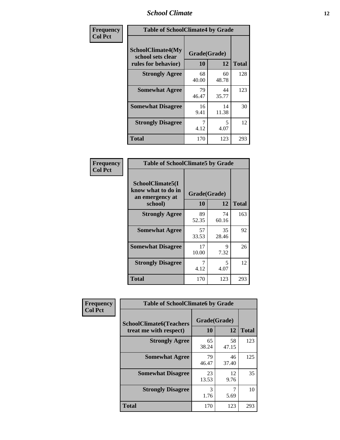### *School Climate* **12**

| Frequency      |                                                                      | <b>Table of SchoolClimate4 by Grade</b> |             |              |  |
|----------------|----------------------------------------------------------------------|-----------------------------------------|-------------|--------------|--|
| <b>Col Pct</b> | <b>SchoolClimate4(My</b><br>school sets clear<br>rules for behavior) | Grade(Grade)<br>10                      | 12          | <b>Total</b> |  |
|                | <b>Strongly Agree</b>                                                | 68<br>40.00                             | 60<br>48.78 | 128          |  |
|                | <b>Somewhat Agree</b>                                                | 79<br>46.47                             | 44<br>35.77 | 123          |  |
|                | <b>Somewhat Disagree</b>                                             | 16<br>9.41                              | 14<br>11.38 | 30           |  |
|                | <b>Strongly Disagree</b>                                             | 7<br>4.12                               | 5<br>4.07   | 12           |  |
|                | <b>Total</b>                                                         | 170                                     | 123         | 293          |  |

| <b>Table of SchoolClimate5 by Grade</b>                              |                    |             |              |  |  |
|----------------------------------------------------------------------|--------------------|-------------|--------------|--|--|
| SchoolClimate5(I<br>know what to do in<br>an emergency at<br>school) | Grade(Grade)<br>10 | 12          | <b>Total</b> |  |  |
| <b>Strongly Agree</b>                                                | 89<br>52.35        | 74<br>60.16 | 163          |  |  |
| <b>Somewhat Agree</b>                                                | 57<br>33.53        | 35<br>28.46 | 92           |  |  |
| <b>Somewhat Disagree</b>                                             | 17<br>10.00        | 9<br>7.32   | 26           |  |  |
| <b>Strongly Disagree</b>                                             | 7<br>4.12          | 5<br>4.07   | 12           |  |  |
| Total                                                                | 170                | 123         | 293          |  |  |

| Frequency      | <b>Table of SchoolClimate6 by Grade</b>                  |                    |             |              |
|----------------|----------------------------------------------------------|--------------------|-------------|--------------|
| <b>Col Pct</b> | <b>SchoolClimate6(Teachers</b><br>treat me with respect) | Grade(Grade)<br>10 | 12          | <b>Total</b> |
|                | <b>Strongly Agree</b>                                    | 65<br>38.24        | 58<br>47.15 | 123          |
|                | <b>Somewhat Agree</b>                                    | 79<br>46.47        | 46<br>37.40 | 125          |
|                | <b>Somewhat Disagree</b>                                 | 23<br>13.53        | 12<br>9.76  | 35           |
|                | <b>Strongly Disagree</b>                                 | 3<br>1.76          | 5.69        | 10           |
|                | <b>Total</b>                                             | 170                | 123         | 293          |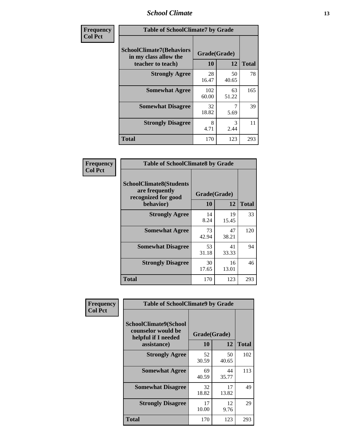### *School Climate* **13**

| Frequency      | <b>Table of SchoolClimate7 by Grade</b>                                       |                           |                       |              |
|----------------|-------------------------------------------------------------------------------|---------------------------|-----------------------|--------------|
| <b>Col Pct</b> | <b>SchoolClimate7(Behaviors</b><br>in my class allow the<br>teacher to teach) | Grade(Grade)<br><b>10</b> | 12                    | <b>Total</b> |
|                | <b>Strongly Agree</b>                                                         | 28<br>16.47               | 50<br>40.65           | 78           |
|                | <b>Somewhat Agree</b>                                                         | 102<br>60.00              | 63<br>51.22           | 165          |
|                | <b>Somewhat Disagree</b>                                                      | 32<br>18.82               | 7<br>5.69             | 39           |
|                | <b>Strongly Disagree</b>                                                      | 8<br>4.71                 | $\mathcal{R}$<br>2.44 | 11           |
|                | <b>Total</b>                                                                  | 170                       | 123                   | 293          |

| Frequency      | <b>Table of SchoolClimate8 by Grade</b>                                              |                    |             |              |
|----------------|--------------------------------------------------------------------------------------|--------------------|-------------|--------------|
| <b>Col Pct</b> | <b>SchoolClimate8(Students</b><br>are frequently<br>recognized for good<br>behavior) | Grade(Grade)<br>10 | 12          | <b>Total</b> |
|                | <b>Strongly Agree</b>                                                                | 14<br>8.24         | 19<br>15.45 | 33           |
|                | <b>Somewhat Agree</b>                                                                | 73<br>42.94        | 47<br>38.21 | 120          |
|                | <b>Somewhat Disagree</b>                                                             | 53<br>31.18        | 41<br>33.33 | 94           |
|                | <b>Strongly Disagree</b>                                                             | 30<br>17.65        | 16<br>13.01 | 46           |
|                | <b>Total</b>                                                                         | 170                | 123         | 293          |

| Frequency      | <b>Table of SchoolClimate9 by Grade</b>                                           |                    |             |              |
|----------------|-----------------------------------------------------------------------------------|--------------------|-------------|--------------|
| <b>Col Pct</b> | SchoolClimate9(School<br>counselor would be<br>helpful if I needed<br>assistance) | Grade(Grade)<br>10 | 12          | <b>Total</b> |
|                | <b>Strongly Agree</b>                                                             | 52<br>30.59        | 50<br>40.65 | 102          |
|                | <b>Somewhat Agree</b>                                                             | 69<br>40.59        | 44<br>35.77 | 113          |
|                | <b>Somewhat Disagree</b>                                                          | 32<br>18.82        | 17<br>13.82 | 49           |
|                | <b>Strongly Disagree</b>                                                          | 17<br>10.00        | 12<br>9.76  | 29           |
|                | Total                                                                             | 170                | 123         | 293          |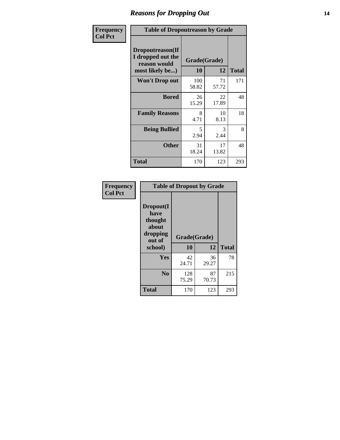### *Reasons for Dropping Out* **14**

| Frequency      | <b>Table of Dropoutreason by Grade</b>                                   |              |                    |              |
|----------------|--------------------------------------------------------------------------|--------------|--------------------|--------------|
| <b>Col Pct</b> | Dropoutreason(If<br>I dropped out the<br>reason would<br>most likely be) | 10           | Grade(Grade)<br>12 | <b>Total</b> |
|                | <b>Won't Drop out</b>                                                    | 100<br>58.82 | 71<br>57.72        | 171          |
|                | <b>Bored</b>                                                             | 26<br>15.29  | 22<br>17.89        | 48           |
|                | <b>Family Reasons</b>                                                    | 8<br>4.71    | 10<br>8.13         | 18           |
|                | <b>Being Bullied</b>                                                     | 5<br>2.94    | 3<br>2.44          | 8            |
|                | <b>Other</b>                                                             | 31<br>18.24  | 17<br>13.82        | 48           |
|                | <b>Total</b>                                                             | 170          | 123                | 293          |

| Frequency<br><b>Col Pct</b> | <b>Table of Dropout by Grade</b>                            |                    |              |     |  |
|-----------------------------|-------------------------------------------------------------|--------------------|--------------|-----|--|
|                             | Dropout(I<br>have<br>thought<br>about<br>dropping<br>out of | Grade(Grade)<br>10 | <b>Total</b> |     |  |
|                             | school)                                                     |                    | 12           |     |  |
|                             | Yes                                                         | 42<br>24.71        | 36<br>29.27  | 78  |  |
|                             | N <sub>0</sub>                                              | 128<br>75.29       | 87<br>70.73  | 215 |  |
|                             |                                                             |                    |              |     |  |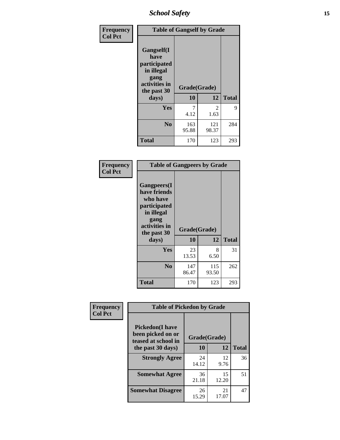*School Safety* **15**

| Frequency      | <b>Table of Gangself by Grade</b>                                                                 |                    |              |              |
|----------------|---------------------------------------------------------------------------------------------------|--------------------|--------------|--------------|
| <b>Col Pct</b> | Gangself(I<br>have<br>participated<br>in illegal<br>gang<br>activities in<br>the past 30<br>days) | Grade(Grade)<br>10 | 12           | <b>Total</b> |
|                |                                                                                                   |                    |              |              |
|                | Yes                                                                                               | 7<br>4.12          | 2<br>1.63    | 9            |
|                | N <sub>0</sub>                                                                                    | 163<br>95.88       | 121<br>98.37 | 284          |
|                | <b>Total</b>                                                                                      | 170                | 123          | 293          |

| Frequency<br><b>Col Pct</b> | <b>Table of Gangpeers by Grade</b>                                                                                             |                    |              |              |
|-----------------------------|--------------------------------------------------------------------------------------------------------------------------------|--------------------|--------------|--------------|
|                             | <b>Gangpeers</b> (I<br>have friends<br>who have<br>participated<br>in illegal<br>gang<br>activities in<br>the past 30<br>days) | Grade(Grade)<br>10 | 12           | <b>Total</b> |
|                             | <b>Yes</b>                                                                                                                     | 23<br>13.53        | 8<br>6.50    | 31           |
|                             | N <sub>0</sub>                                                                                                                 | 147<br>86.47       | 115<br>93.50 | 262          |
|                             | <b>Total</b>                                                                                                                   | 170                | 123          | 293          |

| Frequency      | <b>Table of Pickedon by Grade</b>                                  |              |             |              |  |  |  |  |  |  |
|----------------|--------------------------------------------------------------------|--------------|-------------|--------------|--|--|--|--|--|--|
| <b>Col Pct</b> | <b>Pickedon(I have</b><br>been picked on or<br>teased at school in | Grade(Grade) |             |              |  |  |  |  |  |  |
|                | the past 30 days)                                                  | 10           | 12          | <b>Total</b> |  |  |  |  |  |  |
|                | <b>Strongly Agree</b>                                              | 24<br>14.12  | 12<br>9.76  | 36           |  |  |  |  |  |  |
|                | <b>Somewhat Agree</b>                                              | 36<br>21.18  | 15<br>12.20 | 51           |  |  |  |  |  |  |
|                | <b>Somewhat Disagree</b>                                           | 26<br>15.29  | 21<br>17.07 | 47           |  |  |  |  |  |  |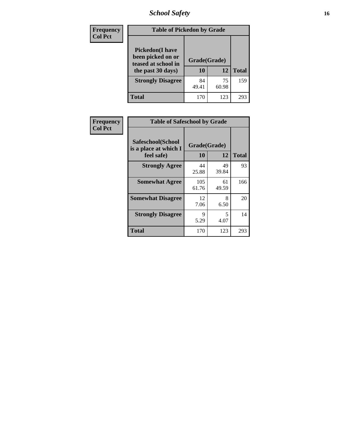# *School Safety* **16**

| Frequency      |                                                                                          | <b>Table of Pickedon by Grade</b> |             |              |  |  |  |  |  |  |  |
|----------------|------------------------------------------------------------------------------------------|-----------------------------------|-------------|--------------|--|--|--|--|--|--|--|
| <b>Col Pct</b> | <b>Pickedon</b> (I have<br>been picked on or<br>teased at school in<br>the past 30 days) | Grade(Grade)<br>10                | 12          | <b>Total</b> |  |  |  |  |  |  |  |
|                | <b>Strongly Disagree</b>                                                                 | 84<br>49.41                       | 75<br>60.98 | 159          |  |  |  |  |  |  |  |
|                | Total                                                                                    | 170                               | 123         | 293          |  |  |  |  |  |  |  |

| Frequency      | <b>Table of Safeschool by Grade</b>                      |                    |             |              |
|----------------|----------------------------------------------------------|--------------------|-------------|--------------|
| <b>Col Pct</b> | Safeschool(School<br>is a place at which I<br>feel safe) | Grade(Grade)<br>10 | 12          | <b>Total</b> |
|                | <b>Strongly Agree</b>                                    | 44<br>25.88        | 49<br>39.84 | 93           |
|                | <b>Somewhat Agree</b>                                    | 105<br>61.76       | 61<br>49.59 | 166          |
|                | <b>Somewhat Disagree</b>                                 | 12<br>7.06         | 8<br>6.50   | 20           |
|                | <b>Strongly Disagree</b>                                 | 9<br>5.29          | 5<br>4.07   | 14           |
|                | <b>Total</b>                                             | 170                | 123         | 293          |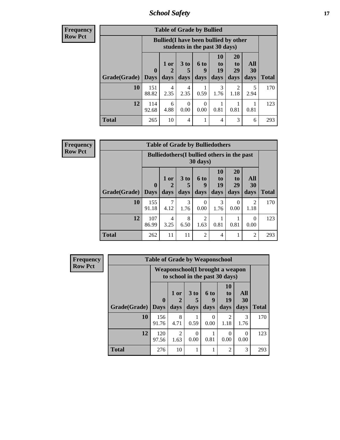*School Safety* **17**

| <b>Frequency</b> |
|------------------|
| Row Pct          |

| <b>Table of Grade by Bullied</b> |                             |                    |                              |                                                                               |                        |                        |                          |              |  |  |  |
|----------------------------------|-----------------------------|--------------------|------------------------------|-------------------------------------------------------------------------------|------------------------|------------------------|--------------------------|--------------|--|--|--|
|                                  |                             |                    |                              | <b>Bullied</b> (I have been bullied by other<br>students in the past 30 days) |                        |                        |                          |              |  |  |  |
| Grade(Grade)                     | $\mathbf{0}$<br><b>Days</b> | $1$ or $ $<br>days | 3 <sub>to</sub><br>5<br>days | <b>6 to</b><br>9<br>days                                                      | 10<br>to<br>19<br>days | 20<br>to<br>29<br>days | <b>All</b><br>30<br>days | <b>Total</b> |  |  |  |
| 10                               | 151<br>88.82                | 4<br>2.35          | 4<br>2.35                    | 0.59                                                                          | 3<br>1.76              | $\overline{2}$<br>1.18 | 5<br>2.94                | 170          |  |  |  |
| 12                               | 114<br>92.68                | 6<br>4.88          | 0<br>0.00                    | $\Omega$<br>0.00                                                              | 0.81                   | 0.81                   | 0.81                     | 123          |  |  |  |
| <b>Total</b>                     | 265                         | 10                 | 4                            |                                                                               | 4                      | 3                      | 6                        | 293          |  |  |  |

| <b>Frequency</b> |              |                                                    |                | <b>Table of Grade by Bulliedothers</b> |                        |                        |                               |                        |              |
|------------------|--------------|----------------------------------------------------|----------------|----------------------------------------|------------------------|------------------------|-------------------------------|------------------------|--------------|
| <b>Row Pct</b>   |              | <b>Bulliedothers</b> (I bullied others in the past |                |                                        |                        |                        |                               |                        |              |
|                  | Grade(Grade) | $\mathbf{0}$<br><b>Days</b>                        | $1$ or<br>days | 3 to<br>days                           | 6 to<br>q<br>days      | 10<br>to<br>19<br>days | <b>20</b><br>to<br>29<br>days | All<br>30<br>days      | <b>Total</b> |
|                  | 10           | 155<br>91.18                                       | 7<br>4.12      | 3<br>1.76                              | 0<br>0.00              | 3<br>1.76              | $\theta$<br>0.00              | $\mathfrak{D}$<br>1.18 | 170          |
|                  | 12           | 107<br>86.99                                       | 4<br>3.25      | 8<br>6.50                              | $\mathfrak{D}$<br>1.63 | 0.81                   | 0.81                          | $\Omega$<br>0.00       | 123          |
|                  | <b>Total</b> | 262                                                | 11             | 11                                     | $\mathfrak{D}$         | $\overline{4}$         |                               | 2                      | 293          |

| <b>Frequency</b> |              | <b>Table of Grade by Weaponschool</b>                                     |                        |              |                   |                                           |                   |              |
|------------------|--------------|---------------------------------------------------------------------------|------------------------|--------------|-------------------|-------------------------------------------|-------------------|--------------|
| <b>Row Pct</b>   |              | <b>Weaponschool</b> (I brought a weapon<br>to school in the past 30 days) |                        |              |                   |                                           |                   |              |
|                  | Grade(Grade) | $\mathbf{0}$<br><b>Days</b>                                               | 1 or<br>days           | 3 to<br>days | 6 to<br>9<br>days | <b>10</b><br>t <sub>0</sub><br>19<br>days | All<br>30<br>days | <b>Total</b> |
|                  | 10           | 156<br>91.76                                                              | 8<br>4.71              | 0.59         | $\Omega$<br>0.00  | $\mathfrak{D}$<br>1.18                    | 3<br>1.76         | 170          |
|                  | 12           | 120<br>97.56                                                              | $\mathfrak{D}$<br>1.63 | 0<br>0.00    | 0.81              | 0<br>0.00                                 | $\Omega$<br>0.00  | 123          |
|                  | <b>Total</b> | 276                                                                       | 10                     |              |                   | $\overline{2}$                            | 3                 | 293          |

h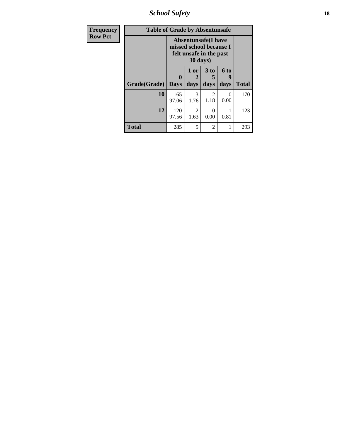*School Safety* **18**

| <b>Frequency</b> | <b>Table of Grade by Absentunsafe</b> |                                                                                  |                        |                   |                   |              |
|------------------|---------------------------------------|----------------------------------------------------------------------------------|------------------------|-------------------|-------------------|--------------|
| <b>Row Pct</b>   |                                       | <b>Absentunsafe(I have</b><br>missed school because I<br>felt unsafe in the past |                        |                   |                   |              |
|                  | Grade(Grade)                          | 0<br><b>Days</b>                                                                 | 1 or<br>2<br>days      | 3 to<br>5<br>days | 6 to<br>y<br>days | <b>Total</b> |
|                  | 10                                    | 165<br>97.06                                                                     | 3<br>1.76              | 2<br>1.18         | 0<br>0.00         | 170          |
|                  | 12                                    | 120<br>97.56                                                                     | $\mathfrak{D}$<br>1.63 | 0.00              | 0.81              | 123          |
|                  | <b>Total</b>                          | 285                                                                              | 5                      | 2                 | 1                 | 293          |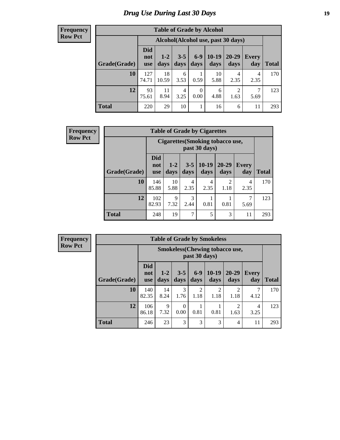# *Drug Use During Last 30 Days* **19**

#### **Frequency Row Pct**

| <b>Table of Grade by Alcohol</b> |                          |                 |                 |                  |                 |                                    |              |              |  |  |  |  |
|----------------------------------|--------------------------|-----------------|-----------------|------------------|-----------------|------------------------------------|--------------|--------------|--|--|--|--|
|                                  |                          |                 |                 |                  |                 | Alcohol(Alcohol use, past 30 days) |              |              |  |  |  |  |
| Grade(Grade)                     | <b>Did</b><br>not<br>use | $1 - 2$<br>days | $3 - 5$<br>days | $6-9$<br>days    | $10-19$<br>days | 20-29<br>days                      | Every<br>day | <b>Total</b> |  |  |  |  |
| 10                               | 127<br>74.71             | 18<br>10.59     | 6<br>3.53       | 0.59             | 10<br>5.88      | 4<br>2.35                          | 4<br>2.35    | 170          |  |  |  |  |
| 12                               | 93<br>75.61              | 11<br>8.94      | 4<br>3.25       | $\theta$<br>0.00 | 6<br>4.88       | $\overline{2}$<br>1.63             | 7<br>5.69    | 123          |  |  |  |  |
| <b>Total</b>                     | 220                      | 29              | 10              | 1                | 16              | 6                                  | 11           | 293          |  |  |  |  |

| <b>Frequency</b> |              |                                 |               |                 | <b>Table of Grade by Cigarettes</b>               |                                     |              |              |
|------------------|--------------|---------------------------------|---------------|-----------------|---------------------------------------------------|-------------------------------------|--------------|--------------|
| <b>Row Pct</b>   |              |                                 |               |                 | Cigarettes (Smoking tobacco use,<br>past 30 days) |                                     |              |              |
|                  | Grade(Grade) | <b>Did</b><br>not<br><b>use</b> | $1-2$<br>days | $3 - 5$<br>days | $10-19$<br>days                                   | $20 - 29$<br>days                   | Every<br>day | <b>Total</b> |
|                  | 10           | 146<br>85.88                    | 10<br>5.88    | 4<br>2.35       | 4<br>2.35                                         | $\mathcal{D}_{\mathcal{L}}$<br>1.18 | 4<br>2.35    | 170          |
|                  | 12           | 102<br>82.93                    | 9<br>7.32     | 2.44            | 0.81                                              | 0.81                                | 7<br>5.69    | 123          |
|                  | <b>Total</b> | 248                             | 19            | 7               | 5                                                 | 3                                   | 11           | 293          |

**Frequency Row Pct**

| <b>Table of Grade by Smokeless</b> |                                 |                                                        |                  |                        |                        |               |                     |              |  |  |  |
|------------------------------------|---------------------------------|--------------------------------------------------------|------------------|------------------------|------------------------|---------------|---------------------|--------------|--|--|--|
|                                    |                                 | <b>Smokeless</b> (Chewing tobaccouse,<br>past 30 days) |                  |                        |                        |               |                     |              |  |  |  |
| Grade(Grade)                       | <b>Did</b><br>not<br><b>use</b> | $1 - 2$<br>days                                        | $3 - 5$<br>days  | $6-9$<br>days          | $10-19$<br>days        | 20-29<br>days | <b>Every</b><br>day | <b>Total</b> |  |  |  |
| 10                                 | 140<br>82.35                    | 14<br>8.24                                             | 3<br>1.76        | $\overline{2}$<br>1.18 | $\overline{c}$<br>1.18 | 1.18          | 4.12                | 170          |  |  |  |
| 12                                 | 106<br>86.18                    | 9<br>7.32                                              | $\theta$<br>0.00 | 0.81                   | 0.81                   | ↑<br>1.63     | 4<br>3.25           | 123          |  |  |  |
| <b>Total</b>                       | 246                             | 23                                                     | 3                | 3                      | 3                      | 4             | 11                  | 293          |  |  |  |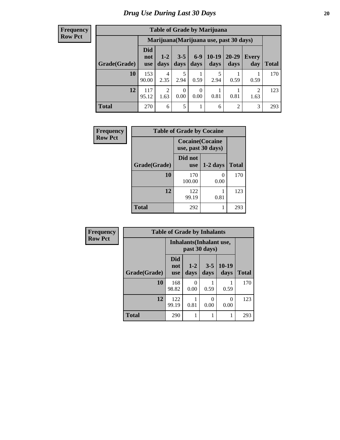#### **Frequency Row Pct**

| <b>Table of Grade by Marijuana</b> |                          |                        |                 |               |                 |                                         |              |       |  |  |  |  |
|------------------------------------|--------------------------|------------------------|-----------------|---------------|-----------------|-----------------------------------------|--------------|-------|--|--|--|--|
|                                    |                          |                        |                 |               |                 | Marijuana (Marijuana use, past 30 days) |              |       |  |  |  |  |
| Grade(Grade)                       | Did<br>not<br><b>use</b> | $1 - 2$<br>days        | $3 - 5$<br>days | $6-9$<br>days | $10-19$<br>days | 20-29<br>days                           | Every<br>day | Total |  |  |  |  |
| 10                                 | 153<br>90.00             | 4<br>2.35              | 2.94            | 0.59          | 2.94            | 0.59                                    | 0.59         | 170   |  |  |  |  |
| 12                                 | 117<br>95.12             | $\overline{2}$<br>1.63 | 0<br>0.00       | 0<br>0.00     | 0.81            | 0.81                                    | 2<br>1.63    | 123   |  |  |  |  |
| <b>Total</b>                       | 270                      | 6                      | 5               | 1             | 6               | $\overline{2}$                          | 3            | 293   |  |  |  |  |

| Frequency      |              | <b>Table of Grade by Cocaine</b>              |                      |              |
|----------------|--------------|-----------------------------------------------|----------------------|--------------|
| <b>Row Pct</b> |              | <b>Cocaine</b> (Cocaine<br>use, past 30 days) |                      |              |
|                | Grade(Grade) | Did not<br><b>use</b>                         | $1-2$ days           | <b>Total</b> |
|                | 10           | 170<br>100.00                                 | $\mathbf{0}$<br>0.00 | 170          |
|                | 12           | 122<br>99.19                                  | 0.81                 | 123          |
|                | Total        | 292                                           | 1                    | 293          |

| <b>Frequency</b> |              | <b>Table of Grade by Inhalants</b>               |                 |                 |                 |              |
|------------------|--------------|--------------------------------------------------|-----------------|-----------------|-----------------|--------------|
| <b>Row Pct</b>   |              | <b>Inhalants</b> (Inhalant use,<br>past 30 days) |                 |                 |                 |              |
|                  | Grade(Grade) | <b>Did</b><br>not<br><b>use</b>                  | $1 - 2$<br>days | $3 - 5$<br>days | $10-19$<br>days | <b>Total</b> |
|                  | 10           | 168<br>98.82                                     | 0.00            | 0.59            | 0.59            | 170          |
|                  | 12           | 122<br>99.19                                     | 0.81            | 0<br>0.00       | 0<br>0.00       | 123          |
|                  | <b>Total</b> | 290                                              | 1               |                 | 1               | 293          |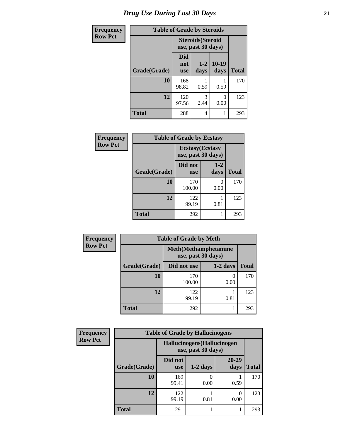| <b>Frequency</b> | <b>Table of Grade by Steroids</b> |                          |                                                |                 |              |
|------------------|-----------------------------------|--------------------------|------------------------------------------------|-----------------|--------------|
| <b>Row Pct</b>   |                                   |                          | <b>Steroids</b> (Steroid<br>use, past 30 days) |                 |              |
|                  | Grade(Grade)                      | Did<br>not<br><b>use</b> | $1 - 2$<br>days                                | $10-19$<br>days | <b>Total</b> |
|                  | 10                                | 168<br>98.82             | 0.59                                           | 0.59            | 170          |
|                  | 12                                | 120<br>97.56             | 3<br>2.44                                      | 0.00            | 123          |
|                  | <b>Total</b>                      | 288                      | 4                                              |                 | 293          |

| Frequency      | <b>Table of Grade by Ecstasy</b> |                                               |                  |              |  |  |  |
|----------------|----------------------------------|-----------------------------------------------|------------------|--------------|--|--|--|
| <b>Row Pct</b> |                                  | <b>Ecstasy</b> (Ecstasy<br>use, past 30 days) |                  |              |  |  |  |
|                | Grade(Grade)                     | Did not<br><b>use</b>                         | $1-2$<br>days    | <b>Total</b> |  |  |  |
|                | 10                               | 170<br>100.00                                 | $\Omega$<br>0.00 | 170          |  |  |  |
|                | 12                               | 122<br>99.19                                  | 0.81             | 123          |  |  |  |
|                | <b>Total</b>                     | 292                                           |                  | 293          |  |  |  |

| Frequency      | <b>Table of Grade by Meth</b>                      |               |                  |              |  |
|----------------|----------------------------------------------------|---------------|------------------|--------------|--|
| <b>Row Pct</b> | <b>Meth</b> (Methamphetamine<br>use, past 30 days) |               |                  |              |  |
|                | Grade(Grade)                                       | Did not use   | $1-2$ days       | <b>Total</b> |  |
|                | 10                                                 | 170<br>100.00 | $\theta$<br>0.00 | 170          |  |
|                | 12                                                 | 122<br>99.19  | 0.81             | 123          |  |
|                | <b>Total</b>                                       | 292           |                  | 293          |  |

| Frequency      | <b>Table of Grade by Hallucinogens</b> |                                                   |            |                   |              |  |
|----------------|----------------------------------------|---------------------------------------------------|------------|-------------------|--------------|--|
| <b>Row Pct</b> |                                        | Hallucinogens (Hallucinogen<br>use, past 30 days) |            |                   |              |  |
|                | Grade(Grade)                           | Did not<br><b>use</b>                             | $1-2$ days | $20 - 29$<br>days | <b>Total</b> |  |
|                | 10                                     | 169<br>99.41                                      | 0.00       | 0.59              | 170          |  |
|                | 12                                     | 122<br>99.19                                      | 0.81       | 0.00              | 123          |  |
|                | <b>Total</b>                           | 291                                               |            |                   | 293          |  |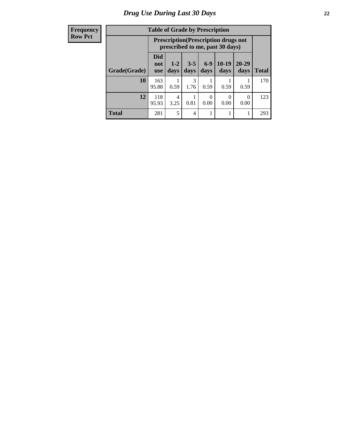| <b>Frequency</b> |  |
|------------------|--|
| <b>Row Pct</b>   |  |

| <b>Table of Grade by Prescription</b> |                                 |                                                                                |                 |               |                 |                   |              |
|---------------------------------------|---------------------------------|--------------------------------------------------------------------------------|-----------------|---------------|-----------------|-------------------|--------------|
|                                       |                                 | <b>Prescription</b> (Prescription drugs not<br>prescribed to me, past 30 days) |                 |               |                 |                   |              |
| Grade(Grade)                          | <b>Did</b><br>not<br><b>use</b> | $1 - 2$<br>days                                                                | $3 - 5$<br>days | $6-9$<br>days | $10-19$<br>days | $20 - 29$<br>days | <b>Total</b> |
| 10                                    | 163<br>95.88                    | 0.59                                                                           | 3<br>1.76       | 0.59          | 0.59            | 0.59              | 170          |
| 12                                    | 118<br>95.93                    | 4<br>3.25                                                                      | 0.81            | 0<br>0.00     | 0<br>0.00       | 0<br>0.00         | 123          |
| <b>Total</b>                          | 281                             | 5                                                                              | 4               |               | 1               |                   | 293          |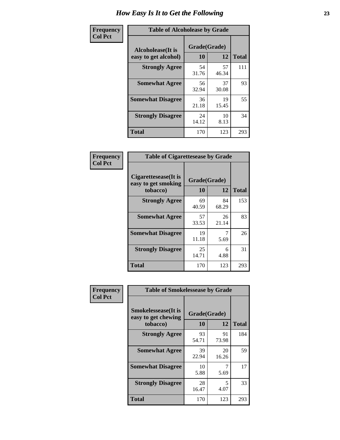| Frequency      | <b>Table of Alcoholease by Grade</b>              |                    |             |              |  |  |
|----------------|---------------------------------------------------|--------------------|-------------|--------------|--|--|
| <b>Col Pct</b> | <b>Alcoholease</b> (It is<br>easy to get alcohol) | Grade(Grade)<br>10 | 12          | <b>Total</b> |  |  |
|                | <b>Strongly Agree</b>                             | 54<br>31.76        | 57<br>46.34 | 111          |  |  |
|                | <b>Somewhat Agree</b>                             | 56<br>32.94        | 37<br>30.08 | 93           |  |  |
|                | <b>Somewhat Disagree</b>                          | 36<br>21.18        | 19<br>15.45 | 55           |  |  |
|                | <b>Strongly Disagree</b>                          | 24<br>14.12        | 10<br>8.13  | 34           |  |  |
|                | <b>Total</b>                                      | 170                | 123         | 293          |  |  |

| Frequency<br>Col Pct |  |
|----------------------|--|
|                      |  |

| <b>Table of Cigarettesease by Grade</b>                 |                    |             |              |  |  |
|---------------------------------------------------------|--------------------|-------------|--------------|--|--|
| Cigarettesease(It is<br>easy to get smoking<br>tobacco) | Grade(Grade)<br>10 | 12          | <b>Total</b> |  |  |
| <b>Strongly Agree</b>                                   | 69<br>40.59        | 84<br>68.29 | 153          |  |  |
| <b>Somewhat Agree</b>                                   | 57<br>33.53        | 26<br>21.14 | 83           |  |  |
| <b>Somewhat Disagree</b>                                | 19<br>11.18        | 5.69        | 26           |  |  |
| <b>Strongly Disagree</b>                                | 25<br>14.71        | 6<br>4.88   | 31           |  |  |
| Total                                                   | 170                | 123         | 293          |  |  |

| Frequency      | <b>Table of Smokelessease by Grade</b>                         |                    |             |              |  |  |
|----------------|----------------------------------------------------------------|--------------------|-------------|--------------|--|--|
| <b>Col Pct</b> | <b>Smokelessease</b> (It is<br>easy to get chewing<br>tobacco) | Grade(Grade)<br>10 | 12          | <b>Total</b> |  |  |
|                | <b>Strongly Agree</b>                                          | 93<br>54.71        | 91<br>73.98 | 184          |  |  |
|                | <b>Somewhat Agree</b>                                          | 39<br>22.94        | 20<br>16.26 | 59           |  |  |
|                | <b>Somewhat Disagree</b>                                       | 10<br>5.88         | 5.69        | 17           |  |  |
|                | <b>Strongly Disagree</b>                                       | 28<br>16.47        | 5<br>4.07   | 33           |  |  |
|                | <b>Total</b>                                                   | 170                | 123         | 293          |  |  |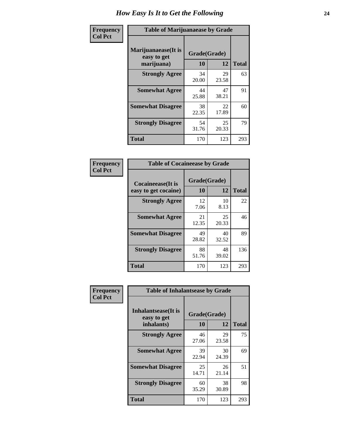| Frequency      | <b>Table of Marijuanaease by Grade</b>           |                    |             |              |  |  |  |  |  |  |
|----------------|--------------------------------------------------|--------------------|-------------|--------------|--|--|--|--|--|--|
| <b>Col Pct</b> | Marijuanaease(It is<br>easy to get<br>marijuana) | Grade(Grade)<br>10 | 12          | <b>Total</b> |  |  |  |  |  |  |
|                | <b>Strongly Agree</b>                            | 34<br>20.00        | 29<br>23.58 | 63           |  |  |  |  |  |  |
|                | <b>Somewhat Agree</b>                            | 44<br>25.88        | 47<br>38.21 | 91           |  |  |  |  |  |  |
|                | <b>Somewhat Disagree</b>                         | 38<br>22.35        | 22<br>17.89 | 60           |  |  |  |  |  |  |
|                | <b>Strongly Disagree</b>                         | 54<br>31.76        | 25<br>20.33 | 79           |  |  |  |  |  |  |
|                | <b>Total</b>                                     | 170                | 123         | 293          |  |  |  |  |  |  |

| <b>Table of Cocaineease by Grade</b> |             |              |              |  |  |  |  |  |  |
|--------------------------------------|-------------|--------------|--------------|--|--|--|--|--|--|
| <b>Cocaineease</b> (It is            |             | Grade(Grade) |              |  |  |  |  |  |  |
| easy to get cocaine)                 | 10          | 12           | <b>Total</b> |  |  |  |  |  |  |
| <b>Strongly Agree</b>                | 12<br>7.06  | 10<br>8.13   | 22           |  |  |  |  |  |  |
| <b>Somewhat Agree</b>                | 21<br>12.35 | 25<br>20.33  | 46           |  |  |  |  |  |  |
| <b>Somewhat Disagree</b>             | 49<br>28.82 | 40<br>32.52  | 89           |  |  |  |  |  |  |
| <b>Strongly Disagree</b>             | 88<br>51.76 | 48<br>39.02  | 136          |  |  |  |  |  |  |
| <b>Total</b>                         | 170         | 123          | 293          |  |  |  |  |  |  |

| Frequency      | <b>Table of Inhalantsease by Grade</b>           |                    |             |              |
|----------------|--------------------------------------------------|--------------------|-------------|--------------|
| <b>Col Pct</b> | Inhalantsease(It is<br>easy to get<br>inhalants) | Grade(Grade)<br>10 | 12          | <b>Total</b> |
|                | <b>Strongly Agree</b>                            | 46<br>27.06        | 29<br>23.58 | 75           |
|                | <b>Somewhat Agree</b>                            | 39<br>22.94        | 30<br>24.39 | 69           |
|                | <b>Somewhat Disagree</b>                         | 25<br>14.71        | 26<br>21.14 | 51           |
|                | <b>Strongly Disagree</b>                         | 60<br>35.29        | 38<br>30.89 | 98           |
|                | <b>Total</b>                                     | 170                | 123         | 293          |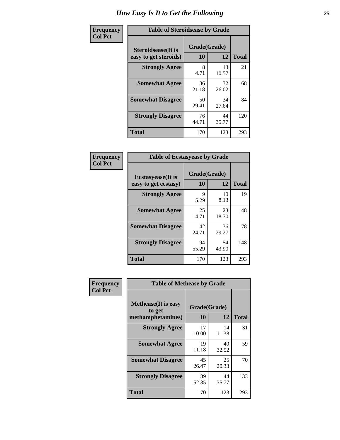| Frequency      | <b>Table of Steroidsease by Grade</b>       |                    |              |     |  |  |  |  |  |  |
|----------------|---------------------------------------------|--------------------|--------------|-----|--|--|--|--|--|--|
| <b>Col Pct</b> | Steroidsease(It is<br>easy to get steroids) | Grade(Grade)<br>10 | <b>Total</b> |     |  |  |  |  |  |  |
|                | <b>Strongly Agree</b>                       | 8<br>4.71          | 13<br>10.57  | 21  |  |  |  |  |  |  |
|                | <b>Somewhat Agree</b>                       | 36<br>21.18        | 32<br>26.02  | 68  |  |  |  |  |  |  |
|                | <b>Somewhat Disagree</b>                    | 50<br>29.41        | 34<br>27.64  | 84  |  |  |  |  |  |  |
|                | <b>Strongly Disagree</b>                    | 76<br>44.71        | 44<br>35.77  | 120 |  |  |  |  |  |  |
|                | <b>Total</b>                                | 170                | 123          | 293 |  |  |  |  |  |  |

| Frequency      | <b>Table of Ecstasyease by Grade</b>              |                    |              |     |  |  |  |  |  |  |
|----------------|---------------------------------------------------|--------------------|--------------|-----|--|--|--|--|--|--|
| <b>Col Pct</b> | <b>Ecstasyease</b> (It is<br>easy to get ecstasy) | Grade(Grade)<br>10 | <b>Total</b> |     |  |  |  |  |  |  |
|                | <b>Strongly Agree</b>                             | 9<br>5.29          | 10<br>8.13   | 19  |  |  |  |  |  |  |
|                | <b>Somewhat Agree</b>                             | 25<br>14.71        | 23<br>18.70  | 48  |  |  |  |  |  |  |
|                | <b>Somewhat Disagree</b>                          | 42<br>24.71        | 36<br>29.27  | 78  |  |  |  |  |  |  |
|                | <b>Strongly Disagree</b>                          | 94<br>55.29        | 54<br>43.90  | 148 |  |  |  |  |  |  |
|                | <b>Total</b>                                      | 170                | 123          | 293 |  |  |  |  |  |  |

| Frequency      | <b>Table of Methease by Grade</b>                          |                    |             |              |
|----------------|------------------------------------------------------------|--------------------|-------------|--------------|
| <b>Col Pct</b> | <b>Methease</b> (It is easy<br>to get<br>methamphetamines) | Grade(Grade)<br>10 | 12          | <b>Total</b> |
|                | <b>Strongly Agree</b>                                      | 17<br>10.00        | 14<br>11.38 | 31           |
|                | <b>Somewhat Agree</b>                                      | 19<br>11.18        | 40<br>32.52 | 59           |
|                | <b>Somewhat Disagree</b>                                   | 45<br>26.47        | 25<br>20.33 | 70           |
|                | <b>Strongly Disagree</b>                                   | 89<br>52.35        | 44<br>35.77 | 133          |
|                | <b>Total</b>                                               | 170                | 123         | 293          |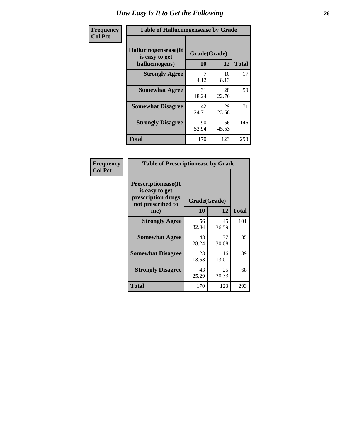| <b>Frequency</b> | <b>Table of Hallucinogensease by Grade</b>                |                    |             |              |  |  |  |  |  |  |
|------------------|-----------------------------------------------------------|--------------------|-------------|--------------|--|--|--|--|--|--|
| <b>Col Pct</b>   | Hallucinogensease(It)<br>is easy to get<br>hallucinogens) | Grade(Grade)<br>10 | 12          | <b>Total</b> |  |  |  |  |  |  |
|                  | <b>Strongly Agree</b>                                     | 4.12               | 10<br>8.13  | 17           |  |  |  |  |  |  |
|                  | <b>Somewhat Agree</b>                                     | 31<br>18.24        | 28<br>22.76 | 59           |  |  |  |  |  |  |
|                  | <b>Somewhat Disagree</b>                                  | 42<br>24.71        | 29<br>23.58 | 71           |  |  |  |  |  |  |
|                  | <b>Strongly Disagree</b>                                  | 90<br>52.94        | 56<br>45.53 | 146          |  |  |  |  |  |  |
|                  | <b>Total</b>                                              | 170                | 123         | 293          |  |  |  |  |  |  |

| Frequency<br>  Col Pct |
|------------------------|
|                        |

г

| <b>Table of Prescriptionease by Grade</b>                                                |             |              |              |  |  |  |  |  |
|------------------------------------------------------------------------------------------|-------------|--------------|--------------|--|--|--|--|--|
| <b>Prescriptionease</b> (It<br>is easy to get<br>prescription drugs<br>not prescribed to |             | Grade(Grade) |              |  |  |  |  |  |
| me)                                                                                      | 10          | 12           | <b>Total</b> |  |  |  |  |  |
| <b>Strongly Agree</b>                                                                    | 56<br>32.94 | 45<br>36.59  | 101          |  |  |  |  |  |
| <b>Somewhat Agree</b>                                                                    | 48<br>28.24 | 37<br>30.08  | 85           |  |  |  |  |  |
| <b>Somewhat Disagree</b>                                                                 | 23<br>13.53 | 16<br>13.01  | 39           |  |  |  |  |  |
| <b>Strongly Disagree</b>                                                                 | 43<br>25.29 | 25<br>20.33  | 68           |  |  |  |  |  |
| Total                                                                                    | 170         | 123          | 293          |  |  |  |  |  |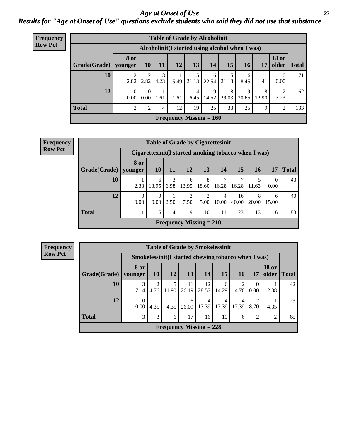### *Age at Onset of Use* **27** *Results for "Age at Onset of Use" questions exclude students who said they did not use that substance*

| Frequency      |                                                  |                  |                  |           |             | <b>Table of Grade by Alcoholinit</b> |             |             |             |            |                       |              |
|----------------|--------------------------------------------------|------------------|------------------|-----------|-------------|--------------------------------------|-------------|-------------|-------------|------------|-----------------------|--------------|
| <b>Row Pct</b> | Alcoholinit (I started using alcohol when I was) |                  |                  |           |             |                                      |             |             |             |            |                       |              |
|                | Grade(Grade)   younger                           | 8 or             | <b>10</b>        | 11        | 12          | 13                                   | 14          | 15          | <b>16</b>   | 17         | <b>18 or</b><br>older | <b>Total</b> |
|                | 10                                               | 2.82             | റ<br>2.82        | 3<br>4.23 | 11<br>15.49 | 15<br>21.13                          | 16<br>22.54 | 15<br>21.13 | 6<br>8.45   | 1.41       | $\theta$<br>0.00      | 71           |
|                | 12                                               | $\Omega$<br>0.00 | $\Omega$<br>0.00 | 1.61      | 1.61        | 4<br>6.45                            | 9<br>14.52  | 18<br>29.03 | 19<br>30.65 | 8<br>12.90 | 2<br>3.23             | 62           |
|                | <b>Total</b>                                     | 2                | $\overline{2}$   | 4         | 12          | 19                                   | 25          | 33          | 25          | 9          | 2                     | 133          |
|                |                                                  |                  |                  |           |             | Frequency Missing $= 160$            |             |             |             |            |                       |              |

| Frequency                                           |              |                                                      |                        |           |            | <b>Table of Grade by Cigarettesinit</b> |            |             |            |                  |              |  |
|-----------------------------------------------------|--------------|------------------------------------------------------|------------------------|-----------|------------|-----------------------------------------|------------|-------------|------------|------------------|--------------|--|
| <b>Row Pct</b>                                      |              | Cigarettesinit(I started smoking tobacco when I was) |                        |           |            |                                         |            |             |            |                  |              |  |
|                                                     | Grade(Grade) | 8 or<br>younger                                      | <b>10</b>              | 11        | 12         | 13                                      | 14         | 15          | 16         | 17               | <b>Total</b> |  |
|                                                     | 10           | 2.33                                                 | 6<br>13.95             | 3<br>6.98 | 6<br>13.95 | 8<br>18.60                              | 16.28      | 7<br>16.28  | 11.63      | $\Omega$<br>0.00 | 43           |  |
|                                                     | 12           | $\theta$<br>0.00                                     | $\overline{0}$<br>0.00 | 2.50      | 3<br>7.50  | 2<br>5.00                               | 4<br>10.00 | 16<br>40.00 | 8<br>20.00 | 6<br>15.00       | 40           |  |
| <b>Total</b><br>23<br>13<br>4<br>10<br>6<br>9<br>11 |              |                                                      |                        |           |            |                                         |            |             |            |                  | 83           |  |
|                                                     |              |                                                      |                        |           |            | Frequency Missing $= 210$               |            |             |            |                  |              |  |

**Frequency Row Pct**

| <b>Table of Grade by Smokelessinit</b>                                                 |                                                                                                                  |                                                     |            |             |             |            |           |      |      |    |  |  |  |
|----------------------------------------------------------------------------------------|------------------------------------------------------------------------------------------------------------------|-----------------------------------------------------|------------|-------------|-------------|------------|-----------|------|------|----|--|--|--|
|                                                                                        |                                                                                                                  | Smokelessinit(I started chewing tobacco when I was) |            |             |             |            |           |      |      |    |  |  |  |
| Grade(Grade)                                                                           | <b>18 or</b><br>8 or<br>15<br>12<br>13<br>older<br><b>10</b><br>14<br><b>16</b><br><b>Total</b><br>17<br>younger |                                                     |            |             |             |            |           |      |      |    |  |  |  |
| 10                                                                                     | 3<br>7.14                                                                                                        | $\overline{2}$<br>4.76                              | 5<br>11.90 | 11<br>26.19 | 12<br>28.57 | 6<br>14.29 | 2<br>4.76 | 0.00 | 2.38 | 42 |  |  |  |
| 12                                                                                     | $\theta$<br>4<br>6<br>4<br>4<br>17.39<br>17.39<br>17.39<br>8.70<br>0.00<br>4.35<br>4.35<br>26.09<br>4.35         |                                                     |            |             |             |            |           |      |      |    |  |  |  |
| <b>Total</b><br>3<br>3<br>17<br>10<br>$\overline{2}$<br>$\overline{2}$<br>16<br>6<br>6 |                                                                                                                  |                                                     |            |             |             |            |           |      |      |    |  |  |  |
|                                                                                        | Frequency Missing $= 228$                                                                                        |                                                     |            |             |             |            |           |      |      |    |  |  |  |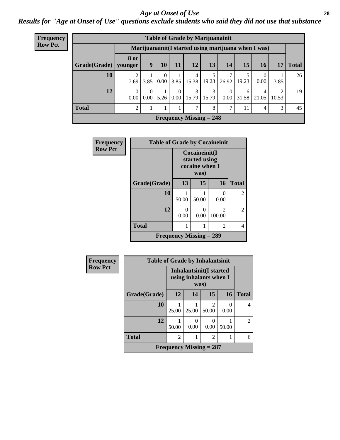#### *Age at Onset of Use* **28**

*Results for "Age at Onset of Use" questions exclude students who said they did not use that substance*

| <b>Frequency</b> |                          | <b>Table of Grade by Marijuanainit</b> |      |                  |          |            |                             |                      |            |                                                      |            |              |
|------------------|--------------------------|----------------------------------------|------|------------------|----------|------------|-----------------------------|----------------------|------------|------------------------------------------------------|------------|--------------|
| <b>Row Pct</b>   |                          |                                        |      |                  |          |            |                             |                      |            | Marijuanainit (I started using marijuana when I was) |            |              |
|                  | $Grade(Grade)$   younger | <b>8</b> or                            | 9    | 10               | 11       | 12         | 13                          | 14                   | 15         | 16                                                   | 17         | <b>Total</b> |
|                  | 10                       | 7.69                                   | 3.85 | $\Omega$<br>0.00 | 3.85     | 4<br>15.38 | 19.23                       | 7<br>26.92           | 19.23      | 0.00                                                 | 3.85       | 26           |
|                  | 12                       | 0.00                                   |      | $0.00$ 5.26      | $\Omega$ | 3          | 3<br>$0.00$   15.79   15.79 | $\Omega$<br>$0.00\,$ | 6<br>31.58 | 21.05                                                | റ<br>10.53 | 19           |
|                  | <b>Total</b>             | 2                                      |      |                  |          | 7          | 8                           | 7                    | 11         | 4                                                    | 3          | 45           |
|                  |                          |                                        |      |                  |          |            | Frequency Missing $= 248$   |                      |            |                                                      |            |              |

| Frequency      | <b>Table of Grade by Cocaineinit</b> |                                |                                                          |                           |                |
|----------------|--------------------------------------|--------------------------------|----------------------------------------------------------|---------------------------|----------------|
| <b>Row Pct</b> |                                      |                                | Cocaineinit(I<br>started using<br>cocaine when I<br>was) |                           |                |
|                | Grade(Grade)                         | 13                             | 15                                                       | 16                        | <b>Total</b>   |
|                | 10                                   | 50.00                          | 50.00                                                    | $\mathbf{\Omega}$<br>0.00 | $\mathfrak{D}$ |
|                | 12                                   | 0.00                           | 0<br>0.00                                                | $\mathcal{L}$<br>100.00   | 2              |
|                | <b>Total</b>                         |                                |                                                          | 2                         | 4              |
|                |                                      | <b>Frequency Missing = 289</b> |                                                          |                           |                |

| Frequency      | <b>Table of Grade by Inhalantsinit</b> |                |                                                           |                         |                      |                |  |  |
|----------------|----------------------------------------|----------------|-----------------------------------------------------------|-------------------------|----------------------|----------------|--|--|
| <b>Row Pct</b> |                                        |                | Inhalantsinit(I started<br>using inhalants when I<br>was) |                         |                      |                |  |  |
|                | Grade(Grade)                           | 12             | 14                                                        | 15                      | <b>16</b>            | <b>Total</b>   |  |  |
|                | 10                                     | 25.00          | 25.00                                                     | $\mathfrak{D}$<br>50.00 | $\mathbf{0}$<br>0.00 | $\overline{4}$ |  |  |
|                | 12                                     | 50.00          | $\Omega$<br>0.00                                          | 0.00                    | 50.00                | $\mathfrak{D}$ |  |  |
|                | <b>Total</b>                           | $\overline{2}$ | 1                                                         | $\overline{2}$          |                      | 6              |  |  |
|                | Frequency Missing $= 287$              |                |                                                           |                         |                      |                |  |  |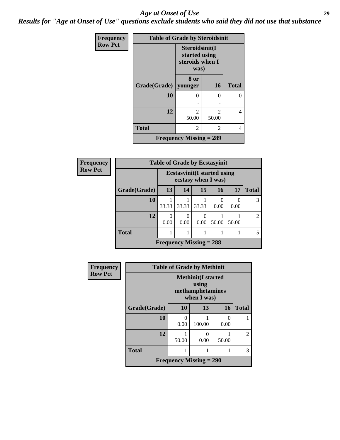#### *Age at Onset of Use* **29**

*Results for "Age at Onset of Use" questions exclude students who said they did not use that substance*

| Frequency      | <b>Table of Grade by Steroidsinit</b> |                                                            |                                      |              |  |  |
|----------------|---------------------------------------|------------------------------------------------------------|--------------------------------------|--------------|--|--|
| <b>Row Pct</b> |                                       | Steroidsinit(I<br>started using<br>steroids when I<br>was) |                                      |              |  |  |
|                | Grade(Grade)                          | 8 or<br>younger                                            | <b>16</b>                            | <b>Total</b> |  |  |
|                | 10                                    | 0                                                          | 0                                    | 0            |  |  |
|                | 12                                    | $\mathfrak{D}$<br>50.00                                    | $\mathcal{D}_{\mathcal{L}}$<br>50.00 | 4            |  |  |
|                | <b>Total</b>                          | $\overline{2}$                                             | $\mathfrak{D}$                       | 4            |  |  |
|                |                                       | <b>Frequency Missing = 289</b>                             |                                      |              |  |  |

| <b>Frequency</b> | <b>Table of Grade by Ecstasyinit</b> |                                                            |           |           |           |       |                |
|------------------|--------------------------------------|------------------------------------------------------------|-----------|-----------|-----------|-------|----------------|
| <b>Row Pct</b>   |                                      | <b>Ecstasyinit</b> (I started using<br>ecstasy when I was) |           |           |           |       |                |
|                  | Grade(Grade)                         | 13                                                         | 14        | 15        | 16        | 17    | <b>Total</b>   |
|                  | 10                                   | 33.33                                                      | 33.33     | 33.33     | 0<br>0.00 | 0.00  | 3              |
|                  | 12                                   | 0<br>0.00                                                  | 0<br>0.00 | 0<br>0.00 | 50.00     | 50.00 | $\mathfrak{D}$ |
|                  | <b>Total</b>                         |                                                            |           |           |           |       | 5              |
|                  |                                      | Frequency Missing $= 288$                                  |           |           |           |       |                |

| Frequency      |              | <b>Table of Grade by Methinit</b> |                                                                       |                           |                |
|----------------|--------------|-----------------------------------|-----------------------------------------------------------------------|---------------------------|----------------|
| <b>Row Pct</b> |              |                                   | <b>Methinit(I started</b><br>using<br>methamphetamines<br>when I was) |                           |                |
|                | Grade(Grade) | 10                                | 13                                                                    | 16                        | <b>Total</b>   |
|                | 10           | 0<br>0.00                         | 100.00                                                                | $\mathbf{\Omega}$<br>0.00 |                |
|                | 12           | 50.00                             | $\mathbf{\Omega}$<br>0.00                                             | 50.00                     | $\overline{c}$ |
|                | <b>Total</b> |                                   |                                                                       |                           | 3              |
|                |              | <b>Frequency Missing = 290</b>    |                                                                       |                           |                |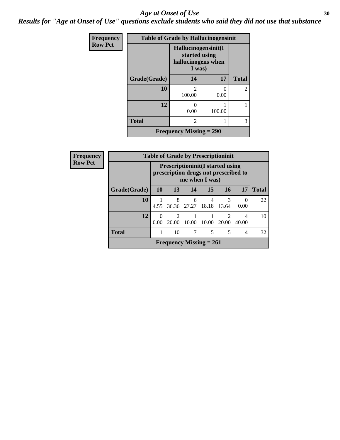#### Age at Onset of Use **30**

*Results for "Age at Onset of Use" questions exclude students who said they did not use that substance*

| Frequency      |              |                                                                      | <b>Table of Grade by Hallucinogensinit</b> |                |  |  |
|----------------|--------------|----------------------------------------------------------------------|--------------------------------------------|----------------|--|--|
| <b>Row Pct</b> |              | Hallucinogensinit(I<br>started using<br>hallucinogens when<br>I was) |                                            |                |  |  |
|                | Grade(Grade) | 14                                                                   | 17                                         | <b>Total</b>   |  |  |
|                | 10           | $\mathfrak{D}$<br>100.00                                             | 0<br>0.00                                  | $\overline{2}$ |  |  |
|                | 12           | 0<br>0.00                                                            | 100.00                                     |                |  |  |
|                | <b>Total</b> | $\overline{c}$                                                       |                                            | 3              |  |  |
|                |              | Frequency Missing $= 290$                                            |                                            |                |  |  |

| <b>Frequency</b> | <b>Table of Grade by Prescriptioninit</b>                                                          |           |                         |            |                           |                        |            |              |
|------------------|----------------------------------------------------------------------------------------------------|-----------|-------------------------|------------|---------------------------|------------------------|------------|--------------|
| <b>Row Pct</b>   | <b>Prescriptioninit (I started using</b><br>prescription drugs not prescribed to<br>me when I was) |           |                         |            |                           |                        |            |              |
|                  | Grade(Grade)                                                                                       | <b>10</b> | 13                      | 14         | 15                        | 16                     | 17         | <b>Total</b> |
|                  | <b>10</b>                                                                                          | 4.55      | 8<br>36.36              | 6<br>27.27 | 4<br>18.18                | 3<br>13.64             | 0<br>0.00  | 22           |
|                  | 12                                                                                                 | 0.00      | $\mathfrak{D}$<br>20.00 | 10.00      | 10.00                     | $\mathcal{D}$<br>20.00 | 4<br>40.00 | 10           |
|                  | <b>Total</b>                                                                                       |           | 10                      | 7          | 5                         | 5                      | 4          | 32           |
|                  |                                                                                                    |           |                         |            | Frequency Missing $= 261$ |                        |            |              |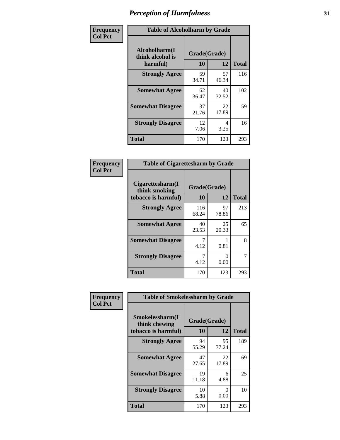| Frequency      | <b>Table of Alcoholharm by Grade</b>          |                    |             |              |  |
|----------------|-----------------------------------------------|--------------------|-------------|--------------|--|
| <b>Col Pct</b> | Alcoholharm(I<br>think alcohol is<br>harmful) | Grade(Grade)<br>10 | 12          | <b>Total</b> |  |
|                | <b>Strongly Agree</b>                         | 59<br>34.71        | 57<br>46.34 | 116          |  |
|                | <b>Somewhat Agree</b>                         | 62<br>36.47        | 40<br>32.52 | 102          |  |
|                | <b>Somewhat Disagree</b>                      | 37<br>21.76        | 22<br>17.89 | 59           |  |
|                | <b>Strongly Disagree</b>                      | 12<br>7.06         | 4<br>3.25   | 16           |  |
|                | <b>Total</b>                                  | 170                | 123         | 293          |  |

|                                                          | <b>Table of Cigarettesharm by Grade</b> |                           |              |  |  |  |
|----------------------------------------------------------|-----------------------------------------|---------------------------|--------------|--|--|--|
| Cigarettesharm(I<br>think smoking<br>tobacco is harmful) | Grade(Grade)<br>10                      | 12                        | <b>Total</b> |  |  |  |
| <b>Strongly Agree</b>                                    | 116<br>68.24                            | 97<br>78.86               | 213          |  |  |  |
| <b>Somewhat Agree</b>                                    | 40<br>23.53                             | 25<br>20.33               | 65           |  |  |  |
| <b>Somewhat Disagree</b>                                 | 7<br>4.12                               | 0.81                      | 8            |  |  |  |
| <b>Strongly Disagree</b>                                 | 7<br>4.12                               | $\mathbf{\Omega}$<br>0.00 | 7            |  |  |  |
| <b>Total</b>                                             | 170                                     | 123                       | 293          |  |  |  |

| Frequency      | <b>Table of Smokelessharm by Grade</b>                  |                    |             |              |
|----------------|---------------------------------------------------------|--------------------|-------------|--------------|
| <b>Col Pct</b> | Smokelessharm(I<br>think chewing<br>tobacco is harmful) | Grade(Grade)<br>10 | 12          | <b>Total</b> |
|                | <b>Strongly Agree</b>                                   | 94<br>55.29        | 95<br>77.24 | 189          |
|                | <b>Somewhat Agree</b>                                   | 47<br>27.65        | 22<br>17.89 | 69           |
|                | <b>Somewhat Disagree</b>                                | 19<br>11.18        | 6<br>4.88   | 25           |
|                | <b>Strongly Disagree</b>                                | 10<br>5.88         | 0<br>0.00   | 10           |
|                | Total                                                   | 170                | 123         | 293          |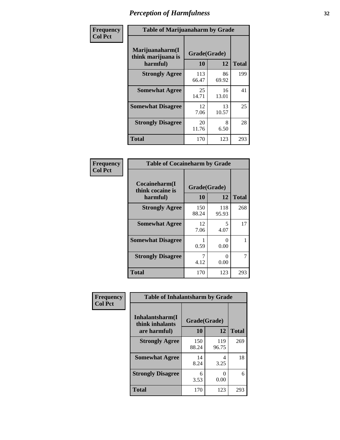| Frequency      | <b>Table of Marijuanaharm by Grade</b>            |                    |             |              |  |
|----------------|---------------------------------------------------|--------------------|-------------|--------------|--|
| <b>Col Pct</b> | Marijuanaharm(I<br>think marijuana is<br>harmful) | Grade(Grade)<br>10 | 12          | <b>Total</b> |  |
|                | <b>Strongly Agree</b>                             | 113<br>66.47       | 86<br>69.92 | 199          |  |
|                | <b>Somewhat Agree</b>                             | 25<br>14.71        | 16<br>13.01 | 41           |  |
|                | <b>Somewhat Disagree</b>                          | 12<br>7.06         | 13<br>10.57 | 25           |  |
|                | <b>Strongly Disagree</b>                          | 20<br>11.76        | 8<br>6.50   | 28           |  |
|                | <b>Total</b>                                      | 170                | 123         | 293          |  |

| <b>Table of Cocaineharm by Grade</b>          |                    |                           |              |  |  |
|-----------------------------------------------|--------------------|---------------------------|--------------|--|--|
| Cocaineharm(I<br>think cocaine is<br>harmful) | Grade(Grade)<br>10 | 12                        | <b>Total</b> |  |  |
| <b>Strongly Agree</b>                         | 150<br>88.24       | 118<br>95.93              | 268          |  |  |
| <b>Somewhat Agree</b>                         | 12<br>7.06         | 5<br>4.07                 | 17           |  |  |
| <b>Somewhat Disagree</b>                      | 0.59               | $\mathbf{\Omega}$<br>0.00 |              |  |  |
| <b>Strongly Disagree</b>                      | 7<br>4.12          | ∩<br>0.00                 | 7            |  |  |
| Total                                         | 170                | 123                       | 293          |  |  |

| Frequency      | <b>Table of Inhalantsharm by Grade</b> |              |              |              |  |
|----------------|----------------------------------------|--------------|--------------|--------------|--|
| <b>Col Pct</b> | Inhalantsharm(I<br>think inhalants     | Grade(Grade) |              |              |  |
|                | are harmful)                           | 10           | 12           | <b>Total</b> |  |
|                | <b>Strongly Agree</b>                  | 150<br>88.24 | 119<br>96.75 | 269          |  |
|                | <b>Somewhat Agree</b>                  | 14<br>8.24   | 4<br>3.25    | 18           |  |
|                | <b>Strongly Disagree</b>               | 6<br>3.53    | 0<br>0.00    | 6            |  |
|                | Total                                  | 170          | 123          | 293          |  |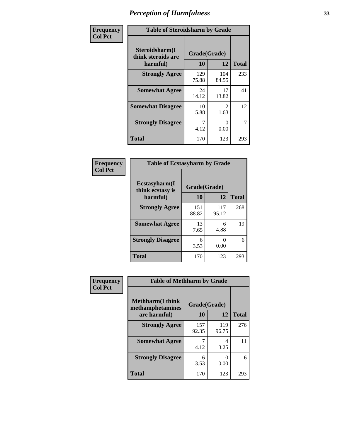| Frequency      | <b>Table of Steroidsharm by Grade</b>            |                    |                        |              |
|----------------|--------------------------------------------------|--------------------|------------------------|--------------|
| <b>Col Pct</b> | Steroidsharm(I<br>think steroids are<br>harmful) | Grade(Grade)<br>10 | 12                     | <b>Total</b> |
|                | <b>Strongly Agree</b>                            | 129<br>75.88       | 104<br>84.55           | 233          |
|                | <b>Somewhat Agree</b>                            | 24<br>14.12        | 17<br>13.82            | 41           |
|                | <b>Somewhat Disagree</b>                         | 10<br>5.88         | $\mathfrak{D}$<br>1.63 | 12           |
|                | <b>Strongly Disagree</b>                         | 4.12               | ∩<br>0.00              | 7            |
|                | <b>Total</b>                                     | 170                | 123                    | 293          |

| <b>Table of Ecstasyharm by Grade</b> |              |                           |              |  |  |
|--------------------------------------|--------------|---------------------------|--------------|--|--|
| Ecstasyharm(I<br>think ecstasy is    | Grade(Grade) |                           |              |  |  |
| harmful)                             | 10           | 12                        | <b>Total</b> |  |  |
| <b>Strongly Agree</b>                | 151<br>88.82 | 117<br>95.12              | 268          |  |  |
| <b>Somewhat Agree</b>                | 13<br>7.65   | 6<br>4.88                 | 19           |  |  |
| <b>Strongly Disagree</b>             | 6<br>3.53    | $\mathbf{\Omega}$<br>0.00 | 6            |  |  |
| <b>Total</b>                         | 170          | 123                       | 293          |  |  |

| Frequency      | <b>Table of Methharm by Grade</b>            |              |              |              |  |
|----------------|----------------------------------------------|--------------|--------------|--------------|--|
| <b>Col Pct</b> | <b>Methharm</b> (I think<br>methamphetamines |              |              |              |  |
|                | are harmful)                                 | 10           | 12           | <b>Total</b> |  |
|                | <b>Strongly Agree</b>                        | 157<br>92.35 | 119<br>96.75 | 276          |  |
|                | <b>Somewhat Agree</b>                        | 4.12         | 4<br>3.25    | 11           |  |
|                | <b>Strongly Disagree</b>                     | 6<br>3.53    | 0.00         | 6            |  |
|                | Total                                        | 170          | 123          | 293          |  |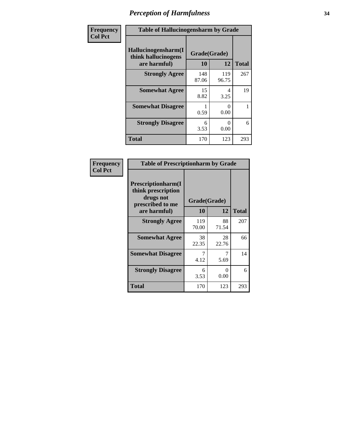| Frequency      | <b>Table of Hallucinogensharm by Grade</b>                 |                    |              |              |
|----------------|------------------------------------------------------------|--------------------|--------------|--------------|
| <b>Col Pct</b> | Hallucinogensharm(I<br>think hallucinogens<br>are harmful) | Grade(Grade)<br>10 | 12           | <b>Total</b> |
|                | <b>Strongly Agree</b>                                      | 148<br>87.06       | 119<br>96.75 | 267          |
|                | <b>Somewhat Agree</b>                                      | 15<br>8.82         | 4<br>3.25    | 19           |
|                | <b>Somewhat Disagree</b>                                   | 0.59               | 0<br>0.00    | 1            |
|                | <b>Strongly Disagree</b>                                   | 6<br>3.53          | 0<br>0.00    | 6            |
|                | <b>Total</b>                                               | 170                | 123          | 293          |

| <b>Table of Prescriptionharm by Grade</b>                                         |              |                           |              |  |
|-----------------------------------------------------------------------------------|--------------|---------------------------|--------------|--|
| <b>Prescriptionharm(I)</b><br>think prescription<br>drugs not<br>prescribed to me | Grade(Grade) |                           |              |  |
| are harmful)                                                                      | 10           | 12                        | <b>Total</b> |  |
| <b>Strongly Agree</b>                                                             | 119<br>70.00 | 88<br>71.54               | 207          |  |
| <b>Somewhat Agree</b>                                                             | 38<br>22.35  | 28<br>22.76               | 66           |  |
| <b>Somewhat Disagree</b>                                                          | 4.12         | 5.69                      | 14           |  |
| <b>Strongly Disagree</b>                                                          | 6<br>3.53    | $\mathbf{\Omega}$<br>0.00 | 6            |  |
| <b>Total</b>                                                                      | 170          | 123                       | 293          |  |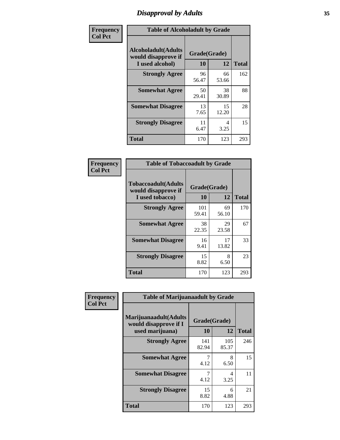# *Disapproval by Adults* **35**

| Frequency      | <b>Table of Alcoholadult by Grade</b>                                 |                    |             |              |  |
|----------------|-----------------------------------------------------------------------|--------------------|-------------|--------------|--|
| <b>Col Pct</b> | <b>Alcoholadult</b> (Adults<br>would disapprove if<br>I used alcohol) | Grade(Grade)<br>10 | 12          | <b>Total</b> |  |
|                | <b>Strongly Agree</b>                                                 | 96<br>56.47        | 66<br>53.66 | 162          |  |
|                | <b>Somewhat Agree</b>                                                 | 50<br>29.41        | 38<br>30.89 | 88           |  |
|                | <b>Somewhat Disagree</b>                                              | 13<br>7.65         | 15<br>12.20 | 28           |  |
|                | <b>Strongly Disagree</b>                                              | 11<br>6.47         | 4<br>3.25   | 15           |  |
|                | <b>Total</b>                                                          | 170                | 123         | 293          |  |

| <b>Table of Tobaccoadult by Grade</b>                                |                    |             |              |  |
|----------------------------------------------------------------------|--------------------|-------------|--------------|--|
| <b>Tobaccoadult(Adults</b><br>would disapprove if<br>I used tobacco) | Grade(Grade)<br>10 | 12          | <b>Total</b> |  |
| <b>Strongly Agree</b>                                                | 101<br>59.41       | 69<br>56.10 | 170          |  |
| <b>Somewhat Agree</b>                                                | 38<br>22.35        | 29<br>23.58 | 67           |  |
| <b>Somewhat Disagree</b>                                             | 16<br>9.41         | 17<br>13.82 | 33           |  |
| <b>Strongly Disagree</b>                                             | 15<br>8.82         | 8<br>6.50   | 23           |  |
| <b>Total</b>                                                         | 170                | 123         | 293          |  |

| Frequency      | <b>Table of Marijuanaadult by Grade</b>                           |                    |                        |              |  |
|----------------|-------------------------------------------------------------------|--------------------|------------------------|--------------|--|
| <b>Col Pct</b> | Marijuanaadult(Adults<br>would disapprove if I<br>used marijuana) | Grade(Grade)<br>10 | 12                     | <b>Total</b> |  |
|                | <b>Strongly Agree</b>                                             | 141<br>82.94       | 105<br>85.37           | 246          |  |
|                | <b>Somewhat Agree</b>                                             | 7<br>4.12          | 8<br>6.50              | 15           |  |
|                | <b>Somewhat Disagree</b>                                          | 7<br>4.12          | $\overline{4}$<br>3.25 | 11           |  |
|                | <b>Strongly Disagree</b>                                          | 15<br>8.82         | 6<br>4.88              | 21           |  |
|                | <b>Total</b>                                                      | 170                | 123                    | 293          |  |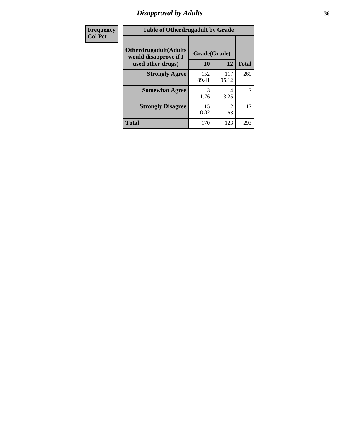# *Disapproval by Adults* **36**

| Frequency      | <b>Table of Otherdrugadult by Grade</b>                                     |                    |                                     |              |  |
|----------------|-----------------------------------------------------------------------------|--------------------|-------------------------------------|--------------|--|
| <b>Col Pct</b> | <b>Otherdrugadult</b> (Adults<br>would disapprove if I<br>used other drugs) | Grade(Grade)<br>10 | 12                                  | <b>Total</b> |  |
|                | <b>Strongly Agree</b>                                                       | 152<br>89.41       | 117<br>95.12                        | 269          |  |
|                | <b>Somewhat Agree</b>                                                       | 3<br>1.76          | 4<br>3.25                           | 7            |  |
|                | <b>Strongly Disagree</b>                                                    | 15<br>8.82         | $\mathcal{D}_{\mathcal{L}}$<br>1.63 | 17           |  |
|                | <b>Total</b>                                                                | 170                | 123                                 | 293          |  |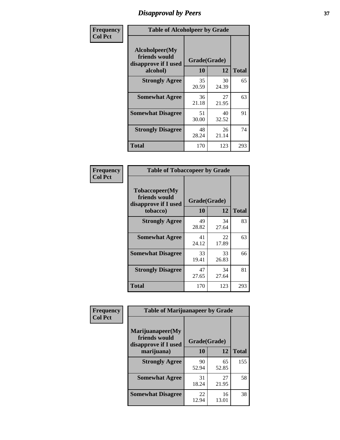## *Disapproval by Peers* **37**

| Frequency      | <b>Table of Alcoholpeer by Grade</b>                    |              |             |              |
|----------------|---------------------------------------------------------|--------------|-------------|--------------|
| <b>Col Pct</b> | Alcoholpeer(My<br>friends would<br>disapprove if I used | Grade(Grade) |             |              |
|                | alcohol)                                                | 10           | 12          | <b>Total</b> |
|                | <b>Strongly Agree</b>                                   | 35<br>20.59  | 30<br>24.39 | 65           |
|                | <b>Somewhat Agree</b>                                   | 36<br>21.18  | 27<br>21.95 | 63           |
|                | <b>Somewhat Disagree</b>                                | 51<br>30.00  | 40<br>32.52 | 91           |
|                | <b>Strongly Disagree</b>                                | 48<br>28.24  | 26<br>21.14 | 74           |
|                | Total                                                   | 170          | 123         | 293          |

| Frequency      | <b>Table of Tobaccopeer by Grade</b>                                |                    |             |              |
|----------------|---------------------------------------------------------------------|--------------------|-------------|--------------|
| <b>Col Pct</b> | Tobaccopeer(My<br>friends would<br>disapprove if I used<br>tobacco) | Grade(Grade)<br>10 | 12          | <b>Total</b> |
|                | <b>Strongly Agree</b>                                               | 49<br>28.82        | 34<br>27.64 | 83           |
|                | <b>Somewhat Agree</b>                                               | 41<br>24.12        | 22<br>17.89 | 63           |
|                | <b>Somewhat Disagree</b>                                            | 33<br>19.41        | 33<br>26.83 | 66           |
|                | <b>Strongly Disagree</b>                                            | 47<br>27.65        | 34<br>27.64 | 81           |
|                | Total                                                               | 170                | 123         | 293          |

| Frequency      | <b>Table of Marijuanapeer by Grade</b>                    |              |             |              |
|----------------|-----------------------------------------------------------|--------------|-------------|--------------|
| <b>Col Pct</b> | Marijuanapeer(My<br>friends would<br>disapprove if I used | Grade(Grade) |             |              |
|                | marijuana)                                                | 10           | 12          | <b>Total</b> |
|                | <b>Strongly Agree</b>                                     | 90<br>52.94  | 65<br>52.85 | 155          |
|                | <b>Somewhat Agree</b>                                     | 31<br>18.24  | 27<br>21.95 | 58           |
|                | <b>Somewhat Disagree</b>                                  | 22<br>12.94  | 16<br>13.01 | 38           |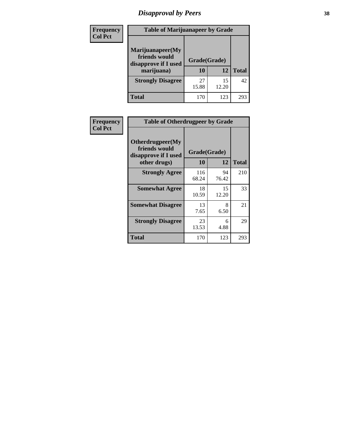# *Disapproval by Peers* **38**

| <b>Frequency</b> | <b>Table of Marijuanapeer by Grade</b>                                  |                           |             |              |  |
|------------------|-------------------------------------------------------------------------|---------------------------|-------------|--------------|--|
| <b>Col Pct</b>   | Marijuanapeer(My<br>friends would<br>disapprove if I used<br>marijuana) | Grade(Grade)<br><b>10</b> | 12          | <b>Total</b> |  |
|                  | <b>Strongly Disagree</b>                                                | 27<br>15.88               | 15<br>12.20 | 42           |  |
|                  | <b>Total</b>                                                            | 170                       | 123         | 293          |  |

| <b>Frequency</b> | <b>Table of Otherdrugpeer by Grade</b>                                    |                           |             |              |
|------------------|---------------------------------------------------------------------------|---------------------------|-------------|--------------|
| <b>Col Pct</b>   | Otherdrugpeer(My<br>friends would<br>disapprove if I used<br>other drugs) | Grade(Grade)<br><b>10</b> | 12          | <b>Total</b> |
|                  | <b>Strongly Agree</b>                                                     | 116<br>68.24              | 94<br>76.42 | 210          |
|                  | <b>Somewhat Agree</b>                                                     | 18<br>10.59               | 15<br>12.20 | 33           |
|                  | <b>Somewhat Disagree</b>                                                  | 13<br>7.65                | 8<br>6.50   | 21           |
|                  | <b>Strongly Disagree</b>                                                  | 23<br>13.53               | 6<br>4.88   | 29           |
|                  | <b>Total</b>                                                              | 170                       | 123         | 293          |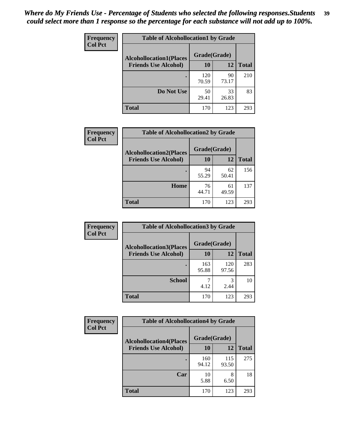| Frequency<br><b>Col Pct</b> | <b>Table of Alcohollocation1 by Grade</b> |              |             |              |  |
|-----------------------------|-------------------------------------------|--------------|-------------|--------------|--|
|                             | <b>Alcohollocation1(Places</b>            | Grade(Grade) |             |              |  |
|                             | <b>Friends Use Alcohol)</b>               | 10           | 12          | <b>Total</b> |  |
|                             |                                           | 120<br>70.59 | 90<br>73.17 | 210          |  |
|                             | Do Not Use                                | 50<br>29.41  | 33<br>26.83 | 83           |  |
|                             | <b>Total</b>                              | 170          | 123         | 293          |  |

| Frequency      | <b>Table of Alcohollocation2 by Grade</b>                     |                    |             |              |
|----------------|---------------------------------------------------------------|--------------------|-------------|--------------|
| <b>Col Pct</b> | <b>Alcohollocation2(Places</b><br><b>Friends Use Alcohol)</b> | Grade(Grade)<br>10 | <b>12</b>   | <b>Total</b> |
|                |                                                               | 94<br>55.29        | 62<br>50.41 | 156          |
|                | Home                                                          | 76<br>44.71        | 61<br>49.59 | 137          |
|                | <b>Total</b>                                                  | 170                | 123         | 293          |

| Frequency<br><b>Col Pct</b> | <b>Table of Alcohollocation 3 by Grade</b>                    |                    |              |              |  |
|-----------------------------|---------------------------------------------------------------|--------------------|--------------|--------------|--|
|                             | <b>Alcohollocation3(Places</b><br><b>Friends Use Alcohol)</b> | Grade(Grade)<br>10 | 12           | <b>Total</b> |  |
|                             |                                                               | 163<br>95.88       | 120<br>97.56 | 283          |  |
|                             | <b>School</b>                                                 | 4.12               | 3<br>2.44    | 10           |  |
|                             | <b>Total</b>                                                  | 170                | 123          | 293          |  |

| <b>Frequency</b> | <b>Table of Alcohollocation4 by Grade</b> |              |              |              |  |
|------------------|-------------------------------------------|--------------|--------------|--------------|--|
| <b>Col Pct</b>   | <b>Alcohollocation4(Places</b>            | Grade(Grade) |              |              |  |
|                  | <b>Friends Use Alcohol)</b>               | 10           | 12           | <b>Total</b> |  |
|                  |                                           | 160<br>94.12 | 115<br>93.50 | 275          |  |
|                  | Car                                       | 10<br>5.88   | 8<br>6.50    | 18           |  |
|                  | <b>Total</b>                              | 170          | 123          | 293          |  |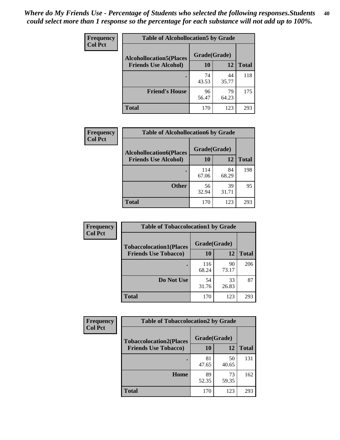| Frequency<br><b>Col Pct</b> | <b>Table of Alcohollocation5 by Grade</b> |              |             |              |
|-----------------------------|-------------------------------------------|--------------|-------------|--------------|
|                             | <b>Alcohollocation5(Places</b>            | Grade(Grade) |             |              |
|                             | <b>Friends Use Alcohol)</b>               | 10           | 12          | <b>Total</b> |
|                             |                                           | 74<br>43.53  | 44<br>35.77 | 118          |
|                             | <b>Friend's House</b>                     | 96<br>56.47  | 79<br>64.23 | 175          |
|                             | <b>Total</b>                              | 170          | 123         | 293          |

| <b>Frequency</b> | <b>Table of Alcohollocation6 by Grade</b> |              |             |              |
|------------------|-------------------------------------------|--------------|-------------|--------------|
| <b>Col Pct</b>   | <b>Alcohollocation6(Places</b>            | Grade(Grade) |             |              |
|                  | <b>Friends Use Alcohol)</b>               | 10           | 12          | <b>Total</b> |
|                  |                                           | 114<br>67.06 | 84<br>68.29 | 198          |
|                  | <b>Other</b>                              | 56<br>32.94  | 39<br>31.71 | 95           |
|                  | <b>Total</b>                              | 170          | 123         | 293          |

| Frequency      | <b>Table of Tobaccolocation1 by Grade</b> |              |             |              |
|----------------|-------------------------------------------|--------------|-------------|--------------|
| <b>Col Pct</b> | <b>Tobaccolocation1(Places</b>            | Grade(Grade) |             |              |
|                | <b>Friends Use Tobacco)</b>               | 10           | <b>12</b>   | <b>Total</b> |
|                |                                           | 116<br>68.24 | 90<br>73.17 | 206          |
|                | Do Not Use                                | 54<br>31.76  | 33<br>26.83 | 87           |
|                | <b>Total</b>                              | 170          | 123         | 293          |

| <b>Frequency</b> | <b>Table of Tobaccolocation2 by Grade</b> |              |             |              |  |  |
|------------------|-------------------------------------------|--------------|-------------|--------------|--|--|
| <b>Col Pct</b>   | <b>Tobaccolocation2(Places</b>            | Grade(Grade) |             |              |  |  |
|                  | <b>Friends Use Tobacco)</b>               | 10           | 12          | <b>Total</b> |  |  |
|                  |                                           | 81<br>47.65  | 50<br>40.65 | 131          |  |  |
|                  | Home                                      | 89<br>52.35  | 73<br>59.35 | 162          |  |  |
|                  | <b>Total</b>                              | 170          | 123         | 293          |  |  |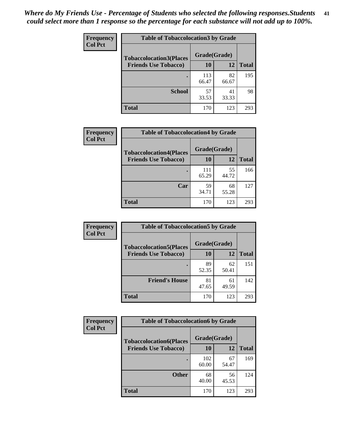| Frequency      | <b>Table of Tobaccolocation 3 by Grade</b> |              |             |              |
|----------------|--------------------------------------------|--------------|-------------|--------------|
| <b>Col Pct</b> | <b>Tobaccolocation3(Places</b>             | Grade(Grade) |             |              |
|                | <b>Friends Use Tobacco)</b>                | 10           | 12          | <b>Total</b> |
|                |                                            | 113<br>66.47 | 82<br>66.67 | 195          |
|                | <b>School</b>                              | 57<br>33.53  | 41<br>33.33 | 98           |
|                | <b>Total</b>                               | 170          | 123         | 293          |

| Frequency      | <b>Table of Tobaccolocation4 by Grade</b>                     |                           |             |              |
|----------------|---------------------------------------------------------------|---------------------------|-------------|--------------|
| <b>Col Pct</b> | <b>Tobaccolocation4(Places</b><br><b>Friends Use Tobacco)</b> | Grade(Grade)<br><b>10</b> | 12          | <b>Total</b> |
|                |                                                               | 111<br>65.29              | 55<br>44.72 | 166          |
|                | Car                                                           | 59<br>34.71               | 68<br>55.28 | 127          |
|                | <b>Total</b>                                                  | 170                       | 123         | 293          |

| Frequency      | <b>Table of Tobaccolocation5 by Grade</b> |              |             |              |
|----------------|-------------------------------------------|--------------|-------------|--------------|
| <b>Col Pct</b> | <b>Tobaccolocation5(Places</b>            | Grade(Grade) |             |              |
|                | <b>Friends Use Tobacco)</b>               | 10           | 12          | <b>Total</b> |
|                |                                           | 89<br>52.35  | 62<br>50.41 | 151          |
|                | <b>Friend's House</b>                     | 81<br>47.65  | 61<br>49.59 | 142          |
|                | <b>Total</b>                              | 170          | 123         | 293          |

| <b>Frequency</b> | <b>Table of Tobaccolocation6 by Grade</b> |              |             |              |  |
|------------------|-------------------------------------------|--------------|-------------|--------------|--|
| <b>Col Pct</b>   | <b>Tobaccolocation6(Places</b>            | Grade(Grade) |             |              |  |
|                  | <b>Friends Use Tobacco)</b>               | 10           | 12          | <b>Total</b> |  |
|                  |                                           | 102<br>60.00 | 67<br>54.47 | 169          |  |
|                  | <b>Other</b>                              | 68<br>40.00  | 56<br>45.53 | 124          |  |
|                  | <b>Total</b>                              | 170          | 123         | 293          |  |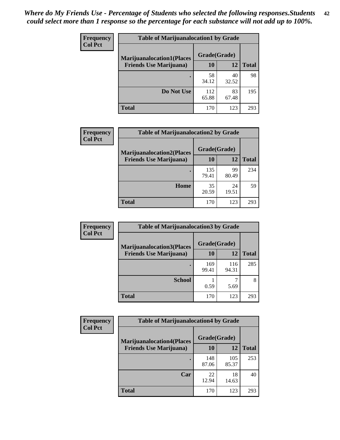| <b>Frequency</b> | <b>Table of Marijuanalocation1 by Grade</b> |              |             |              |
|------------------|---------------------------------------------|--------------|-------------|--------------|
| <b>Col Pct</b>   | <b>Marijuanalocation1(Places</b>            | Grade(Grade) |             |              |
|                  | <b>Friends Use Marijuana</b> )              | 10           | 12          | <b>Total</b> |
|                  |                                             | 58<br>34.12  | 40<br>32.52 | 98           |
|                  | Do Not Use                                  | 112<br>65.88 | 83<br>67.48 | 195          |
|                  | <b>Total</b>                                | 170          | 123         | 293          |

| <b>Frequency</b> | <b>Table of Marijuanalocation2 by Grade</b>                        |                    |             |              |
|------------------|--------------------------------------------------------------------|--------------------|-------------|--------------|
| <b>Col Pct</b>   | <b>Marijuanalocation2(Places</b><br><b>Friends Use Marijuana</b> ) | Grade(Grade)<br>10 | 12          | <b>Total</b> |
|                  |                                                                    | 135<br>79.41       | 99<br>80.49 | 234          |
|                  | Home                                                               | 35<br>20.59        | 24<br>19.51 | 59           |
|                  | <b>Total</b>                                                       | 170                | 123         | 293          |

| Frequency<br><b>Col Pct</b> | <b>Table of Marijuanalocation3 by Grade</b> |              |              |       |
|-----------------------------|---------------------------------------------|--------------|--------------|-------|
|                             | <b>Marijuanalocation3(Places</b>            | Grade(Grade) |              |       |
|                             | <b>Friends Use Marijuana</b> )              | 10           | 12           | Total |
|                             |                                             | 169<br>99.41 | 116<br>94.31 | 285   |
|                             | <b>School</b>                               | 0.59         | 5.69         | 8     |
|                             | <b>Total</b>                                | 170          | 123          | 293   |

| <b>Frequency</b> | <b>Table of Marijuanalocation4 by Grade</b> |              |              |              |  |
|------------------|---------------------------------------------|--------------|--------------|--------------|--|
| <b>Col Pct</b>   | <b>Marijuanalocation4(Places</b>            | Grade(Grade) |              |              |  |
|                  | <b>Friends Use Marijuana</b> )              | <b>10</b>    | 12           | <b>Total</b> |  |
|                  |                                             | 148<br>87.06 | 105<br>85.37 | 253          |  |
|                  | Car                                         | 22<br>12.94  | 18<br>14.63  | 40           |  |
|                  | <b>Total</b>                                | 170          | 123          | 293          |  |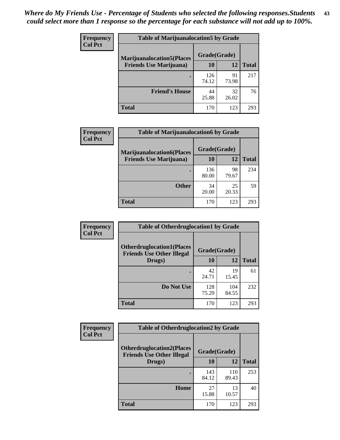| <b>Frequency</b> | <b>Table of Marijuanalocation5 by Grade</b> |              |             |              |
|------------------|---------------------------------------------|--------------|-------------|--------------|
| <b>Col Pct</b>   | <b>Marijuanalocation5</b> (Places           | Grade(Grade) |             |              |
|                  | <b>Friends Use Marijuana</b> )              | 10           | 12          | <b>Total</b> |
|                  |                                             | 126<br>74.12 | 91<br>73.98 | 217          |
|                  | <b>Friend's House</b>                       | 44<br>25.88  | 32<br>26.02 | 76           |
|                  | <b>Total</b>                                | 170          | 123         | 293          |

| Frequency      | <b>Table of Marijuanalocation6 by Grade</b>                        |                    |             |              |
|----------------|--------------------------------------------------------------------|--------------------|-------------|--------------|
| <b>Col Pct</b> | <b>Marijuanalocation6(Places</b><br><b>Friends Use Marijuana</b> ) | Grade(Grade)<br>10 | 12          | <b>Total</b> |
|                |                                                                    |                    |             |              |
|                |                                                                    | 136<br>80.00       | 98<br>79.67 | 234          |
|                | <b>Other</b>                                                       | 34<br>20.00        | 25<br>20.33 | 59           |
|                | <b>Total</b>                                                       | 170                | 123         | 293          |

| <b>Frequency</b> | <b>Table of Otherdruglocation1 by Grade</b>                          |              |              |              |
|------------------|----------------------------------------------------------------------|--------------|--------------|--------------|
| <b>Col Pct</b>   | <b>Otherdruglocation1(Places</b><br><b>Friends Use Other Illegal</b> | Grade(Grade) |              |              |
|                  | Drugs)                                                               | 10           | 12           | <b>Total</b> |
|                  |                                                                      | 42<br>24.71  | 19<br>15.45  | 61           |
|                  | Do Not Use                                                           | 128<br>75.29 | 104<br>84.55 | 232          |
|                  | <b>Total</b>                                                         | 170          | 123          | 293          |

| Frequency      | <b>Table of Otherdruglocation2 by Grade</b>                           |              |              |              |
|----------------|-----------------------------------------------------------------------|--------------|--------------|--------------|
| <b>Col Pct</b> | <b>Otherdruglocation2(Places)</b><br><b>Friends Use Other Illegal</b> | Grade(Grade) |              |              |
|                | Drugs)                                                                | 10           | 12           | <b>Total</b> |
|                |                                                                       | 143<br>84.12 | 110<br>89.43 | 253          |
|                | <b>Home</b>                                                           | 27<br>15.88  | 13<br>10.57  | 40           |
|                | <b>Total</b>                                                          | 170          | 123          | 293          |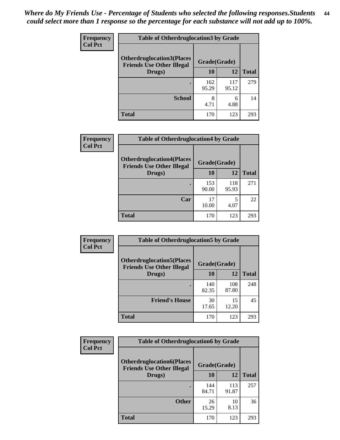| <b>Frequency</b> | <b>Table of Otherdruglocation 3 by Grade</b>                         |              |              |              |  |
|------------------|----------------------------------------------------------------------|--------------|--------------|--------------|--|
| <b>Col Pct</b>   | <b>Otherdruglocation3(Places</b><br><b>Friends Use Other Illegal</b> | Grade(Grade) |              |              |  |
|                  | Drugs)                                                               | 10           | 12           | <b>Total</b> |  |
|                  |                                                                      | 162<br>95.29 | 117<br>95.12 | 279          |  |
|                  | <b>School</b>                                                        | 8<br>4.71    | 6<br>4.88    | 14           |  |
|                  | <b>Total</b>                                                         | 170          | 123          | 293          |  |

| <b>Frequency</b> | <b>Table of Otherdruglocation4 by Grade</b>                          |              |              |              |
|------------------|----------------------------------------------------------------------|--------------|--------------|--------------|
| <b>Col Pct</b>   | <b>Otherdruglocation4(Places</b><br><b>Friends Use Other Illegal</b> | Grade(Grade) |              |              |
|                  | Drugs)                                                               | 10           | 12           | <b>Total</b> |
|                  |                                                                      | 153<br>90.00 | 118<br>95.93 | 271          |
|                  | Car                                                                  | 17<br>10.00  | 5<br>4.07    | 22           |
|                  | <b>Total</b>                                                         | 170          | 123          | 293          |

| Frequency      | <b>Table of Otherdruglocation5 by Grade</b>                          |              |              |              |
|----------------|----------------------------------------------------------------------|--------------|--------------|--------------|
| <b>Col Pct</b> | <b>Otherdruglocation5(Places</b><br><b>Friends Use Other Illegal</b> | Grade(Grade) |              |              |
|                | Drugs)                                                               | 10           | 12           | <b>Total</b> |
|                |                                                                      | 140<br>82.35 | 108<br>87.80 | 248          |
|                | <b>Friend's House</b>                                                | 30<br>17.65  | 15<br>12.20  | 45           |
|                | <b>Total</b>                                                         | 170          | 123          | 293          |

| <b>Frequency</b> | <b>Table of Otherdruglocation6 by Grade</b>                          |              |              |              |
|------------------|----------------------------------------------------------------------|--------------|--------------|--------------|
| <b>Col Pct</b>   | <b>Otherdruglocation6(Places</b><br><b>Friends Use Other Illegal</b> | Grade(Grade) |              |              |
|                  | Drugs)                                                               | 10           | 12           | <b>Total</b> |
|                  |                                                                      | 144<br>84.71 | 113<br>91.87 | 257          |
|                  | <b>Other</b>                                                         | 26<br>15.29  | 10<br>8.13   | 36           |
|                  | <b>Total</b>                                                         | 170          | 123          | 293          |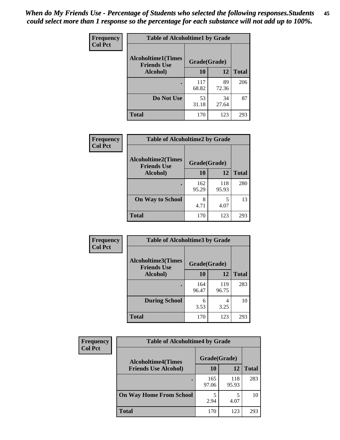| Frequency      | <b>Table of Alcoholtime1 by Grade</b>           |              |             |              |
|----------------|-------------------------------------------------|--------------|-------------|--------------|
| <b>Col Pct</b> | <b>Alcoholtime1(Times</b><br><b>Friends Use</b> | Grade(Grade) |             |              |
|                | Alcohol)                                        | 10           | <b>12</b>   | <b>Total</b> |
|                |                                                 | 117<br>68.82 | 89<br>72.36 | 206          |
|                | Do Not Use                                      | 53<br>31.18  | 34<br>27.64 | 87           |
|                | <b>Total</b>                                    | 170          | 123         | 293          |

| Frequency      | <b>Table of Alcoholtime2 by Grade</b>           |              |              |              |
|----------------|-------------------------------------------------|--------------|--------------|--------------|
| <b>Col Pct</b> | <b>Alcoholtime2(Times</b><br><b>Friends Use</b> | Grade(Grade) |              |              |
|                | Alcohol)                                        | 10           | 12           | <b>Total</b> |
|                |                                                 | 162<br>95.29 | 118<br>95.93 | 280          |
|                | <b>On Way to School</b>                         | 8<br>4.71    | 5<br>4.07    | 13           |
|                | <b>Total</b>                                    | 170          | 123          | 293          |

| Frequency<br><b>Col Pct</b> | <b>Table of Alcoholtime3 by Grade</b>           |              |              |              |
|-----------------------------|-------------------------------------------------|--------------|--------------|--------------|
|                             | <b>Alcoholtime3(Times</b><br><b>Friends Use</b> | Grade(Grade) |              |              |
|                             | Alcohol)                                        | 10           | 12           | <b>Total</b> |
|                             |                                                 | 164<br>96.47 | 119<br>96.75 | 283          |
|                             | <b>During School</b>                            | 6<br>3.53    | 4<br>3.25    | 10           |
|                             | Total                                           | 170          | 123          | 293          |

| <b>Frequency</b> | <b>Table of Alcoholtime4 by Grade</b> |              |              |              |  |
|------------------|---------------------------------------|--------------|--------------|--------------|--|
| <b>Col Pct</b>   | <b>Alcoholtime4(Times</b>             | Grade(Grade) |              |              |  |
|                  | <b>Friends Use Alcohol)</b>           | 10           | 12           | <b>Total</b> |  |
|                  |                                       | 165<br>97.06 | 118<br>95.93 | 283          |  |
|                  | <b>On Way Home From School</b>        | 5<br>2.94    | 4.07         | 10           |  |
|                  | <b>Total</b>                          | 170          | 123          | 293          |  |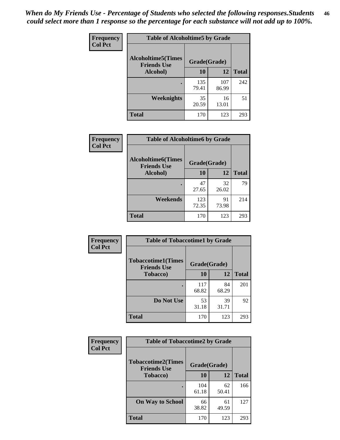*When do My Friends Use - Percentage of Students who selected the following responses.Students could select more than 1 response so the percentage for each substance will not add up to 100%.* **46**

| <b>Frequency</b> | <b>Table of Alcoholtime5 by Grade</b>           |              |              |              |
|------------------|-------------------------------------------------|--------------|--------------|--------------|
| <b>Col Pct</b>   | <b>Alcoholtime5(Times</b><br><b>Friends Use</b> | Grade(Grade) |              |              |
|                  | Alcohol)                                        | 10           | <b>12</b>    | <b>Total</b> |
|                  |                                                 | 135<br>79.41 | 107<br>86.99 | 242          |
|                  | Weeknights                                      | 35<br>20.59  | 16<br>13.01  | 51           |
|                  | <b>Total</b>                                    | 170          | 123          | 293          |

| <b>Frequency</b> |                                                 | <b>Table of Alcoholtime6 by Grade</b> |             |              |  |  |
|------------------|-------------------------------------------------|---------------------------------------|-------------|--------------|--|--|
| <b>Col Pct</b>   | <b>Alcoholtime6(Times</b><br><b>Friends Use</b> | Grade(Grade)                          |             |              |  |  |
|                  | Alcohol)                                        | 10                                    | 12          | <b>Total</b> |  |  |
|                  |                                                 | 47<br>27.65                           | 32<br>26.02 | 79           |  |  |
|                  | Weekends                                        | 123<br>72.35                          | 91<br>73.98 | 214          |  |  |
|                  | <b>Total</b>                                    | 170                                   | 123         | 293          |  |  |

| Frequency      | <b>Table of Tobaccotime1 by Grade</b>           |              |             |              |
|----------------|-------------------------------------------------|--------------|-------------|--------------|
| <b>Col Pct</b> | <b>Tobaccotime1(Times</b><br><b>Friends Use</b> | Grade(Grade) |             |              |
|                | <b>Tobacco</b> )                                | 10           | 12          | <b>Total</b> |
|                | ٠                                               | 117<br>68.82 | 84<br>68.29 | 201          |
|                | Do Not Use                                      | 53<br>31.18  | 39<br>31.71 | 92           |
|                | <b>Total</b>                                    | 170          | 123         | 293          |

| <b>Frequency</b> | <b>Table of Tobaccotime2 by Grade</b>           |              |             |              |
|------------------|-------------------------------------------------|--------------|-------------|--------------|
| <b>Col Pct</b>   | <b>Tobaccotime2(Times</b><br><b>Friends Use</b> | Grade(Grade) |             |              |
|                  | <b>Tobacco</b> )                                | 10           | <b>12</b>   | <b>Total</b> |
|                  |                                                 | 104<br>61.18 | 62<br>50.41 | 166          |
|                  | <b>On Way to School</b>                         | 66<br>38.82  | 61<br>49.59 | 127          |
|                  | <b>Total</b>                                    | 170          | 123         | 293          |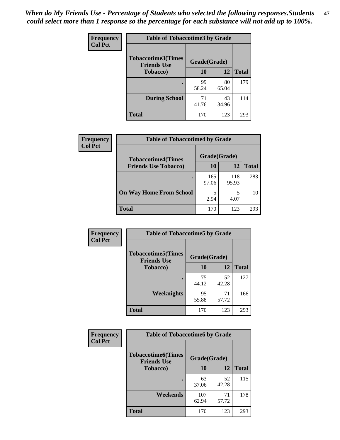*When do My Friends Use - Percentage of Students who selected the following responses.Students could select more than 1 response so the percentage for each substance will not add up to 100%.* **47**

| <b>Frequency</b> | <b>Table of Tobaccotime3 by Grade</b>           |              |             |              |  |
|------------------|-------------------------------------------------|--------------|-------------|--------------|--|
| <b>Col Pct</b>   | <b>Tobaccotime3(Times</b><br><b>Friends Use</b> | Grade(Grade) |             |              |  |
|                  | <b>Tobacco</b> )                                | 10           | 12          | <b>Total</b> |  |
|                  |                                                 | 99<br>58.24  | 80<br>65.04 | 179          |  |
|                  | <b>During School</b>                            | 71<br>41.76  | 43<br>34.96 | 114          |  |
|                  | <b>Total</b>                                    | 170          | 123         | 293          |  |

| <b>Frequency</b> | <b>Table of Tobaccotime4 by Grade</b> |              |              |              |
|------------------|---------------------------------------|--------------|--------------|--------------|
| <b>Col Pct</b>   | <b>Tobaccotime4(Times</b>             | Grade(Grade) |              |              |
|                  | <b>Friends Use Tobacco)</b>           | 10           | 12           | <b>Total</b> |
|                  |                                       | 165<br>97.06 | 118<br>95.93 | 283          |
|                  | <b>On Way Home From School</b>        | 5<br>2.94    | 5<br>4.07    | 10           |
|                  | <b>Total</b>                          | 170          | 123          | 293          |

| Frequency      | <b>Table of Tobaccotime5 by Grade</b>           |              |             |              |
|----------------|-------------------------------------------------|--------------|-------------|--------------|
| <b>Col Pct</b> | <b>Tobaccotime5(Times</b><br><b>Friends Use</b> | Grade(Grade) |             |              |
|                | <b>Tobacco</b> )                                | 10           | 12          | <b>Total</b> |
|                |                                                 | 75<br>44.12  | 52<br>42.28 | 127          |
|                | Weeknights                                      | 95<br>55.88  | 71<br>57.72 | 166          |
|                | <b>Total</b>                                    | 170          | 123         | 293          |

| <b>Frequency</b> | <b>Table of Tobaccotime6 by Grade</b>           |              |             |              |
|------------------|-------------------------------------------------|--------------|-------------|--------------|
| <b>Col Pct</b>   | <b>Tobaccotime6(Times</b><br><b>Friends Use</b> | Grade(Grade) |             |              |
|                  | <b>Tobacco</b> )                                | 10           | 12          | <b>Total</b> |
|                  |                                                 | 63<br>37.06  | 52<br>42.28 | 115          |
|                  | Weekends                                        | 107<br>62.94 | 71<br>57.72 | 178          |
|                  | Total                                           | 170          | 123         | 293          |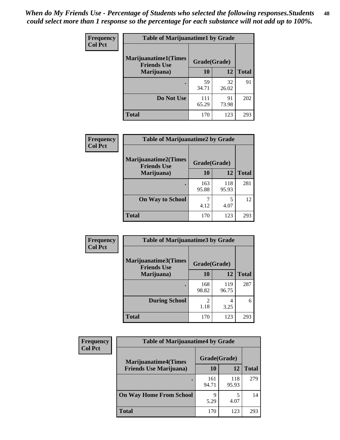| Frequency      | <b>Table of Marijuanatime1 by Grade</b>           |              |             |              |
|----------------|---------------------------------------------------|--------------|-------------|--------------|
| <b>Col Pct</b> | <b>Marijuanatime1(Times</b><br><b>Friends Use</b> | Grade(Grade) |             |              |
|                | Marijuana)                                        | 10           | 12          | <b>Total</b> |
|                |                                                   | 59<br>34.71  | 32<br>26.02 | 91           |
|                | Do Not Use                                        | 111<br>65.29 | 91<br>73.98 | 202          |
|                | <b>Total</b>                                      | 170          | 123         | 293          |

| Frequency      | <b>Table of Marijuanatime2 by Grade</b>           |              |              |              |
|----------------|---------------------------------------------------|--------------|--------------|--------------|
| <b>Col Pct</b> | <b>Marijuanatime2(Times</b><br><b>Friends Use</b> | Grade(Grade) |              |              |
|                | Marijuana)                                        | 10           | 12           | <b>Total</b> |
|                | ٠                                                 | 163<br>95.88 | 118<br>95.93 | 281          |
|                | <b>On Way to School</b>                           | 7<br>4.12    | 5<br>4.07    | 12           |
|                | <b>Total</b>                                      | 170          | 123          | 293          |

| Frequency      | <b>Table of Marijuanatime3 by Grade</b>    |              |              |              |
|----------------|--------------------------------------------|--------------|--------------|--------------|
| <b>Col Pct</b> | Marijuanatime3(Times<br><b>Friends Use</b> | Grade(Grade) |              |              |
|                | Marijuana)                                 | 10           | 12           | <b>Total</b> |
|                |                                            | 168<br>98.82 | 119<br>96.75 | 287          |
|                | <b>During School</b>                       | 2<br>1.18    | 4<br>3.25    | 6            |
|                | <b>Total</b>                               | 170          | 123          | 293          |

| <b>Frequency</b><br><b>Col Pct</b> | <b>Table of Marijuanatime4 by Grade</b> |              |              |              |
|------------------------------------|-----------------------------------------|--------------|--------------|--------------|
|                                    | <b>Marijuanatime4(Times</b>             | Grade(Grade) |              |              |
|                                    | <b>Friends Use Marijuana</b> )          | 10           | 12           | <b>Total</b> |
|                                    |                                         | 161<br>94.71 | 118<br>95.93 | 279          |
|                                    | <b>On Way Home From School</b>          | Q<br>5.29    | 4.07         | 14           |
|                                    | <b>Total</b>                            | 170          | 123          | 293          |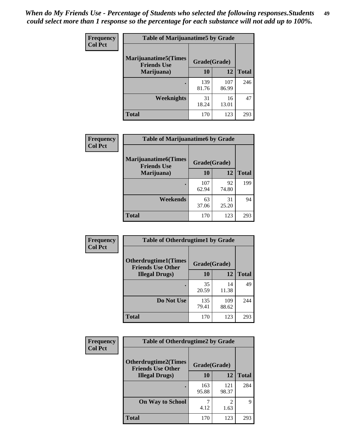| Frequency      | <b>Table of Marijuanatime5 by Grade</b>            |              |              |              |
|----------------|----------------------------------------------------|--------------|--------------|--------------|
| <b>Col Pct</b> | <b>Marijuanatime5</b> (Times<br><b>Friends Use</b> | Grade(Grade) |              |              |
|                | Marijuana)                                         | 10           | 12           | <b>Total</b> |
|                |                                                    | 139<br>81.76 | 107<br>86.99 | 246          |
|                | <b>Weeknights</b>                                  | 31<br>18.24  | 16<br>13.01  | 47           |
|                | <b>Total</b>                                       | 170          | 123          | 293          |

| Frequency      | <b>Table of Marijuanatime6 by Grade</b>    |              |             |              |
|----------------|--------------------------------------------|--------------|-------------|--------------|
| <b>Col Pct</b> | Marijuanatime6(Times<br><b>Friends Use</b> | Grade(Grade) |             |              |
|                | Marijuana)                                 | 10           | 12          | <b>Total</b> |
|                |                                            | 107<br>62.94 | 92<br>74.80 | 199          |
|                | Weekends                                   | 63<br>37.06  | 31<br>25.20 | 94           |
|                | <b>Total</b>                               | 170          | 123         | 293          |

| <b>Frequency</b> | <b>Table of Otherdrugtime1 by Grade</b>                 |              |              |              |
|------------------|---------------------------------------------------------|--------------|--------------|--------------|
| <b>Col Pct</b>   | <b>Otherdrugtime1(Times</b><br><b>Friends Use Other</b> | Grade(Grade) |              |              |
|                  | <b>Illegal Drugs</b> )                                  | 10           | 12           | <b>Total</b> |
|                  |                                                         | 35<br>20.59  | 14<br>11.38  | 49           |
|                  | Do Not Use                                              | 135<br>79.41 | 109<br>88.62 | 244          |
|                  | <b>Total</b>                                            | 170          | 123          | 293          |

| <b>Frequency</b><br><b>Col Pct</b> | <b>Table of Otherdrugtime2 by Grade</b>                 |              |              |              |
|------------------------------------|---------------------------------------------------------|--------------|--------------|--------------|
|                                    | <b>Otherdrugtime2(Times</b><br><b>Friends Use Other</b> | Grade(Grade) |              |              |
|                                    | <b>Illegal Drugs</b> )                                  | 10           | 12           | <b>Total</b> |
|                                    |                                                         | 163<br>95.88 | 121<br>98.37 | 284          |
|                                    | <b>On Way to School</b>                                 | 4.12         | 2<br>1.63    | 9            |
|                                    | <b>Total</b>                                            | 170          | 123          | 293          |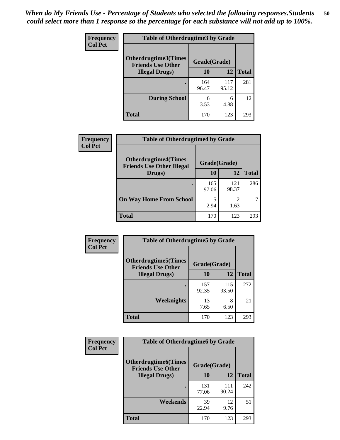| <b>Frequency</b> | <b>Table of Otherdrugtime3 by Grade</b>                                 |              |              |              |
|------------------|-------------------------------------------------------------------------|--------------|--------------|--------------|
| <b>Col Pct</b>   | <b>Otherdrugtime3(Times</b><br>Grade(Grade)<br><b>Friends Use Other</b> |              |              |              |
|                  | <b>Illegal Drugs</b> )                                                  | 10           | 12           | <b>Total</b> |
|                  |                                                                         | 164<br>96.47 | 117<br>95.12 | 281          |
|                  | <b>During School</b>                                                    | 6<br>3.53    | 6<br>4.88    | 12           |
|                  | <b>Total</b>                                                            | 170          | 123          | 293          |

| <b>Frequency</b> | <b>Table of Otherdrugtime4 by Grade</b>                         |              |              |              |
|------------------|-----------------------------------------------------------------|--------------|--------------|--------------|
| <b>Col Pct</b>   | <b>Otherdrugtime4(Times</b><br><b>Friends Use Other Illegal</b> | Grade(Grade) |              |              |
|                  | Drugs)                                                          | 10           | 12           | <b>Total</b> |
|                  | $\bullet$                                                       | 165<br>97.06 | 121<br>98.37 | 286          |
|                  | <b>On Way Home From School</b>                                  | 2.94         | 1.63         |              |
|                  | <b>Total</b>                                                    | 170          | 123          | 293          |

| <b>Frequency</b> | <b>Table of Otherdrugtime5 by Grade</b>                  |              |              |              |
|------------------|----------------------------------------------------------|--------------|--------------|--------------|
| <b>Col Pct</b>   | <b>Otherdrugtime5</b> (Times<br><b>Friends Use Other</b> | Grade(Grade) |              |              |
|                  | <b>Illegal Drugs</b> )                                   | 10           | 12           | <b>Total</b> |
|                  |                                                          | 157<br>92.35 | 115<br>93.50 | 272          |
|                  | Weeknights                                               | 13<br>7.65   | 8<br>6.50    | 21           |
|                  | Total                                                    | 170          | 123          | 293          |

| <b>Frequency</b> | <b>Table of Otherdrugtime6 by Grade</b>                 |              |              |              |
|------------------|---------------------------------------------------------|--------------|--------------|--------------|
| <b>Col Pct</b>   | <b>Otherdrugtime6(Times</b><br><b>Friends Use Other</b> | Grade(Grade) |              |              |
|                  | <b>Illegal Drugs</b> )                                  | 10           | 12           | <b>Total</b> |
|                  |                                                         | 131<br>77.06 | 111<br>90.24 | 242          |
|                  | Weekends                                                | 39<br>22.94  | 12<br>9.76   | 51           |
|                  | Total                                                   | 170          | 123          | 293          |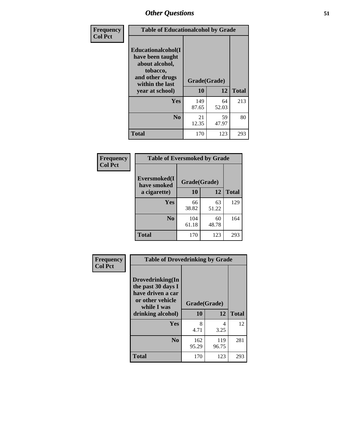| Frequency      | <b>Table of Educationalcohol by Grade</b>                                                                  |              |             |              |
|----------------|------------------------------------------------------------------------------------------------------------|--------------|-------------|--------------|
| <b>Col Pct</b> | Educationalcohol(I<br>have been taught<br>about alcohol,<br>tobacco,<br>and other drugs<br>within the last | Grade(Grade) |             |              |
|                | year at school)                                                                                            | 10           | 12          | <b>Total</b> |
|                | <b>Yes</b>                                                                                                 | 149<br>87.65 | 64<br>52.03 | 213          |
|                | N <sub>0</sub>                                                                                             | 21<br>12.35  | 59<br>47.97 | 80           |
|                | <b>Total</b>                                                                                               | 170          | 123         | 293          |

| Frequency      | <b>Table of Eversmoked by Grade</b> |              |             |              |
|----------------|-------------------------------------|--------------|-------------|--------------|
| <b>Col Pct</b> | Eversmoked(I<br>have smoked         | Grade(Grade) |             |              |
|                | a cigarette)                        | 10           | 12          | <b>Total</b> |
|                | Yes                                 | 66<br>38.82  | 63<br>51.22 | 129          |
|                | N <sub>0</sub>                      | 104<br>61.18 | 60<br>48.78 | 164          |
|                | <b>Total</b>                        | 170          | 123         | 293          |

| Frequency<br><b>Col Pct</b> | <b>Table of Drovedrinking by Grade</b>                                                                              |                    |              |              |
|-----------------------------|---------------------------------------------------------------------------------------------------------------------|--------------------|--------------|--------------|
|                             | Drovedrinking(In<br>the past 30 days I<br>have driven a car<br>or other vehicle<br>while I was<br>drinking alcohol) | Grade(Grade)<br>10 | 12           | <b>Total</b> |
|                             | <b>Yes</b>                                                                                                          | 8<br>4.71          | 4<br>3.25    | 12           |
|                             | N <sub>0</sub>                                                                                                      | 162<br>95.29       | 119<br>96.75 | 281          |
|                             | <b>Total</b>                                                                                                        | 170                | 123          | 293          |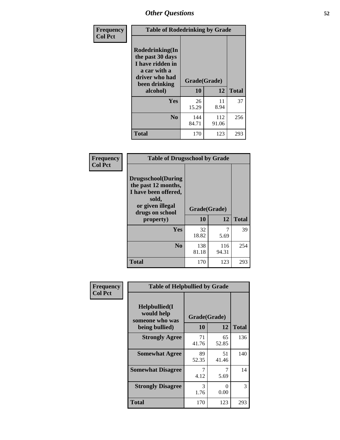| Frequency<br><b>Col Pct</b> | <b>Table of Rodedrinking by Grade</b>                                                                                  |                    |              |              |
|-----------------------------|------------------------------------------------------------------------------------------------------------------------|--------------------|--------------|--------------|
|                             | Rodedrinking(In<br>the past 30 days<br>I have ridden in<br>a car with a<br>driver who had<br>been drinking<br>alcohol) | Grade(Grade)<br>10 | 12           | <b>Total</b> |
|                             |                                                                                                                        |                    |              |              |
|                             | <b>Yes</b>                                                                                                             | 26<br>15.29        | 11<br>8.94   | 37           |
|                             | N <sub>0</sub>                                                                                                         | 144<br>84.71       | 112<br>91.06 | 256          |
|                             | <b>Total</b>                                                                                                           | 170                | 123          | 293          |

#### **Frequency Col Pct**

| <b>Table of Drugsschool by Grade</b>                                                                                      |              |              |              |
|---------------------------------------------------------------------------------------------------------------------------|--------------|--------------|--------------|
| <b>Drugsschool</b> (During<br>the past 12 months,<br>I have been offered,<br>sold,<br>or given illegal<br>drugs on school | Grade(Grade) |              |              |
| property)                                                                                                                 | 10           | 12           | <b>Total</b> |
|                                                                                                                           |              |              |              |
| Yes                                                                                                                       | 32<br>18.82  | 5.69         | 39           |
| N <sub>0</sub>                                                                                                            | 138<br>81.18 | 116<br>94.31 | 254          |

| <b>Table of Helpbullied by Grade</b>                 |                |             |                    |
|------------------------------------------------------|----------------|-------------|--------------------|
| $Helpb$ ullied $(I$<br>would help<br>someone who was |                |             |                    |
|                                                      |                |             | <b>Total</b>       |
| <b>Strongly Agree</b>                                | 71<br>41.76    | 65<br>52.85 | 136                |
| <b>Somewhat Agree</b>                                | 89<br>52.35    | 51<br>41.46 | 140                |
| <b>Somewhat Disagree</b>                             | 4.12           | 7<br>5.69   | 14                 |
| <b>Strongly Disagree</b>                             | 3<br>1.76      | 0<br>0.00   | 3                  |
| <b>Total</b>                                         | 170            | 123         | 293                |
|                                                      | being bullied) | 10          | Grade(Grade)<br>12 |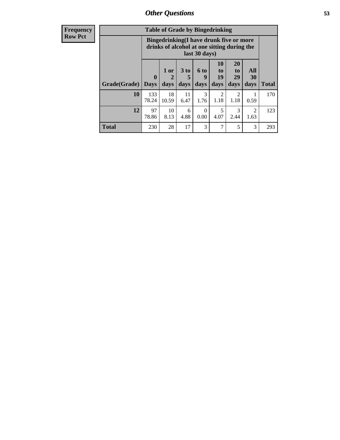| <b>Frequency</b> |
|------------------|
| <b>Row Pct</b>   |

| <b>Table of Grade by Bingedrinking</b> |                                                                                                         |                     |                   |                          |                        |                        |                        |              |
|----------------------------------------|---------------------------------------------------------------------------------------------------------|---------------------|-------------------|--------------------------|------------------------|------------------------|------------------------|--------------|
|                                        | Bingedrinking(I have drunk five or more<br>drinks of alcohol at one sitting during the<br>last 30 days) |                     |                   |                          |                        |                        |                        |              |
| Grade(Grade)                           | $\mathbf{0}$<br><b>Days</b>                                                                             | $1$ or<br>2<br>days | 3 to<br>5<br>days | <b>6 to</b><br>9<br>days | 10<br>to<br>19<br>days | 20<br>to<br>29<br>days | All<br>30<br>days      | <b>Total</b> |
| 10                                     | 133<br>78.24                                                                                            | 18<br>10.59         | 11<br>6.47        | 3<br>1.76                | $\mathfrak{D}$<br>1.18 | $\overline{c}$<br>1.18 | 0.59                   | 170          |
| 12                                     | 97<br>78.86                                                                                             | 10<br>8.13          | 6<br>4.88         | $\Omega$<br>0.00         | 5<br>4.07              | 3<br>2.44              | $\overline{c}$<br>1.63 | 123          |
| <b>Total</b>                           | 230                                                                                                     | 28                  | 17                | 3                        | 7                      | 5                      | 3                      | 293          |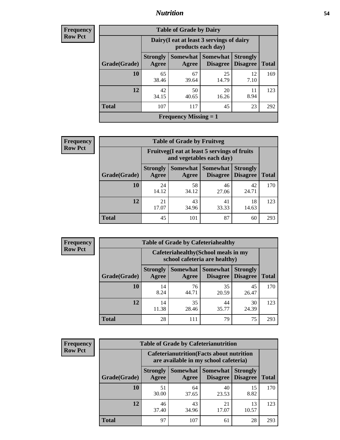### *Nutrition* **54**

**Frequency Row Pct**

| <b>Table of Grade by Dairy</b>            |                          |                                                                 |                             |                                    |              |  |  |
|-------------------------------------------|--------------------------|-----------------------------------------------------------------|-----------------------------|------------------------------------|--------------|--|--|
|                                           |                          | Dairy (I eat at least 3 servings of dairy<br>products each day) |                             |                                    |              |  |  |
| Grade(Grade)                              | <b>Strongly</b><br>Agree | Somewhat  <br>Agree                                             | <b>Somewhat</b><br>Disagree | <b>Strongly</b><br><b>Disagree</b> | <b>Total</b> |  |  |
| 10                                        | 65<br>38.46              | 67<br>39.64                                                     | 25<br>14.79                 | 12<br>7.10                         | 169          |  |  |
| 12                                        | 42<br>34.15              | 50<br>40.65                                                     | 20<br>16.26                 | 11<br>8.94                         | 123          |  |  |
| <b>Total</b>                              | 107                      | 117                                                             | 45                          | 23                                 | 292          |  |  |
| <b>Frequency Missing <math>= 1</math></b> |                          |                                                                 |                             |                                    |              |  |  |

**Frequency Row Pct**

| $\mathbf{y}$ | <b>Table of Grade by Fruitveg</b>                                        |                          |                     |                                    |                                    |              |  |
|--------------|--------------------------------------------------------------------------|--------------------------|---------------------|------------------------------------|------------------------------------|--------------|--|
|              | Fruitveg(I eat at least 5 servings of fruits<br>and vegetables each day) |                          |                     |                                    |                                    |              |  |
|              | Grade(Grade)                                                             | <b>Strongly</b><br>Agree | Somewhat  <br>Agree | <b>Somewhat</b><br><b>Disagree</b> | <b>Strongly</b><br><b>Disagree</b> | <b>Total</b> |  |
|              | 10                                                                       | 24<br>14.12              | 58<br>34.12         | 46<br>27.06                        | 42<br>24.71                        | 170          |  |
|              | 12                                                                       | 21<br>17.07              | 43<br>34.96         | 41<br>33.33                        | 18<br>14.63                        | 123          |  |
|              | <b>Total</b>                                                             | 45                       | 101                 | 87                                 | 60                                 | 293          |  |

**Frequency Row Pct**

| <b>Table of Grade by Cafeteriahealthy</b> |                          |                                                                       |                                    |                                    |              |  |  |
|-------------------------------------------|--------------------------|-----------------------------------------------------------------------|------------------------------------|------------------------------------|--------------|--|--|
|                                           |                          | Cafeteriahealthy (School meals in my<br>school cafeteria are healthy) |                                    |                                    |              |  |  |
| Grade(Grade)                              | <b>Strongly</b><br>Agree | Somewhat<br>Agree                                                     | <b>Somewhat</b><br><b>Disagree</b> | <b>Strongly</b><br><b>Disagree</b> | <b>Total</b> |  |  |
| 10                                        | 14<br>8.24               | 76<br>44.71                                                           | 35<br>20.59                        | 45<br>26.47                        | 170          |  |  |
| 12                                        | 14<br>11.38              | 35<br>28.46                                                           | 44<br>35.77                        | 30<br>24.39                        | 123          |  |  |
| <b>Total</b>                              | 28                       | 111                                                                   | 79                                 | 75                                 | 293          |  |  |

| <b>Frequency</b> |
|------------------|
| <b>Row Pct</b>   |

| <b>Table of Grade by Cafeterianutrition</b> |                          |                                                                                           |                                    |                                    |              |  |  |
|---------------------------------------------|--------------------------|-------------------------------------------------------------------------------------------|------------------------------------|------------------------------------|--------------|--|--|
|                                             |                          | <b>Cafeterianutrition</b> (Facts about nutrition<br>are available in my school cafeteria) |                                    |                                    |              |  |  |
| Grade(Grade)                                | <b>Strongly</b><br>Agree | Somewhat  <br>Agree                                                                       | <b>Somewhat</b><br><b>Disagree</b> | <b>Strongly</b><br><b>Disagree</b> | <b>Total</b> |  |  |
| 10                                          | 51<br>30.00              | 64<br>37.65                                                                               | 40<br>23.53                        | 15<br>8.82                         | 170          |  |  |
| 12                                          | 46<br>37.40              | 43<br>34.96                                                                               | 21<br>17.07                        | 13<br>10.57                        | 123          |  |  |
| <b>Total</b>                                | 97                       | 107                                                                                       | 61                                 | 28                                 | 293          |  |  |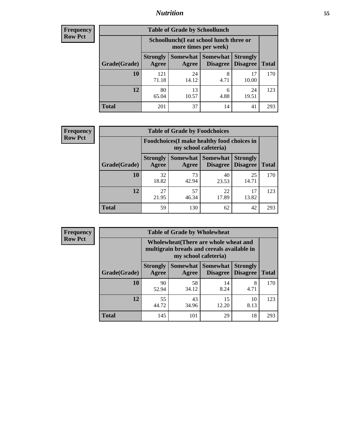### *Nutrition* **55**

| Frequency |
|-----------|
| Row Pct   |

| <b>Table of Grade by Schoollunch</b> |                          |                                                                 |                      |                                    |              |  |  |  |
|--------------------------------------|--------------------------|-----------------------------------------------------------------|----------------------|------------------------------------|--------------|--|--|--|
|                                      |                          | Schoollunch(I eat school lunch three or<br>more times per week) |                      |                                    |              |  |  |  |
| Grade(Grade)                         | <b>Strongly</b><br>Agree | Somewhat  <br>Agree                                             | Somewhat<br>Disagree | <b>Strongly</b><br><b>Disagree</b> | <b>Total</b> |  |  |  |
| 10                                   | 121<br>71.18             | 24<br>14.12                                                     | 8<br>4.71            | 17<br>10.00                        | 170          |  |  |  |
| 12                                   | 80<br>65.04              | 13<br>10.57                                                     | 6<br>4.88            | 24<br>19.51                        | 123          |  |  |  |
| <b>Total</b>                         | 201                      | 37                                                              | 14                   | 41                                 | 293          |  |  |  |

| <b>Frequency</b> |
|------------------|
| <b>Row Pct</b>   |

| <b>Table of Grade by Foodchoices</b> |                                                                     |                   |                 |                                        |              |  |
|--------------------------------------|---------------------------------------------------------------------|-------------------|-----------------|----------------------------------------|--------------|--|
|                                      | Foodchoices (I make healthy food choices in<br>my school cafeteria) |                   |                 |                                        |              |  |
| Grade(Grade)                         | <b>Strongly</b><br>Agree                                            | Somewhat<br>Agree | <b>Somewhat</b> | <b>Strongly</b><br>Disagree   Disagree | <b>Total</b> |  |
| 10                                   | 32<br>18.82                                                         | 73<br>42.94       | 40<br>23.53     | 25<br>14.71                            | 170          |  |
| 12                                   | 27<br>21.95                                                         | 57<br>46.34       | 22<br>17.89     | 17<br>13.82                            | 123          |  |
| <b>Total</b>                         | 59                                                                  | 130               | 62              | 42                                     | 293          |  |

| <b>Frequency</b> |
|------------------|
| <b>Row Pct</b>   |

| <b>Table of Grade by Wholewheat</b> |                          |                                                                                                             |                                             |                                    |              |  |  |  |
|-------------------------------------|--------------------------|-------------------------------------------------------------------------------------------------------------|---------------------------------------------|------------------------------------|--------------|--|--|--|
|                                     |                          | Wholewheat (There are whole wheat and<br>multigrain breads and cereals available in<br>my school cafeteria) |                                             |                                    |              |  |  |  |
| Grade(Grade)                        | <b>Strongly</b><br>Agree | Agree                                                                                                       | <b>Somewhat Somewhat</b><br><b>Disagree</b> | <b>Strongly</b><br><b>Disagree</b> | <b>Total</b> |  |  |  |
| 10                                  | 90<br>52.94              | 58<br>34.12                                                                                                 | 14<br>8.24                                  | 8<br>4.71                          | 170          |  |  |  |
| 12                                  | 55<br>44.72              | 43<br>34.96                                                                                                 | 15<br>12.20                                 | 10<br>8.13                         | 123          |  |  |  |
| <b>Total</b>                        | 145                      | 101                                                                                                         | 29                                          | 18                                 | 293          |  |  |  |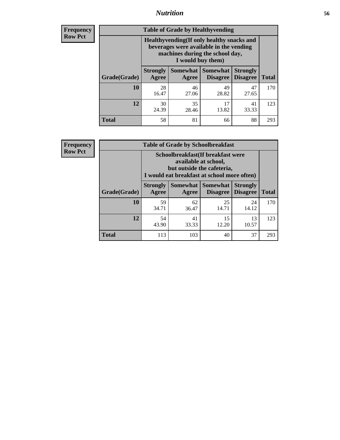### *Nutrition* **56**

**Frequency Row Pct**

| <b>Table of Grade by Healthyvending</b> |                                                                                                                                               |             |                                        |                                    |              |  |
|-----------------------------------------|-----------------------------------------------------------------------------------------------------------------------------------------------|-------------|----------------------------------------|------------------------------------|--------------|--|
|                                         | Healthyvending (If only healthy snacks and<br>beverages were available in the vending<br>machines during the school day,<br>I would buy them) |             |                                        |                                    |              |  |
| Grade(Grade)                            | <b>Strongly</b><br>Agree                                                                                                                      | Agree       | Somewhat   Somewhat<br><b>Disagree</b> | <b>Strongly</b><br><b>Disagree</b> | <b>Total</b> |  |
| 10                                      | 28<br>16.47                                                                                                                                   | 46<br>27.06 | 49<br>28.82                            | 47<br>27.65                        | 170          |  |
| 12                                      | 30<br>24.39                                                                                                                                   | 35<br>28.46 | 17<br>13.82                            | 41<br>33.33                        | 123          |  |
| <b>Total</b>                            | 58                                                                                                                                            | 81          | 66                                     | 88                                 | 293          |  |

**Frequency Row Pct**

| <b>Table of Grade by Schoolbreakfast</b> |                                                          |                                                                                                                                        |                     |                                        |              |  |
|------------------------------------------|----------------------------------------------------------|----------------------------------------------------------------------------------------------------------------------------------------|---------------------|----------------------------------------|--------------|--|
|                                          |                                                          | Schoolbreakfast(If breakfast were<br>available at school,<br>but outside the cafeteria,<br>I would eat breakfast at school more often) |                     |                                        |              |  |
| Grade(Grade)                             | <b>Strongly</b><br>Agree                                 | Agree                                                                                                                                  | Somewhat   Somewhat | <b>Strongly</b><br>Disagree   Disagree | <b>Total</b> |  |
| 10                                       | 59<br>34.71                                              | 62<br>36.47                                                                                                                            | 25<br>14.71         | 24<br>14.12                            | 170          |  |
| 12                                       | 54<br>41<br>15<br>13<br>33.33<br>12.20<br>43.90<br>10.57 |                                                                                                                                        |                     |                                        |              |  |
| <b>Total</b>                             | 113                                                      | 103                                                                                                                                    | 40                  | 37                                     | 293          |  |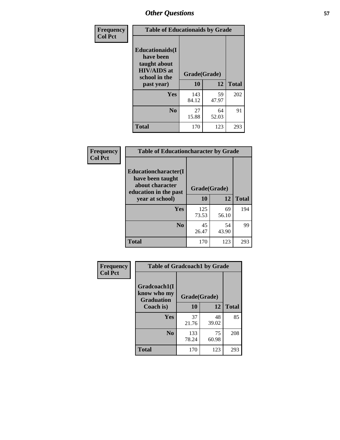| Frequency<br><b>Col Pct</b> | <b>Table of Educationaids by Grade</b>                                                                    |                    |             |              |
|-----------------------------|-----------------------------------------------------------------------------------------------------------|--------------------|-------------|--------------|
|                             | <b>Educationaids</b> (I<br>have been<br>taught about<br><b>HIV/AIDS</b> at<br>school in the<br>past year) | Grade(Grade)<br>10 | 12          | <b>Total</b> |
|                             | Yes                                                                                                       | 143<br>84.12       | 59<br>47.97 | 202          |
|                             | N <sub>0</sub>                                                                                            | 27<br>15.88        | 64<br>52.03 | 91           |
|                             | <b>Total</b>                                                                                              | 170                | 123         | 293          |

| Frequency      | <b>Table of Educationcharacter by Grade</b>                 |              |             |              |
|----------------|-------------------------------------------------------------|--------------|-------------|--------------|
| <b>Col Pct</b> | Educationcharacter(I<br>have been taught<br>about character |              |             |              |
|                | education in the past                                       | Grade(Grade) |             |              |
|                | year at school)                                             | 10           | 12          | <b>Total</b> |
|                | Yes                                                         | 125<br>73.53 | 69<br>56.10 | 194          |
|                | N <sub>0</sub>                                              | 45<br>26.47  | 54<br>43.90 | 99           |
|                | <b>Total</b>                                                | 170          | 123         | 293          |

| Frequency      | <b>Table of Gradcoach1 by Grade</b>              |              |             |              |
|----------------|--------------------------------------------------|--------------|-------------|--------------|
| <b>Col Pct</b> | Gradcoach1(I<br>know who my<br><b>Graduation</b> | Grade(Grade) |             |              |
|                | Coach is)                                        | 10           | 12          | <b>Total</b> |
|                | Yes                                              | 37<br>21.76  | 48<br>39.02 | 85           |
|                | N <sub>0</sub>                                   | 133<br>78.24 | 75<br>60.98 | 208          |
|                | <b>Total</b>                                     | 170          | 123         | 293          |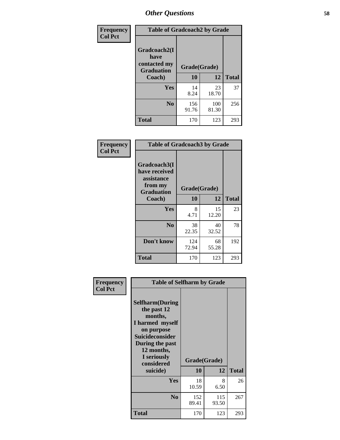| Frequency      | <b>Table of Gradcoach2 by Grade</b> |              |              |              |
|----------------|-------------------------------------|--------------|--------------|--------------|
| <b>Col Pct</b> |                                     |              |              |              |
|                | Gradcoach2(I<br>have                |              |              |              |
|                | contacted my<br><b>Graduation</b>   | Grade(Grade) |              |              |
|                | Coach)                              | 10           | 12           | <b>Total</b> |
|                | Yes                                 | 14<br>8.24   | 23<br>18.70  | 37           |
|                | N <sub>0</sub>                      | 156<br>91.76 | 100<br>81.30 | 256          |
|                | <b>Total</b>                        | 170          | 123          | 293          |

| <b>Frequency</b><br><b>Col Pct</b> | <b>Table of Gradcoach3 by Grade</b>                                         |              |             |              |
|------------------------------------|-----------------------------------------------------------------------------|--------------|-------------|--------------|
|                                    | Gradcoach3(I<br>have received<br>assistance<br>from my<br><b>Graduation</b> | Grade(Grade) |             |              |
|                                    | Coach)                                                                      | 10           | 12          | <b>Total</b> |
|                                    | Yes                                                                         | 8<br>4.71    | 15<br>12.20 | 23           |
|                                    | N <sub>0</sub>                                                              | 38<br>22.35  | 40<br>32.52 | 78           |
|                                    | Don't know                                                                  | 124<br>72.94 | 68<br>55.28 | 192          |
|                                    | <b>Total</b>                                                                | 170          | 123         | 293          |

| Frequency<br><b>Col Pct</b> | <b>Table of Selfharm by Grade</b>                                                                                                                                                      |                    |              |              |
|-----------------------------|----------------------------------------------------------------------------------------------------------------------------------------------------------------------------------------|--------------------|--------------|--------------|
|                             | <b>Selfharm</b> (During<br>the past 12<br>months,<br>I harmed myself<br>on purpose<br><b>Suicideconsider</b><br>During the past<br>12 months,<br>I seriously<br>considered<br>suicide) | Grade(Grade)<br>10 | 12           | <b>Total</b> |
|                             | Yes                                                                                                                                                                                    | 18<br>10.59        | 8<br>6.50    | 26           |
|                             | N <sub>0</sub>                                                                                                                                                                         | 152<br>89.41       | 115<br>93.50 | 267          |
|                             | Total                                                                                                                                                                                  | 170                | 123          | 293          |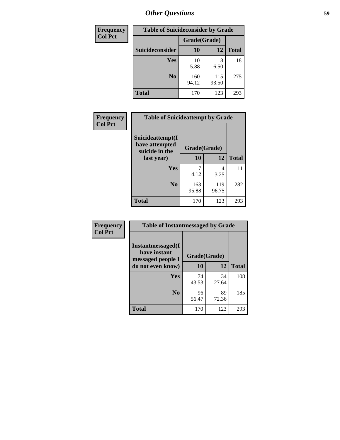| <b>Frequency</b> | <b>Table of Suicideconsider by Grade</b> |              |              |              |  |
|------------------|------------------------------------------|--------------|--------------|--------------|--|
| <b>Col Pct</b>   |                                          | Grade(Grade) |              |              |  |
|                  | Suicideconsider                          | <b>10</b>    | 12           | <b>Total</b> |  |
|                  | Yes                                      | 10<br>5.88   | 6.50         | 18           |  |
|                  | N <sub>0</sub>                           | 160<br>94.12 | 115<br>93.50 | 275          |  |
|                  | <b>Total</b>                             | 170          | 123          | 293          |  |

| Frequency<br><b>Col Pct</b> | <b>Table of Suicideattempt by Grade</b>              |              |              |              |
|-----------------------------|------------------------------------------------------|--------------|--------------|--------------|
|                             | Suicideattempt(I<br>have attempted<br>suicide in the | Grade(Grade) |              |              |
|                             | last year)                                           | 10           | 12           | <b>Total</b> |
|                             | Yes                                                  | 4.12         | 4<br>3.25    | 11           |
|                             | N <sub>0</sub>                                       | 163<br>95.88 | 119<br>96.75 | 282          |
|                             | <b>Total</b>                                         | 170          | 123          | 293          |

| Frequency      | <b>Table of Instantmessaged by Grade</b>               |              |             |              |
|----------------|--------------------------------------------------------|--------------|-------------|--------------|
| <b>Col Pct</b> | Instantmessaged(I<br>have instant<br>messaged people I | Grade(Grade) |             |              |
|                | do not even know)                                      | 10           | 12          | <b>Total</b> |
|                | Yes                                                    | 74<br>43.53  | 34<br>27.64 | 108          |
|                | N <sub>0</sub>                                         | 96<br>56.47  | 89<br>72.36 | 185          |
|                | <b>Total</b>                                           | 170          | 123         | 293          |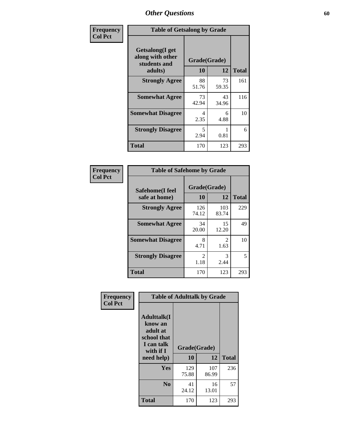| Frequency      | <b>Table of Getsalong by Grade</b>                          |                    |             |              |
|----------------|-------------------------------------------------------------|--------------------|-------------|--------------|
| <b>Col Pct</b> | <b>Getsalong</b> (I get<br>along with other<br>students and | Grade(Grade)<br>10 | 12          | <b>Total</b> |
|                | adults)                                                     |                    |             |              |
|                | <b>Strongly Agree</b>                                       | 88<br>51.76        | 73<br>59.35 | 161          |
|                | <b>Somewhat Agree</b>                                       | 73<br>42.94        | 43<br>34.96 | 116          |
|                | <b>Somewhat Disagree</b>                                    | 4<br>2.35          | 6<br>4.88   | 10           |
|                | <b>Strongly Disagree</b>                                    | 5<br>2.94          | 0.81        | 6            |
|                | <b>Total</b>                                                | 170                | 123         | 293          |

| Frequency<br>Col Pct |
|----------------------|
|                      |

n

| <b>Table of Safehome by Grade</b>        |                        |                        |              |  |  |  |  |
|------------------------------------------|------------------------|------------------------|--------------|--|--|--|--|
| <b>Safehome</b> (I feel<br>safe at home) | Grade(Grade)<br>10     | 12                     | <b>Total</b> |  |  |  |  |
| <b>Strongly Agree</b>                    | 126<br>74.12           | 103<br>83.74           | 229          |  |  |  |  |
| <b>Somewhat Agree</b>                    | 34<br>20.00            | 15<br>12.20            | 49           |  |  |  |  |
| <b>Somewhat Disagree</b>                 | 8<br>4.71              | $\mathfrak{D}$<br>1.63 | 10           |  |  |  |  |
| <b>Strongly Disagree</b>                 | $\mathfrak{D}$<br>1.18 | 3<br>2.44              | 5            |  |  |  |  |
| <b>Total</b>                             | 170                    | 123                    | 293          |  |  |  |  |

| Frequency      | <b>Table of Adulttalk by Grade</b>                                                                 |                    |              |              |  |  |  |  |
|----------------|----------------------------------------------------------------------------------------------------|--------------------|--------------|--------------|--|--|--|--|
| <b>Col Pct</b> | <b>Adulttalk</b> (I<br>know an<br>adult at<br>school that<br>I can talk<br>with if I<br>need help) | Grade(Grade)<br>10 | 12           | <b>Total</b> |  |  |  |  |
|                |                                                                                                    |                    |              |              |  |  |  |  |
|                | <b>Yes</b>                                                                                         | 129<br>75.88       | 107<br>86.99 | 236          |  |  |  |  |
|                | N <sub>0</sub>                                                                                     | 41<br>24.12        | 16<br>13.01  | 57           |  |  |  |  |
|                | <b>Total</b>                                                                                       | 170                | 123          | 293          |  |  |  |  |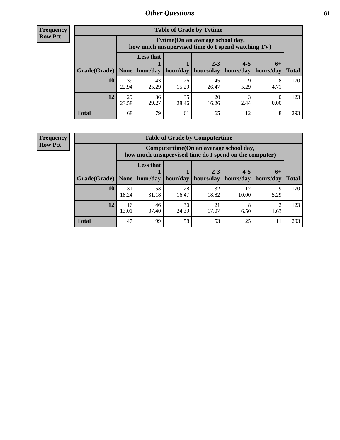**Frequency Row Pct**

|              |             |                                                                                        |             | <b>Table of Grade by Tvtime</b> |                        |                     |              |  |  |  |  |
|--------------|-------------|----------------------------------------------------------------------------------------|-------------|---------------------------------|------------------------|---------------------|--------------|--|--|--|--|
|              |             | Tvtime(On an average school day,<br>how much unsupervised time do I spend watching TV) |             |                                 |                        |                     |              |  |  |  |  |
| Grade(Grade) | None        | <b>Less that</b><br>hour/day                                                           | hour/day    | $2 - 3$<br>  hours/day          | $4 - 5$<br>  hours/day | $6+$<br>  hours/day | <b>Total</b> |  |  |  |  |
|              |             |                                                                                        |             |                                 |                        |                     |              |  |  |  |  |
| 10           | 39<br>22.94 | 43<br>25.29                                                                            | 26<br>15.29 | 45<br>26.47                     | Q<br>5.29              | 8<br>4.71           | 170          |  |  |  |  |
| 12           | 29<br>23.58 | 36<br>29.27                                                                            | 35<br>28.46 | 20<br>16.26                     | 2.44                   | 0.00                | 123          |  |  |  |  |
| <b>Total</b> | 68          | 79                                                                                     | 61          | 65                              | 12                     | 8                   | 293          |  |  |  |  |

**Frequency Row Pct**

| <b>Table of Grade by Computertime</b> |             |                                                                                                                               |             |             |             |           |     |  |  |  |
|---------------------------------------|-------------|-------------------------------------------------------------------------------------------------------------------------------|-------------|-------------|-------------|-----------|-----|--|--|--|
|                                       |             | Computertime (On an average school day,<br>how much unsupervised time do I spend on the computer)                             |             |             |             |           |     |  |  |  |
| Grade(Grade)                          | None        | <b>Less that</b><br>$4 - 5$<br>$2 - 3$<br>$6+$<br>hours/day<br>hours/day<br>hour/day<br>hour/day<br>hours/day<br><b>Total</b> |             |             |             |           |     |  |  |  |
| 10                                    | 31<br>18.24 | 53<br>31.18                                                                                                                   | 28<br>16.47 | 32<br>18.82 | 17<br>10.00 | 9<br>5.29 | 170 |  |  |  |
| 12                                    | 16<br>13.01 | 46<br>37.40                                                                                                                   | 30<br>24.39 | 21<br>17.07 | 8<br>6.50   | ◠<br>1.63 | 123 |  |  |  |
| <b>Total</b>                          | 47          | 99                                                                                                                            | 58          | 53          | 25          | 11        | 293 |  |  |  |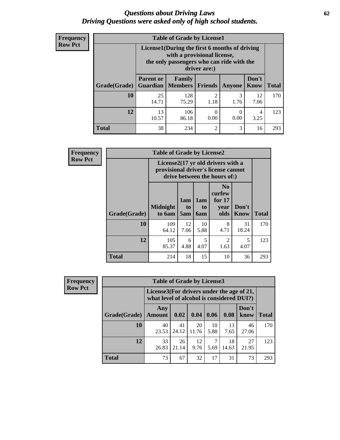#### *Questions about Driving Laws* **62** *Driving Questions were asked only of high school students.*

| <b>Frequency</b> |
|------------------|
| <b>Row Pct</b>   |

| <b>Table of Grade by License1</b> |                                     |                                                                                                                                           |                        |           |               |              |  |  |  |
|-----------------------------------|-------------------------------------|-------------------------------------------------------------------------------------------------------------------------------------------|------------------------|-----------|---------------|--------------|--|--|--|
|                                   |                                     | License1(During the first 6 months of driving<br>with a provisional license,<br>the only passengers who can ride with the<br>driver are:) |                        |           |               |              |  |  |  |
| Grade(Grade)                      | <b>Parent or</b><br><b>Guardian</b> | Family<br>  Members                                                                                                                       | <b>Friends</b>         | Anyone    | Don't<br>Know | <b>Total</b> |  |  |  |
| 10                                | 25<br>14.71                         | 128<br>75.29                                                                                                                              | $\overline{2}$<br>1.18 | 3<br>1.76 | 12<br>7.06    | 170          |  |  |  |
| 12                                | 13<br>10.57                         | 106<br>86.18                                                                                                                              | 0<br>0.00              | 0.00      | 4<br>3.25     | 123          |  |  |  |
| <b>Total</b>                      | 38                                  | 234                                                                                                                                       | $\overline{2}$         | 3         | 16            | 293          |  |  |  |

| <b>Frequency</b> | <b>Table of Grade by License2</b> |                                                                                                          |                  |                                     |                                                      |               |              |  |  |
|------------------|-----------------------------------|----------------------------------------------------------------------------------------------------------|------------------|-------------------------------------|------------------------------------------------------|---------------|--------------|--|--|
| <b>Row Pct</b>   |                                   | License2(17 yr old drivers with a<br>provisional driver's license cannot<br>drive between the hours of:) |                  |                                     |                                                      |               |              |  |  |
|                  | Grade(Grade)                      | <b>Midnight</b><br>to 6am                                                                                | 1am<br>to<br>5am | 1am<br>t <sub>0</sub><br><b>6am</b> | N <sub>0</sub><br>curfew<br>for $17$<br>vear<br>olds | Don't<br>Know | <b>Total</b> |  |  |
|                  | 10                                | 109<br>64.12                                                                                             | 12<br>7.06       | 10<br>5.88                          | 8<br>4.71                                            | 31<br>18.24   | 170          |  |  |
|                  | 12                                | 105<br>85.37                                                                                             | 6<br>4.88        | 5<br>4.07                           | $\mathfrak{D}$<br>1.63                               | 5<br>4.07     | 123          |  |  |
|                  | <b>Total</b>                      | 214                                                                                                      | 18               | 15                                  | 10                                                   | 36            | 293          |  |  |

| Frequency      | <b>Table of Grade by License3</b> |                                                                                        |             |             |            |             |               |              |  |  |
|----------------|-----------------------------------|----------------------------------------------------------------------------------------|-------------|-------------|------------|-------------|---------------|--------------|--|--|
| <b>Row Pct</b> |                                   | License3(For drivers under the age of 21,<br>what level of alcohol is considered DUI?) |             |             |            |             |               |              |  |  |
|                | Grade(Grade)                      | Any<br><b>Amount</b>                                                                   | 0.02        | 0.04        | 0.06       | 0.08        | Don't<br>know | <b>Total</b> |  |  |
|                | 10                                | 40<br>23.53                                                                            | 41<br>24.12 | 20<br>11.76 | 10<br>5.88 | 13<br>7.65  | 46<br>27.06   | 170          |  |  |
|                | 12                                | 33<br>26.83                                                                            | 26<br>21.14 | 12<br>9.76  | 7<br>5.69  | 18<br>14.63 | 27<br>21.95   | 123          |  |  |
|                | <b>Total</b>                      | 73                                                                                     | 67          | 32          | 17         | 31          | 73            | 293          |  |  |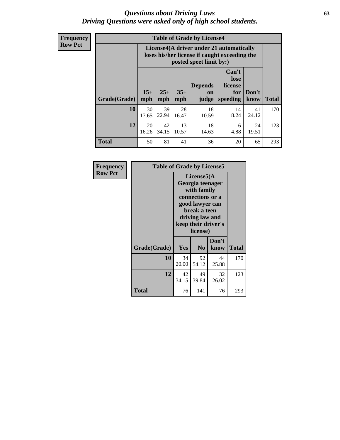#### *Questions about Driving Laws* **63** *Driving Questions were asked only of high school students.*

**Frequency Row Pct**

| <b>Table of Grade by License4</b> |                                                                                                                                                      |                                                                                                                      |             |             |            |             |              |  |  |  |
|-----------------------------------|------------------------------------------------------------------------------------------------------------------------------------------------------|----------------------------------------------------------------------------------------------------------------------|-------------|-------------|------------|-------------|--------------|--|--|--|
|                                   |                                                                                                                                                      | License4(A driver under 21 automatically<br>loses his/her license if caught exceeding the<br>posted speet limit by:) |             |             |            |             |              |  |  |  |
| Grade(Grade)                      | Can't<br>lose<br><b>Depends</b><br>license<br>$15+$<br>$25+$<br>$35+$<br>Don't<br>for<br><b>on</b><br>mph<br>mph<br>speeding<br>know<br>mph<br>judge |                                                                                                                      |             |             |            |             | <b>Total</b> |  |  |  |
| 10                                | 30<br>17.65                                                                                                                                          | 39<br>22.94                                                                                                          | 28<br>16.47 | 18<br>10.59 | 14<br>8.24 | 41<br>24.12 | 170          |  |  |  |
| 12                                | 20<br>16.26                                                                                                                                          | 42<br>34.15                                                                                                          | 13<br>10.57 | 18<br>14.63 | 6<br>4.88  | 24<br>19.51 | 123          |  |  |  |
| <b>Total</b>                      | 50                                                                                                                                                   | 81                                                                                                                   | 41          | 36          | 20         | 65          | 293          |  |  |  |

| Frequency<br><b>Row Pct</b> | <b>Table of Grade by License5</b> |             |                                                                                                                                      |                     |              |  |
|-----------------------------|-----------------------------------|-------------|--------------------------------------------------------------------------------------------------------------------------------------|---------------------|--------------|--|
|                             |                                   |             | License5(A)<br>Georgia teenager<br>with family<br>connections or a<br>good lawyer can<br>break a teen<br>driving law and<br>license) | keep their driver's |              |  |
|                             | Grade(Grade)                      | Yes         | N <sub>0</sub>                                                                                                                       | Don't<br>know       | <b>Total</b> |  |
|                             | 10                                | 34<br>20.00 | 92<br>54.12                                                                                                                          | 44<br>25.88         | 170          |  |
|                             | 12                                | 42<br>34.15 | 49<br>39.84                                                                                                                          | 32<br>26.02         | 123          |  |
|                             | <b>Total</b>                      | 76          | 141                                                                                                                                  | 76                  | 293          |  |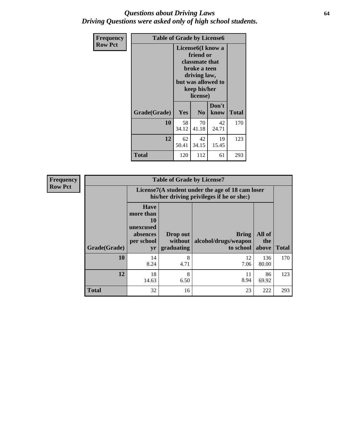#### *Questions about Driving Laws* **64** *Driving Questions were asked only of high school students.*

| <b>Frequency</b> | <b>Table of Grade by License6</b> |                                                                                                                                                 |                |               |              |  |
|------------------|-----------------------------------|-------------------------------------------------------------------------------------------------------------------------------------------------|----------------|---------------|--------------|--|
| <b>Row Pct</b>   |                                   | License <sub>6</sub> (I know a<br>friend or<br>classmate that<br>broke a teen<br>driving law,<br>but was allowed to<br>keep his/her<br>license) |                |               |              |  |
|                  | Grade(Grade)                      | Yes                                                                                                                                             | N <sub>0</sub> | Don't<br>know | <b>Total</b> |  |
|                  | 10                                | 58<br>34.12                                                                                                                                     | 70<br>41.18    | 42<br>24.71   | 170          |  |
|                  | 12                                | 62<br>50.41                                                                                                                                     | 42<br>34.15    | 19<br>15.45   | 123          |  |
|                  | Total                             | 120                                                                                                                                             | 112            | 61            | 293          |  |

| <b>Frequency</b> | <b>Table of Grade by License7</b> |                                                                                               |                                     |                                                   |                        |              |  |
|------------------|-----------------------------------|-----------------------------------------------------------------------------------------------|-------------------------------------|---------------------------------------------------|------------------------|--------------|--|
| <b>Row Pct</b>   |                                   | License7(A student under the age of 18 cam loser<br>his/her driving privileges if he or she:) |                                     |                                                   |                        |              |  |
|                  | Grade(Grade)                      | <b>Have</b><br>more than<br>10<br>unexcused<br>absences<br>per school<br>yr                   | Drop out<br>without  <br>graduating | <b>Bring</b><br>alcohol/drugs/weapon<br>to school | All of<br>the<br>above | <b>Total</b> |  |
|                  | 10                                | 14<br>8.24                                                                                    | 8<br>4.71                           | 12<br>7.06                                        | 136<br>80.00           | 170          |  |
|                  | 12                                | 18<br>14.63                                                                                   | 8<br>6.50                           | 11<br>8.94                                        | 86<br>69.92            | 123          |  |
|                  | <b>Total</b>                      | 32                                                                                            | 16                                  | 23                                                | 222                    | 293          |  |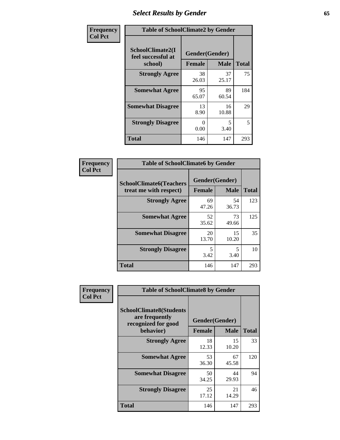## *Select Results by Gender* **65**

| Frequency      | <b>Table of SchoolClimate2 by Gender</b>          |                                 |             |              |
|----------------|---------------------------------------------------|---------------------------------|-------------|--------------|
| <b>Col Pct</b> | SchoolClimate2(I<br>feel successful at<br>school) | Gender(Gender)<br><b>Female</b> | <b>Male</b> | <b>Total</b> |
|                | <b>Strongly Agree</b>                             | 38<br>26.03                     | 37<br>25.17 | 75           |
|                | <b>Somewhat Agree</b>                             | 95<br>65.07                     | 89<br>60.54 | 184          |
|                | <b>Somewhat Disagree</b>                          | 13<br>8.90                      | 16<br>10.88 | 29           |
|                | <b>Strongly Disagree</b>                          | $\mathbf{0}$<br>0.00            | 5<br>3.40   | 5            |
|                | <b>Total</b>                                      | 146                             | 147         | 293          |

| Frequency      | <b>Table of SchoolClimate6 by Gender</b>                 |               |                               |              |  |
|----------------|----------------------------------------------------------|---------------|-------------------------------|--------------|--|
| <b>Col Pct</b> | <b>SchoolClimate6(Teachers</b><br>treat me with respect) | <b>Female</b> | Gender(Gender)<br><b>Male</b> | <b>Total</b> |  |
|                | <b>Strongly Agree</b>                                    | 69<br>47.26   | 54<br>36.73                   | 123          |  |
|                | <b>Somewhat Agree</b>                                    | 52<br>35.62   | 73<br>49.66                   | 125          |  |
|                | <b>Somewhat Disagree</b>                                 | 20<br>13.70   | 15<br>10.20                   | 35           |  |
|                | <b>Strongly Disagree</b>                                 | 5<br>3.42     | 5<br>3.40                     | 10           |  |
|                | <b>Total</b>                                             | 146           | 147                           | 293          |  |

| <b>Frequency</b> | <b>Table of SchoolClimate8 by Gender</b>                                             |                                 |              |     |
|------------------|--------------------------------------------------------------------------------------|---------------------------------|--------------|-----|
| <b>Col Pct</b>   | <b>SchoolClimate8(Students</b><br>are frequently<br>recognized for good<br>behavior) | Gender(Gender)<br><b>Female</b> | <b>Total</b> |     |
|                  | <b>Strongly Agree</b>                                                                | 18<br>12.33                     | 15<br>10.20  | 33  |
|                  | <b>Somewhat Agree</b>                                                                | 53<br>36.30                     | 67<br>45.58  | 120 |
|                  | <b>Somewhat Disagree</b>                                                             | 50<br>34.25                     | 44<br>29.93  | 94  |
|                  | <b>Strongly Disagree</b>                                                             | 25<br>17.12                     | 21<br>14.29  | 46  |
|                  | Total                                                                                | 146                             | 147          | 293 |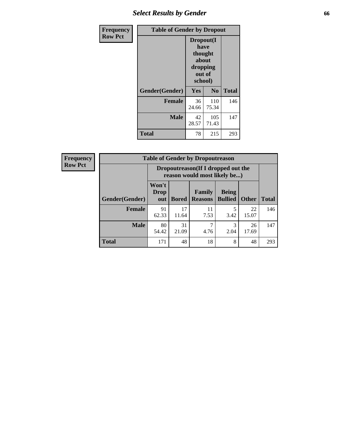### *Select Results by Gender* **66**

| Frequency      | <b>Table of Gender by Dropout</b> |                                                                        |                |              |
|----------------|-----------------------------------|------------------------------------------------------------------------|----------------|--------------|
| <b>Row Pct</b> |                                   | Dropout(I<br>have<br>thought<br>about<br>dropping<br>out of<br>school) |                |              |
|                | Gender(Gender)                    | <b>Yes</b>                                                             | N <sub>0</sub> | <b>Total</b> |
|                | <b>Female</b>                     | 36<br>24.66                                                            | 110<br>75.34   | 146          |
|                | <b>Male</b>                       | 42<br>28.57                                                            | 105<br>71.43   | 147          |
|                | <b>Total</b>                      | 78                                                                     | 215            | 293          |

| <b>Frequency</b> | <b>Table of Gender by Dropoutreason</b> |                                                                    |       |                       |                |              |  |
|------------------|-----------------------------------------|--------------------------------------------------------------------|-------|-----------------------|----------------|--------------|--|
| <b>Row Pct</b>   |                                         | Dropoutreason(If I dropped out the<br>reason would most likely be) |       |                       |                |              |  |
|                  |                                         | Won't                                                              |       |                       |                |              |  |
|                  |                                         | <b>Drop</b>                                                        |       | <b>Family</b>         | <b>Being</b>   |              |  |
|                  | <b>Gender</b> (Gender)                  |                                                                    |       | out   Bored   Reasons | <b>Bullied</b> | <b>Other</b> |  |
|                  | <b>Female</b>                           | 91                                                                 | 17    |                       |                | 22           |  |
|                  |                                         | 62.33                                                              | 11.64 | 7.53                  | 3.42           | 15.07        |  |

**Male** 80

54.42

31 21.09

**Total** 171 48 18 8 48 293

**Total**

146

147

22  $15.07$ 

> 26 17.69

3 2.04

7 4.76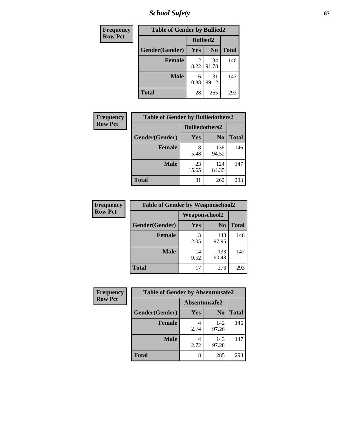*School Safety* **67**

| Frequency      | <b>Table of Gender by Bullied2</b> |                 |                |              |
|----------------|------------------------------------|-----------------|----------------|--------------|
| <b>Row Pct</b> |                                    | <b>Bullied2</b> |                |              |
|                | Gender(Gender)                     | Yes             | N <sub>0</sub> | <b>Total</b> |
|                | <b>Female</b>                      | 12<br>8.22      | 134<br>91.78   | 146          |
|                | <b>Male</b>                        | 16<br>10.88     | 131<br>89.12   | 147          |
|                | <b>Total</b>                       | 28              | 265            | 293          |

| Frequency      | <b>Table of Gender by Bulliedothers2</b> |                       |              |              |
|----------------|------------------------------------------|-----------------------|--------------|--------------|
| <b>Row Pct</b> |                                          | <b>Bulliedothers2</b> |              |              |
|                | Gender(Gender)                           | <b>Yes</b>            | $\bf N_0$    | <b>Total</b> |
|                | <b>Female</b>                            | 5.48                  | 138<br>94.52 | 146          |
|                | <b>Male</b>                              | 23<br>15.65           | 124<br>84.35 | 147          |
|                | Total                                    | 31                    | 262          | 293          |

| <b>Frequency</b> | <b>Table of Gender by Weaponschool2</b> |                      |                |              |  |
|------------------|-----------------------------------------|----------------------|----------------|--------------|--|
| <b>Row Pct</b>   |                                         | <b>Weaponschool2</b> |                |              |  |
|                  | Gender(Gender)                          | Yes                  | N <sub>0</sub> | <b>Total</b> |  |
|                  | Female                                  | 2.05                 | 143<br>97.95   | 146          |  |
|                  | <b>Male</b>                             | 14<br>9.52           | 133<br>90.48   | 147          |  |
|                  | <b>Total</b>                            | 17                   | 276            | 293          |  |

| Frequency      | <b>Table of Gender by Absentunsafe2</b> |               |                |              |  |
|----------------|-----------------------------------------|---------------|----------------|--------------|--|
| <b>Row Pct</b> |                                         | Absentunsafe2 |                |              |  |
|                | Gender(Gender)                          | Yes           | N <sub>0</sub> | <b>Total</b> |  |
|                | <b>Female</b>                           | 2.74          | 142<br>97.26   | 146          |  |
|                | <b>Male</b>                             | 2.72          | 143<br>97.28   | 147          |  |
|                | <b>Total</b>                            | 8             | 285            | 293          |  |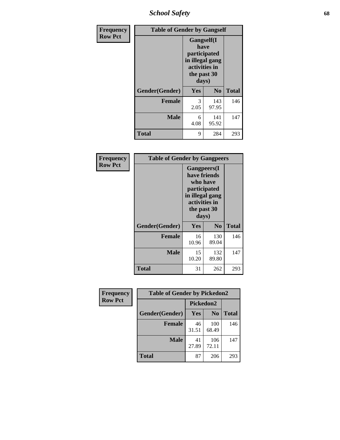*School Safety* **68**

| Frequency      | <b>Table of Gender by Gangself</b> |                                                                                                |                |              |
|----------------|------------------------------------|------------------------------------------------------------------------------------------------|----------------|--------------|
| <b>Row Pct</b> |                                    | Gangself(I<br>have<br>participated<br>in illegal gang<br>activities in<br>the past 30<br>days) |                |              |
|                | Gender(Gender)                     | Yes                                                                                            | N <sub>0</sub> | <b>Total</b> |
|                | <b>Female</b>                      | 3<br>2.05                                                                                      | 143<br>97.95   | 146          |
|                | <b>Male</b>                        | 6<br>4.08                                                                                      | 141<br>95.92   | 147          |
|                | <b>Total</b>                       | 9                                                                                              | 284            | 293          |

| Frequency      | <b>Table of Gender by Gangpeers</b> |                                                                                                                             |                |              |
|----------------|-------------------------------------|-----------------------------------------------------------------------------------------------------------------------------|----------------|--------------|
| <b>Row Pct</b> |                                     | <b>Gangpeers</b> (I<br>have friends<br>who have<br>participated<br>in illegal gang<br>activities in<br>the past 30<br>days) |                |              |
|                | Gender(Gender)                      | Yes                                                                                                                         | N <sub>0</sub> | <b>Total</b> |
|                | <b>Female</b>                       | 16<br>10.96                                                                                                                 | 130<br>89.04   | 146          |
|                | <b>Male</b>                         | 15<br>10.20                                                                                                                 | 132<br>89.80   | 147          |
|                | Total                               | 31                                                                                                                          | 262            | 293          |

| Frequency      | <b>Table of Gender by Pickedon2</b> |             |                |              |
|----------------|-------------------------------------|-------------|----------------|--------------|
| <b>Row Pct</b> |                                     | Pickedon2   |                |              |
|                | Gender(Gender)                      | Yes         | N <sub>0</sub> | <b>Total</b> |
|                | <b>Female</b>                       | 46<br>31.51 | 100<br>68.49   | 146          |
|                | <b>Male</b>                         | 41<br>27.89 | 106<br>72.11   | 147          |
|                | <b>Total</b>                        | 87          | 206            | 293          |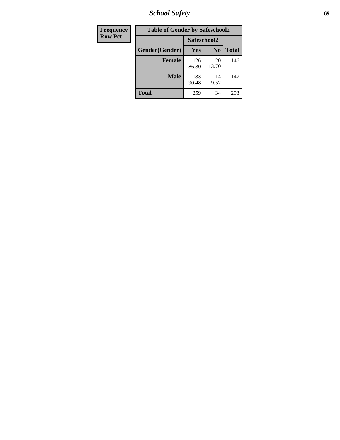*School Safety* **69**

| Frequency      | <b>Table of Gender by Safeschool2</b> |              |                |              |
|----------------|---------------------------------------|--------------|----------------|--------------|
| <b>Row Pct</b> |                                       | Safeschool2  |                |              |
|                | Gender(Gender)                        | Yes          | N <sub>0</sub> | <b>Total</b> |
|                | <b>Female</b>                         | 126<br>86.30 | 20<br>13.70    | 146          |
|                | <b>Male</b>                           | 133<br>90.48 | 14<br>9.52     | 147          |
|                | <b>Total</b>                          | 259          | 34             | 293          |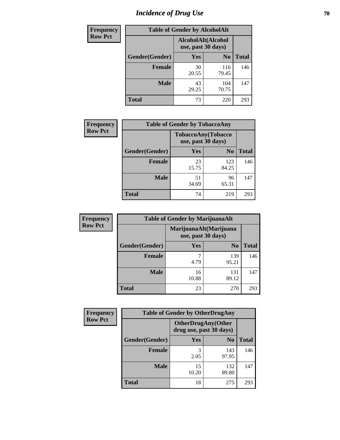# *Incidence of Drug Use* **70**

| <b>Frequency</b> |                                          | <b>Table of Gender by AlcoholAlt</b> |                |              |
|------------------|------------------------------------------|--------------------------------------|----------------|--------------|
| <b>Row Pct</b>   | AlcoholAlt(Alcohol<br>use, past 30 days) |                                      |                |              |
|                  | Gender(Gender)                           | <b>Yes</b>                           | N <sub>0</sub> | <b>Total</b> |
|                  | <b>Female</b>                            | 30<br>20.55                          | 116<br>79.45   | 146          |
|                  | <b>Male</b>                              | 43<br>29.25                          | 104<br>70.75   | 147          |
|                  | <b>Total</b>                             | 73                                   | 220            | 293          |

| <b>Frequency</b> |                | <b>Table of Gender by TobaccoAny</b>     |                |              |
|------------------|----------------|------------------------------------------|----------------|--------------|
| <b>Row Pct</b>   |                | TobaccoAny(Tobacco<br>use, past 30 days) |                |              |
|                  | Gender(Gender) | Yes                                      | N <sub>0</sub> | <b>Total</b> |
|                  | <b>Female</b>  | 23<br>15.75                              | 123<br>84.25   | 146          |
|                  | <b>Male</b>    | 51<br>34.69                              | 96<br>65.31    | 147          |
|                  | <b>Total</b>   | 74                                       | 219            | 293          |

| <b>Frequency</b> | <b>Table of Gender by MarijuanaAlt</b> |                                              |                |              |
|------------------|----------------------------------------|----------------------------------------------|----------------|--------------|
| <b>Row Pct</b>   |                                        | MarijuanaAlt(Marijuana<br>use, past 30 days) |                |              |
|                  | Gender(Gender)                         | Yes                                          | N <sub>0</sub> | <b>Total</b> |
|                  | Female                                 | 4.79                                         | 139<br>95.21   | 146          |
|                  | <b>Male</b>                            | 16<br>10.88                                  | 131<br>89.12   | 147          |
|                  | <b>Total</b>                           | 23                                           | 270            | 293          |

| <b>Frequency</b> | <b>Table of Gender by OtherDrugAny</b> |                                                      |                |              |
|------------------|----------------------------------------|------------------------------------------------------|----------------|--------------|
| <b>Row Pct</b>   |                                        | <b>OtherDrugAny(Other</b><br>drug use, past 30 days) |                |              |
|                  | Gender(Gender)                         | <b>Yes</b>                                           | N <sub>0</sub> | <b>Total</b> |
|                  | <b>Female</b>                          | 3<br>2.05                                            | 143<br>97.95   | 146          |
|                  | <b>Male</b>                            | 15<br>10.20                                          | 132<br>89.80   | 147          |
|                  | <b>Total</b>                           | 18                                                   | 275            | 293          |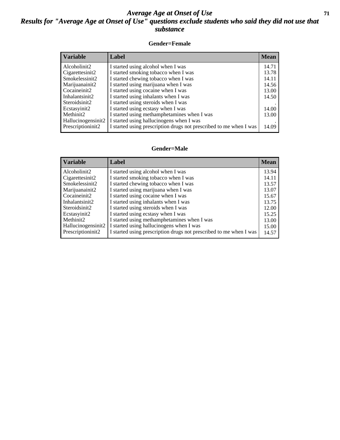### *Average Age at Onset of Use* **71** *Results for "Average Age at Onset of Use" questions exclude students who said they did not use that substance*

#### **Gender=Female**

| <b>Variable</b>    | <b>Label</b>                                                       | <b>Mean</b> |
|--------------------|--------------------------------------------------------------------|-------------|
| Alcoholinit2       | I started using alcohol when I was                                 | 14.71       |
| Cigarettesinit2    | I started smoking tobacco when I was                               | 13.78       |
| Smokelessinit2     | I started chewing tobacco when I was                               | 14.11       |
| Marijuanainit2     | I started using marijuana when I was                               | 14.56       |
| Cocaineinit2       | I started using cocaine when I was                                 | 13.00       |
| Inhalantsinit2     | I started using inhalants when I was                               | 14.50       |
| Steroidsinit2      | I started using steroids when I was                                |             |
| Ecstasyinit2       | I started using ecstasy when I was                                 | 14.00       |
| Methinit2          | I started using methamphetamines when I was                        | 13.00       |
| Hallucinogensinit2 | I started using hallucinogens when I was                           |             |
| Prescription in t2 | I started using prescription drugs not prescribed to me when I was | 14.09       |

#### **Gender=Male**

| <b>Variable</b>    | Label                                                              | <b>Mean</b> |
|--------------------|--------------------------------------------------------------------|-------------|
| Alcoholinit2       | I started using alcohol when I was                                 | 13.94       |
| Cigarettesinit2    | I started smoking tobacco when I was                               | 14.11       |
| Smokelessinit2     | I started chewing tobacco when I was                               | 13.57       |
| Marijuanainit2     | I started using marijuana when I was                               | 13.07       |
| Cocaineinit2       | I started using cocaine when I was                                 | 15.67       |
| Inhalantsinit2     | I started using inhalants when I was                               | 13.75       |
| Steroidsinit2      | I started using steroids when I was                                | 12.00       |
| Ecstasyinit2       | I started using ecstasy when I was                                 | 15.25       |
| Methinit2          | I started using methamphetamines when I was                        | 13.00       |
| Hallucinogensinit2 | I started using hallucinogens when I was                           | 15.00       |
| Prescriptioninit2  | I started using prescription drugs not prescribed to me when I was | 14.57       |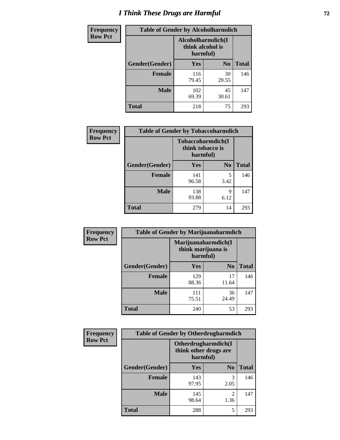# *I Think These Drugs are Harmful* **72**

| <b>Frequency</b> | <b>Table of Gender by Alcoholharmdich</b> |              |                                                   |              |
|------------------|-------------------------------------------|--------------|---------------------------------------------------|--------------|
| <b>Row Pct</b>   |                                           |              | Alcoholharmdich(I<br>think alcohol is<br>harmful) |              |
|                  | Gender(Gender)                            | Yes          | N <sub>0</sub>                                    | <b>Total</b> |
|                  | <b>Female</b>                             | 116<br>79.45 | 30<br>20.55                                       | 146          |
|                  | <b>Male</b>                               | 102<br>69.39 | 45<br>30.61                                       | 147          |
|                  | Total                                     | 218          | 75                                                | 293          |

| Frequency      | <b>Table of Gender by Tobaccoharmdich</b> |                  |                               |              |
|----------------|-------------------------------------------|------------------|-------------------------------|--------------|
| <b>Row Pct</b> |                                           | think tobacco is | Tobaccoharmdich(I<br>harmful) |              |
|                | Gender(Gender)                            | Yes              | N <sub>0</sub>                | <b>Total</b> |
|                | <b>Female</b>                             | 141<br>96.58     | 5<br>3.42                     | 146          |
|                | <b>Male</b>                               | 138<br>93.88     | 9<br>6.12                     | 147          |
|                | <b>Total</b>                              | 279              | 14                            | 293          |

| Frequency      | <b>Table of Gender by Marijuanaharmdich</b> |                                                       |                |              |  |
|----------------|---------------------------------------------|-------------------------------------------------------|----------------|--------------|--|
| <b>Row Pct</b> |                                             | Marijuanaharmdich(I<br>think marijuana is<br>harmful) |                |              |  |
|                | Gender(Gender)                              | <b>Yes</b>                                            | N <sub>0</sub> | <b>Total</b> |  |
|                | <b>Female</b>                               | 129<br>88.36                                          | 17<br>11.64    | 146          |  |
|                | <b>Male</b>                                 | 111<br>75.51                                          | 36<br>24.49    | 147          |  |
|                | <b>Total</b>                                | 240                                                   | 53             | 293          |  |

| Frequency      | <b>Table of Gender by Otherdrugharmdich</b> |                                                          |                |              |  |
|----------------|---------------------------------------------|----------------------------------------------------------|----------------|--------------|--|
| <b>Row Pct</b> |                                             | Otherdrugharmdich(I<br>think other drugs are<br>harmful) |                |              |  |
|                | Gender(Gender)                              | <b>Yes</b>                                               | N <sub>0</sub> | <b>Total</b> |  |
|                | <b>Female</b>                               | 143<br>97.95                                             | 3<br>2.05      | 146          |  |
|                | <b>Male</b>                                 | 145<br>98.64                                             | 2<br>1.36      | 147          |  |
|                | <b>Total</b>                                | 288                                                      | 5              | 293          |  |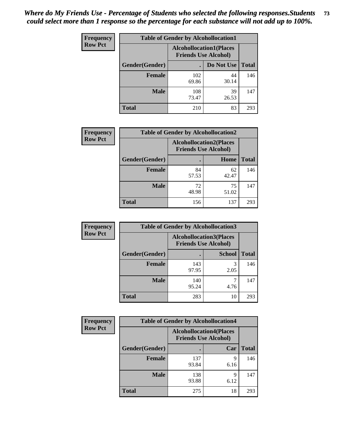| <b>Frequency</b> | <b>Table of Gender by Alcohollocation1</b> |                                                               |             |              |
|------------------|--------------------------------------------|---------------------------------------------------------------|-------------|--------------|
| <b>Row Pct</b>   |                                            | <b>Alcohollocation1(Places</b><br><b>Friends Use Alcohol)</b> |             |              |
|                  | Gender(Gender)                             |                                                               | Do Not Use  | <b>Total</b> |
|                  | <b>Female</b>                              | 102<br>69.86                                                  | 44<br>30.14 | 146          |
|                  | <b>Male</b>                                | 108<br>73.47                                                  | 39<br>26.53 | 147          |
|                  | <b>Total</b>                               | 210                                                           | 83          | 293          |

| <b>Frequency</b> | <b>Table of Gender by Alcohollocation2</b> |                                                               |             |              |
|------------------|--------------------------------------------|---------------------------------------------------------------|-------------|--------------|
| <b>Row Pct</b>   |                                            | <b>Alcohollocation2(Places</b><br><b>Friends Use Alcohol)</b> |             |              |
|                  | Gender(Gender)                             |                                                               | Home        | <b>Total</b> |
|                  | <b>Female</b>                              | 84<br>57.53                                                   | 62<br>42.47 | 146          |
|                  | <b>Male</b>                                | 72<br>48.98                                                   | 75<br>51.02 | 147          |
|                  | <b>Total</b>                               | 156                                                           | 137         | 293          |

| Frequency      | <b>Table of Gender by Alcohollocation3</b> |                                                               |               |              |
|----------------|--------------------------------------------|---------------------------------------------------------------|---------------|--------------|
| <b>Row Pct</b> |                                            | <b>Alcohollocation3(Places</b><br><b>Friends Use Alcohol)</b> |               |              |
|                | Gender(Gender)                             |                                                               | <b>School</b> | <b>Total</b> |
|                | <b>Female</b>                              | 143<br>97.95                                                  | 3<br>2.05     | 146          |
|                | <b>Male</b>                                | 140<br>95.24                                                  | 4.76          | 147          |
|                | <b>Total</b>                               | 283                                                           | 10            | 293          |

| Frequency      | <b>Table of Gender by Alcohollocation4</b> |                                                               |           |              |
|----------------|--------------------------------------------|---------------------------------------------------------------|-----------|--------------|
| <b>Row Pct</b> |                                            | <b>Alcohollocation4(Places</b><br><b>Friends Use Alcohol)</b> |           |              |
|                | Gender(Gender)                             |                                                               | Car       | <b>Total</b> |
|                | <b>Female</b>                              | 137<br>93.84                                                  | 9<br>6.16 | 146          |
|                | <b>Male</b>                                | 138<br>93.88                                                  | q<br>6.12 | 147          |
|                | <b>Total</b>                               | 275                                                           | 18        | 293          |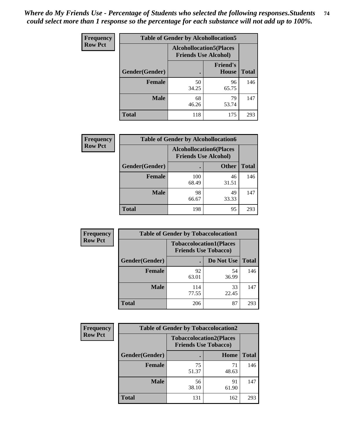| <b>Frequency</b> | <b>Table of Gender by Alcohollocation5</b> |                                                                |                                 |              |
|------------------|--------------------------------------------|----------------------------------------------------------------|---------------------------------|--------------|
| <b>Row Pct</b>   |                                            | <b>Alcohollocation5</b> (Places<br><b>Friends Use Alcohol)</b> |                                 |              |
|                  | Gender(Gender)                             | $\bullet$                                                      | <b>Friend's</b><br><b>House</b> | <b>Total</b> |
|                  | <b>Female</b>                              | 50<br>34.25                                                    | 96<br>65.75                     | 146          |
|                  | <b>Male</b>                                | 68<br>46.26                                                    | 79<br>53.74                     | 147          |
|                  | <b>Total</b>                               | 118                                                            | 175                             | 293          |

| Frequency      | <b>Table of Gender by Alcohollocation6</b> |                                                               |              |              |  |
|----------------|--------------------------------------------|---------------------------------------------------------------|--------------|--------------|--|
| <b>Row Pct</b> |                                            | <b>Alcohollocation6(Places</b><br><b>Friends Use Alcohol)</b> |              |              |  |
|                | <b>Gender</b> (Gender)                     |                                                               | <b>Other</b> | <b>Total</b> |  |
|                | <b>Female</b>                              | 100<br>68.49                                                  | 46<br>31.51  | 146          |  |
|                | <b>Male</b>                                | 98<br>66.67                                                   | 49<br>33.33  | 147          |  |
|                | <b>Total</b>                               | 198                                                           | 95           | 293          |  |

| Frequency      | <b>Table of Gender by Tobaccolocation1</b> |                                                               |             |              |  |
|----------------|--------------------------------------------|---------------------------------------------------------------|-------------|--------------|--|
| <b>Row Pct</b> |                                            | <b>Tobaccolocation1(Places</b><br><b>Friends Use Tobacco)</b> |             |              |  |
|                | Gender(Gender)                             |                                                               | Do Not Use  | <b>Total</b> |  |
|                | <b>Female</b>                              | 92<br>63.01                                                   | 54<br>36.99 | 146          |  |
|                | <b>Male</b>                                | 114<br>77.55                                                  | 33<br>22.45 | 147          |  |
|                | <b>Total</b>                               | 206                                                           | 87          | 293          |  |

| <b>Frequency</b> | <b>Table of Gender by Tobaccolocation2</b> |                                                               |             |              |
|------------------|--------------------------------------------|---------------------------------------------------------------|-------------|--------------|
| <b>Row Pct</b>   |                                            | <b>Tobaccolocation2(Places</b><br><b>Friends Use Tobacco)</b> |             |              |
|                  | Gender(Gender)                             |                                                               | Home        | <b>Total</b> |
|                  | Female                                     | 75<br>51.37                                                   | 71<br>48.63 | 146          |
|                  | <b>Male</b>                                | 56<br>38.10                                                   | 91<br>61.90 | 147          |
|                  | <b>Total</b>                               | 131                                                           | 162         | 293          |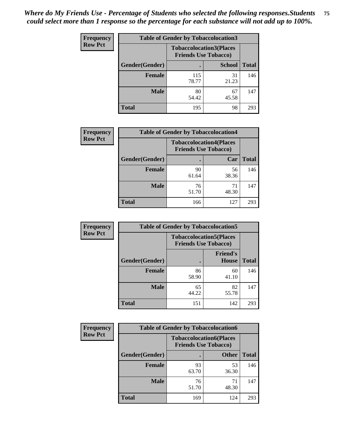| <b>Frequency</b> | <b>Table of Gender by Tobaccolocation3</b> |                                                               |               |              |
|------------------|--------------------------------------------|---------------------------------------------------------------|---------------|--------------|
| <b>Row Pct</b>   |                                            | <b>Tobaccolocation3(Places</b><br><b>Friends Use Tobacco)</b> |               |              |
|                  | Gender(Gender)                             |                                                               | <b>School</b> | <b>Total</b> |
|                  | <b>Female</b>                              | 115<br>78.77                                                  | 31<br>21.23   | 146          |
|                  | <b>Male</b>                                | 80<br>54.42                                                   | 67<br>45.58   | 147          |
|                  | <b>Total</b>                               | 195                                                           | 98            | 293          |

| <b>Frequency</b> | <b>Table of Gender by Tobaccolocation4</b> |                                                               |             |              |
|------------------|--------------------------------------------|---------------------------------------------------------------|-------------|--------------|
| <b>Row Pct</b>   |                                            | <b>Tobaccolocation4(Places</b><br><b>Friends Use Tobacco)</b> |             |              |
|                  | Gender(Gender)                             |                                                               | Car         | <b>Total</b> |
|                  | <b>Female</b>                              | 90<br>61.64                                                   | 56<br>38.36 | 146          |
|                  | <b>Male</b>                                | 76<br>51.70                                                   | 71<br>48.30 | 147          |
|                  | <b>Total</b>                               | 166                                                           | 127         | 293          |

| <b>Frequency</b> | <b>Table of Gender by Tobaccolocation5</b> |                                                               |                                 |              |
|------------------|--------------------------------------------|---------------------------------------------------------------|---------------------------------|--------------|
| <b>Row Pct</b>   |                                            | <b>Tobaccolocation5(Places</b><br><b>Friends Use Tobacco)</b> |                                 |              |
|                  | Gender(Gender)                             |                                                               | <b>Friend's</b><br><b>House</b> | <b>Total</b> |
|                  | <b>Female</b>                              | 86<br>58.90                                                   | 60<br>41.10                     | 146          |
|                  | <b>Male</b>                                | 65<br>44.22                                                   | 82<br>55.78                     | 147          |
|                  | <b>Total</b>                               | 151                                                           | 142                             | 293          |

| <b>Frequency</b> |                | <b>Table of Gender by Tobaccolocation6</b>                    |              |              |  |
|------------------|----------------|---------------------------------------------------------------|--------------|--------------|--|
| <b>Row Pct</b>   |                | <b>Tobaccolocation6(Places</b><br><b>Friends Use Tobacco)</b> |              |              |  |
|                  | Gender(Gender) |                                                               | <b>Other</b> | <b>Total</b> |  |
|                  | Female         | 93<br>63.70                                                   | 53<br>36.30  | 146          |  |
|                  | <b>Male</b>    | 76<br>51.70                                                   | 71<br>48.30  | 147          |  |
|                  | <b>Total</b>   | 169                                                           | 124          | 293          |  |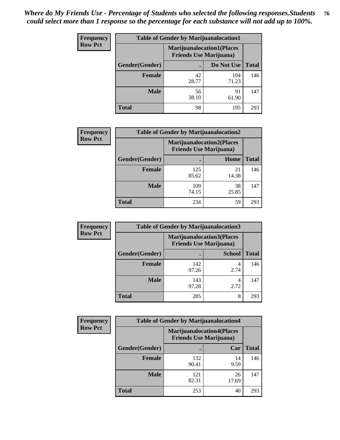| <b>Frequency</b> | <b>Table of Gender by Marijuanalocation1</b> |                                                                    |              |              |
|------------------|----------------------------------------------|--------------------------------------------------------------------|--------------|--------------|
| <b>Row Pct</b>   |                                              | <b>Marijuanalocation1(Places</b><br><b>Friends Use Marijuana</b> ) |              |              |
|                  | Gender(Gender)                               |                                                                    | Do Not Use   | <b>Total</b> |
|                  | <b>Female</b>                                | 42<br>28.77                                                        | 104<br>71.23 | 146          |
|                  | <b>Male</b>                                  | 56<br>38.10                                                        | 91<br>61.90  | 147          |
|                  | Total                                        | 98                                                                 | 195          | 293          |

| <b>Frequency</b> | <b>Table of Gender by Marijuanalocation2</b> |                                                                    |             |              |  |
|------------------|----------------------------------------------|--------------------------------------------------------------------|-------------|--------------|--|
| <b>Row Pct</b>   |                                              | <b>Marijuanalocation2(Places</b><br><b>Friends Use Marijuana</b> ) |             |              |  |
|                  | Gender(Gender)                               |                                                                    | Home        | <b>Total</b> |  |
|                  | <b>Female</b>                                | 125<br>85.62                                                       | 21<br>14.38 | 146          |  |
|                  | <b>Male</b>                                  | 109<br>74.15                                                       | 38<br>25.85 | 147          |  |
|                  | <b>Total</b>                                 | 234                                                                | 59          | 293          |  |

| Frequency      | <b>Table of Gender by Marijuanalocation3</b> |              |                                                                     |              |  |
|----------------|----------------------------------------------|--------------|---------------------------------------------------------------------|--------------|--|
| <b>Row Pct</b> |                                              |              | <b>Marijuanalocation3(Places)</b><br><b>Friends Use Marijuana</b> ) |              |  |
|                | Gender(Gender)                               |              | <b>School</b>                                                       | <b>Total</b> |  |
|                | Female                                       | 142<br>97.26 | 2.74                                                                | 146          |  |
|                | <b>Male</b>                                  | 143<br>97.28 | 2.72                                                                | 147          |  |
|                | <b>Total</b>                                 | 285          | 8                                                                   | 293          |  |

| <b>Frequency</b> | <b>Table of Gender by Marijuanalocation4</b> |                                                                     |             |              |
|------------------|----------------------------------------------|---------------------------------------------------------------------|-------------|--------------|
| <b>Row Pct</b>   |                                              | <b>Marijuanalocation4(Places)</b><br><b>Friends Use Marijuana</b> ) |             |              |
|                  | Gender(Gender)                               |                                                                     | Car         | <b>Total</b> |
|                  | Female                                       | 132<br>90.41                                                        | 14<br>9.59  | 146          |
|                  | <b>Male</b>                                  | 121<br>82.31                                                        | 26<br>17.69 | 147          |
|                  | <b>Total</b>                                 | 253                                                                 | 40          | 293          |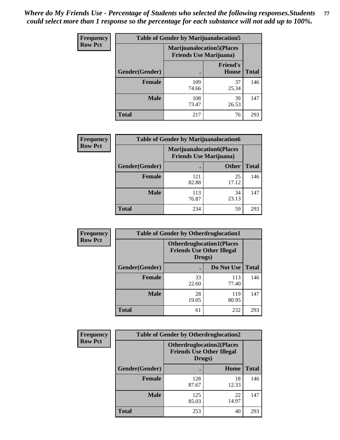| Frequency      | <b>Table of Gender by Marijuanalocation5</b> |                                                                    |                                 |              |
|----------------|----------------------------------------------|--------------------------------------------------------------------|---------------------------------|--------------|
| <b>Row Pct</b> |                                              | <b>Marijuanalocation5(Places</b><br><b>Friends Use Marijuana</b> ) |                                 |              |
|                | Gender(Gender)                               |                                                                    | <b>Friend's</b><br><b>House</b> | <b>Total</b> |
|                | <b>Female</b>                                | 109<br>74.66                                                       | 37<br>25.34                     | 146          |
|                | <b>Male</b>                                  | 108<br>73.47                                                       | 39<br>26.53                     | 147          |
|                | <b>Total</b>                                 | 217                                                                | 76                              | 293          |

| <b>Frequency</b> | <b>Table of Gender by Marijuanalocation6</b> |                                                                    |              |              |
|------------------|----------------------------------------------|--------------------------------------------------------------------|--------------|--------------|
| <b>Row Pct</b>   |                                              | <b>Marijuanalocation6(Places</b><br><b>Friends Use Marijuana</b> ) |              |              |
|                  | <b>Gender</b> (Gender)                       |                                                                    | <b>Other</b> | <b>Total</b> |
|                  | <b>Female</b>                                | 121<br>82.88                                                       | 25<br>17.12  | 146          |
|                  | <b>Male</b>                                  | 113<br>76.87                                                       | 34<br>23.13  | 147          |
|                  | <b>Total</b>                                 | 234                                                                | 59           | 293          |

| Frequency      | <b>Table of Gender by Otherdruglocation1</b> |                                                                                |              |              |
|----------------|----------------------------------------------|--------------------------------------------------------------------------------|--------------|--------------|
| <b>Row Pct</b> |                                              | <b>Otherdruglocation1(Places</b><br><b>Friends Use Other Illegal</b><br>Drugs) |              |              |
|                | Gender(Gender)                               |                                                                                | Do Not Use   | <b>Total</b> |
|                | <b>Female</b>                                | 33<br>22.60                                                                    | 113<br>77.40 | 146          |
|                | <b>Male</b>                                  | 28<br>19.05                                                                    | 119<br>80.95 | 147          |
|                | <b>Total</b>                                 | 61                                                                             | 232          | 293          |

| <b>Frequency</b> | <b>Table of Gender by Otherdruglocation2</b> |                                                                                |             |              |
|------------------|----------------------------------------------|--------------------------------------------------------------------------------|-------------|--------------|
| <b>Row Pct</b>   |                                              | <b>Otherdruglocation2(Places</b><br><b>Friends Use Other Illegal</b><br>Drugs) |             |              |
|                  | Gender(Gender)                               |                                                                                | Home        | <b>Total</b> |
|                  | Female                                       | 128<br>87.67                                                                   | 18<br>12.33 | 146          |
|                  | <b>Male</b>                                  | 125<br>85.03                                                                   | 22<br>14.97 | 147          |
|                  | <b>Total</b>                                 | 253                                                                            | 40          | 293          |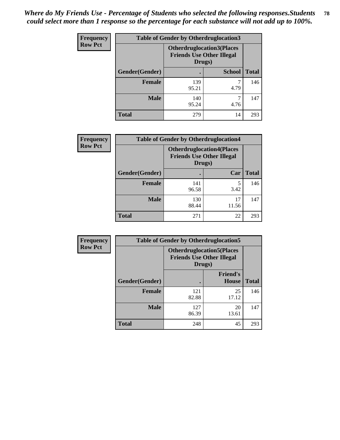| Frequency      | <b>Table of Gender by Otherdruglocation3</b> |                                                                                |               |              |
|----------------|----------------------------------------------|--------------------------------------------------------------------------------|---------------|--------------|
| <b>Row Pct</b> |                                              | <b>Otherdruglocation3(Places</b><br><b>Friends Use Other Illegal</b><br>Drugs) |               |              |
|                | Gender(Gender)                               |                                                                                | <b>School</b> | <b>Total</b> |
|                | <b>Female</b>                                | 139<br>95.21                                                                   | 4.79          | 146          |
|                | <b>Male</b>                                  | 140<br>95.24                                                                   | 4.76          | 147          |
|                | <b>Total</b>                                 | 279                                                                            | 14            | 293          |

| Frequency      | <b>Table of Gender by Otherdruglocation4</b> |                                                                                |             |              |
|----------------|----------------------------------------------|--------------------------------------------------------------------------------|-------------|--------------|
| <b>Row Pct</b> |                                              | <b>Otherdruglocation4(Places</b><br><b>Friends Use Other Illegal</b><br>Drugs) |             |              |
|                | Gender(Gender)                               |                                                                                | Car         | <b>Total</b> |
|                | <b>Female</b>                                | 141<br>96.58                                                                   | 5<br>3.42   | 146          |
|                | <b>Male</b>                                  | 130<br>88.44                                                                   | 17<br>11.56 | 147          |
|                | <b>Total</b>                                 | 271                                                                            | 22          | 293          |

| Frequency      | <b>Table of Gender by Otherdruglocation5</b> |                                                                                |                                 |              |
|----------------|----------------------------------------------|--------------------------------------------------------------------------------|---------------------------------|--------------|
| <b>Row Pct</b> |                                              | <b>Otherdruglocation5(Places</b><br><b>Friends Use Other Illegal</b><br>Drugs) |                                 |              |
|                | Gender(Gender)                               |                                                                                | <b>Friend's</b><br><b>House</b> | <b>Total</b> |
|                | <b>Female</b>                                | 121<br>82.88                                                                   | 25<br>17.12                     | 146          |
|                | <b>Male</b>                                  | 127<br>86.39                                                                   | 20<br>13.61                     | 147          |
|                | <b>Total</b>                                 | 248                                                                            | 45                              | 293          |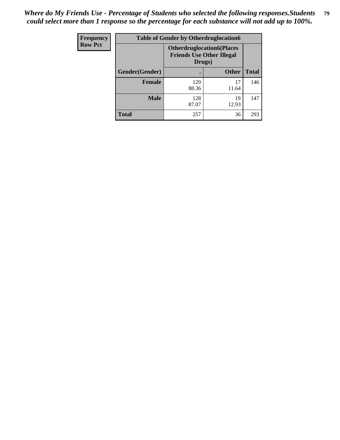| Frequency      | <b>Table of Gender by Otherdruglocation6</b> |                                            |                                  |              |
|----------------|----------------------------------------------|--------------------------------------------|----------------------------------|--------------|
| <b>Row Pct</b> |                                              | <b>Friends Use Other Illegal</b><br>Drugs) | <b>Otherdruglocation6(Places</b> |              |
|                | Gender(Gender)                               |                                            | <b>Other</b>                     | <b>Total</b> |
|                | <b>Female</b>                                | 129<br>88.36                               | 17<br>11.64                      | 146          |
|                | <b>Male</b>                                  | 128<br>87.07                               | 19<br>12.93                      | 147          |
|                | <b>Total</b>                                 | 257                                        | 36                               | 293          |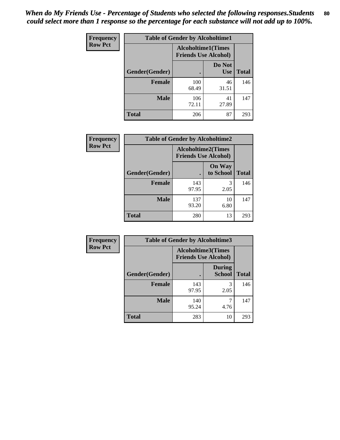| <b>Frequency</b> | <b>Table of Gender by Alcoholtime1</b> |                                                          |                      |              |
|------------------|----------------------------------------|----------------------------------------------------------|----------------------|--------------|
| <b>Row Pct</b>   |                                        | <b>Alcoholtime1(Times</b><br><b>Friends Use Alcohol)</b> |                      |              |
|                  | Gender(Gender)                         | ٠                                                        | Do Not<br><b>Use</b> | <b>Total</b> |
|                  | <b>Female</b>                          | 100<br>68.49                                             | 46<br>31.51          | 146          |
|                  | <b>Male</b>                            | 106<br>72.11                                             | 41<br>27.89          | 147          |
|                  | <b>Total</b>                           | 206                                                      | 87                   | 293          |

| <b>Frequency</b> | <b>Table of Gender by Alcoholtime2</b> |                           |                             |              |
|------------------|----------------------------------------|---------------------------|-----------------------------|--------------|
| <b>Row Pct</b>   |                                        | <b>Alcoholtime2(Times</b> | <b>Friends Use Alcohol)</b> |              |
|                  | Gender(Gender)                         |                           | <b>On Way</b><br>to School  | <b>Total</b> |
|                  | <b>Female</b>                          | 143<br>97.95              | 3<br>2.05                   | 146          |
|                  | <b>Male</b>                            | 137<br>93.20              | 10<br>6.80                  | 147          |
|                  | <b>Total</b>                           | 280                       | 13                          | 293          |

| Frequency      | <b>Table of Gender by Alcoholtime3</b> |                                                          |                                |              |
|----------------|----------------------------------------|----------------------------------------------------------|--------------------------------|--------------|
| <b>Row Pct</b> |                                        | <b>Alcoholtime3(Times</b><br><b>Friends Use Alcohol)</b> |                                |              |
|                | Gender(Gender)                         |                                                          | <b>During</b><br><b>School</b> | <b>Total</b> |
|                | <b>Female</b>                          | 143<br>97.95                                             | 3<br>2.05                      | 146          |
|                | <b>Male</b>                            | 140<br>95.24                                             | 4.76                           | 147          |
|                | <b>Total</b>                           | 283                                                      | 10                             | 293          |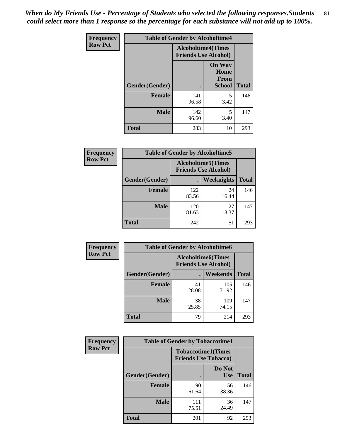*When do My Friends Use - Percentage of Students who selected the following responses.Students could select more than 1 response so the percentage for each substance will not add up to 100%.* **81**

| <b>Frequency</b> | <b>Table of Gender by Alcoholtime4</b> |                                                          |                                                |              |  |
|------------------|----------------------------------------|----------------------------------------------------------|------------------------------------------------|--------------|--|
| <b>Row Pct</b>   |                                        | <b>Alcoholtime4(Times</b><br><b>Friends Use Alcohol)</b> |                                                |              |  |
|                  | Gender(Gender)                         |                                                          | <b>On Way</b><br>Home<br>From<br><b>School</b> | <b>Total</b> |  |
|                  | <b>Female</b>                          | 141<br>96.58                                             | 5<br>3.42                                      | 146          |  |
|                  | <b>Male</b>                            | 142<br>96.60                                             | 5<br>3.40                                      | 147          |  |
|                  | <b>Total</b>                           | 283                                                      | 10                                             | 293          |  |

| <b>Frequency</b> | <b>Table of Gender by Alcoholtime5</b> |                                                           |             |              |
|------------------|----------------------------------------|-----------------------------------------------------------|-------------|--------------|
| <b>Row Pct</b>   |                                        | <b>Alcoholtime5</b> (Times<br><b>Friends Use Alcohol)</b> |             |              |
|                  | Gender(Gender)                         |                                                           | Weeknights  | <b>Total</b> |
|                  | <b>Female</b>                          | 122<br>83.56                                              | 24<br>16.44 | 146          |
|                  | <b>Male</b>                            | 120<br>81.63                                              | 27<br>18.37 | 147          |
|                  | <b>Total</b>                           | 242                                                       | 51          | 293          |

| <b>Frequency</b> | <b>Table of Gender by Alcoholtime6</b> |                                                          |                 |              |  |
|------------------|----------------------------------------|----------------------------------------------------------|-----------------|--------------|--|
| <b>Row Pct</b>   |                                        | <b>Alcoholtime6(Times</b><br><b>Friends Use Alcohol)</b> |                 |              |  |
|                  | Gender(Gender)                         |                                                          | <b>Weekends</b> | <b>Total</b> |  |
|                  | <b>Female</b>                          | 41<br>28.08                                              | 105<br>71.92    | 146          |  |
|                  | <b>Male</b>                            | 38<br>25.85                                              | 109<br>74.15    | 147          |  |
|                  | Total                                  | 79                                                       | 214             | 293          |  |

| Frequency      | <b>Table of Gender by Tobaccotime1</b> |                                                          |                      |              |
|----------------|----------------------------------------|----------------------------------------------------------|----------------------|--------------|
| <b>Row Pct</b> |                                        | <b>Tobaccotime1(Times</b><br><b>Friends Use Tobacco)</b> |                      |              |
|                | Gender(Gender)                         |                                                          | Do Not<br><b>Use</b> | <b>Total</b> |
|                | <b>Female</b>                          | 90<br>61.64                                              | 56<br>38.36          | 146          |
|                | <b>Male</b>                            | 111<br>75.51                                             | 36<br>24.49          | 147          |
|                | <b>Total</b>                           | 201                                                      | 92                   | 293          |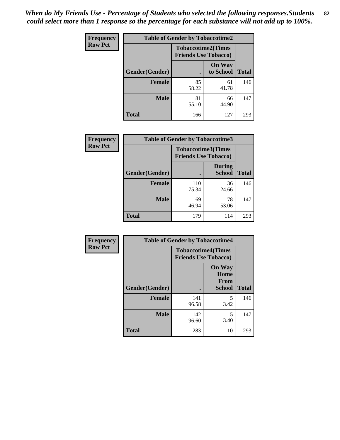| <b>Frequency</b> | <b>Table of Gender by Tobaccotime2</b> |                                                          |                            |              |
|------------------|----------------------------------------|----------------------------------------------------------|----------------------------|--------------|
| <b>Row Pct</b>   |                                        | <b>Tobaccotime2(Times</b><br><b>Friends Use Tobacco)</b> |                            |              |
|                  | Gender(Gender)                         |                                                          | <b>On Way</b><br>to School | <b>Total</b> |
|                  | <b>Female</b>                          | 85<br>58.22                                              | 61<br>41.78                | 146          |
|                  | <b>Male</b>                            | 81<br>55.10                                              | 66<br>44.90                | 147          |
|                  | <b>Total</b>                           | 166                                                      | 127                        | 293          |

| <b>Frequency</b> | <b>Table of Gender by Tobaccotime3</b> |                                                          |                                |              |
|------------------|----------------------------------------|----------------------------------------------------------|--------------------------------|--------------|
| <b>Row Pct</b>   |                                        | <b>Tobaccotime3(Times</b><br><b>Friends Use Tobacco)</b> |                                |              |
|                  | Gender(Gender)                         |                                                          | <b>During</b><br><b>School</b> | <b>Total</b> |
|                  | <b>Female</b>                          | 110<br>75.34                                             | 36<br>24.66                    | 146          |
|                  | <b>Male</b>                            | 69<br>46.94                                              | 78<br>53.06                    | 147          |
|                  | <b>Total</b>                           | 179                                                      | 114                            | 293          |

| <b>Frequency</b> | <b>Table of Gender by Tobaccotime4</b> |                                                          |                                                |              |
|------------------|----------------------------------------|----------------------------------------------------------|------------------------------------------------|--------------|
| <b>Row Pct</b>   |                                        | <b>Tobaccotime4(Times</b><br><b>Friends Use Tobacco)</b> |                                                |              |
|                  | Gender(Gender)                         |                                                          | <b>On Way</b><br>Home<br>From<br><b>School</b> | <b>Total</b> |
|                  | <b>Female</b>                          | 141<br>96.58                                             | 5<br>3.42                                      | 146          |
|                  | <b>Male</b>                            | 142<br>96.60                                             | 5<br>3.40                                      | 147          |
|                  | <b>Total</b>                           | 283                                                      | 10                                             | 293          |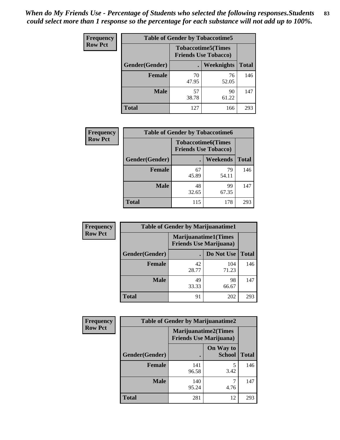| Frequency      | <b>Table of Gender by Tobaccotime5</b> |             |                                                           |              |  |
|----------------|----------------------------------------|-------------|-----------------------------------------------------------|--------------|--|
| <b>Row Pct</b> |                                        |             | <b>Tobaccotime5</b> (Times<br><b>Friends Use Tobacco)</b> |              |  |
|                | <b>Gender</b> (Gender)                 |             | Weeknights                                                | <b>Total</b> |  |
|                | <b>Female</b>                          | 70<br>47.95 | 76<br>52.05                                               | 146          |  |
|                | <b>Male</b>                            | 57<br>38.78 | 90<br>61.22                                               | 147          |  |
|                | <b>Total</b>                           | 127         | 166                                                       | 293          |  |

| <b>Frequency</b> | <b>Table of Gender by Tobaccotime6</b> |                                                          |                 |              |
|------------------|----------------------------------------|----------------------------------------------------------|-----------------|--------------|
| <b>Row Pct</b>   |                                        | <b>Tobaccotime6(Times</b><br><b>Friends Use Tobacco)</b> |                 |              |
|                  | Gender(Gender)                         |                                                          | <b>Weekends</b> | <b>Total</b> |
|                  | Female                                 | 67<br>45.89                                              | 79<br>54.11     | 146          |
|                  | <b>Male</b>                            | 48<br>32.65                                              | 99<br>67.35     | 147          |
|                  | <b>Total</b>                           | 115                                                      | 178             | 293          |

| <b>Frequency</b> | <b>Table of Gender by Marijuanatime1</b> |                                                               |              |              |  |
|------------------|------------------------------------------|---------------------------------------------------------------|--------------|--------------|--|
| <b>Row Pct</b>   |                                          | <b>Marijuanatime1(Times</b><br><b>Friends Use Marijuana</b> ) |              |              |  |
|                  | Gender(Gender)                           |                                                               | Do Not Use   | <b>Total</b> |  |
|                  | <b>Female</b>                            | 42<br>28.77                                                   | 104<br>71.23 | 146          |  |
|                  | <b>Male</b>                              | 49<br>33.33                                                   | 98<br>66.67  | 147          |  |
|                  | <b>Total</b>                             | 91                                                            | 202          | 293          |  |

| <b>Frequency</b> | <b>Table of Gender by Marijuanatime2</b> |                                                               |                            |              |
|------------------|------------------------------------------|---------------------------------------------------------------|----------------------------|--------------|
| <b>Row Pct</b>   |                                          | <b>Marijuanatime2(Times</b><br><b>Friends Use Marijuana</b> ) |                            |              |
|                  | Gender(Gender)                           |                                                               | On Way to<br><b>School</b> | <b>Total</b> |
|                  | Female                                   | 141<br>96.58                                                  | 5<br>3.42                  | 146          |
|                  | <b>Male</b>                              | 140<br>95.24                                                  | 4.76                       | 147          |
|                  | <b>Total</b>                             | 281                                                           | 12                         | 293          |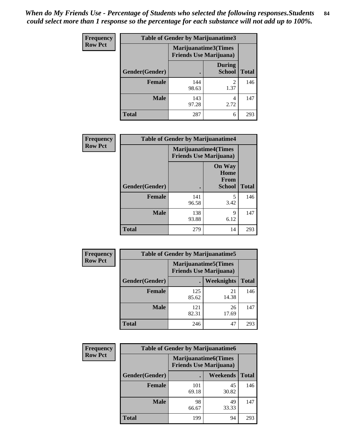*When do My Friends Use - Percentage of Students who selected the following responses.Students could select more than 1 response so the percentage for each substance will not add up to 100%.* **84**

| <b>Frequency</b> | Table of Gender by Marijuanatime3 |                                                        |                                |              |
|------------------|-----------------------------------|--------------------------------------------------------|--------------------------------|--------------|
| <b>Row Pct</b>   |                                   | Marijuanatime3(Times<br><b>Friends Use Marijuana</b> ) |                                |              |
|                  | Gender(Gender)                    |                                                        | <b>During</b><br><b>School</b> | <b>Total</b> |
|                  | <b>Female</b>                     | 144<br>98.63                                           | $\mathfrak{D}$<br>1.37         | 146          |
|                  | <b>Male</b>                       | 143<br>97.28                                           | 4<br>2.72                      | 147          |
|                  | <b>Total</b>                      | 287                                                    | 6                              | 293          |

| Frequency      | <b>Table of Gender by Marijuanatime4</b> |                                |                                                |              |
|----------------|------------------------------------------|--------------------------------|------------------------------------------------|--------------|
| <b>Row Pct</b> |                                          | <b>Friends Use Marijuana</b> ) | <b>Marijuanatime4</b> (Times                   |              |
|                | Gender(Gender)                           |                                | <b>On Way</b><br>Home<br>From<br><b>School</b> | <b>Total</b> |
|                | <b>Female</b>                            | 141<br>96.58                   | 5<br>3.42                                      | 146          |
|                | <b>Male</b>                              | 138<br>93.88                   | 9<br>6.12                                      | 147          |
|                | <b>Total</b>                             | 279                            | 14                                             | 293          |

| Frequency      | <b>Table of Gender by Marijuanatime5</b> |              |                                                                |              |  |
|----------------|------------------------------------------|--------------|----------------------------------------------------------------|--------------|--|
| <b>Row Pct</b> |                                          |              | <b>Marijuanatime5</b> (Times<br><b>Friends Use Marijuana</b> ) |              |  |
|                | Gender(Gender)                           | ٠            | Weeknights                                                     | <b>Total</b> |  |
|                | <b>Female</b>                            | 125<br>85.62 | 21<br>14.38                                                    | 146          |  |
|                | <b>Male</b>                              | 121<br>82.31 | 26<br>17.69                                                    | 147          |  |
|                | <b>Total</b>                             | 246          | 47                                                             | 293          |  |

| <b>Frequency</b> | <b>Table of Gender by Marijuanatime6</b> |                                                               |             |              |
|------------------|------------------------------------------|---------------------------------------------------------------|-------------|--------------|
| <b>Row Pct</b>   |                                          | <b>Marijuanatime6(Times</b><br><b>Friends Use Marijuana</b> ) |             |              |
|                  | Gender(Gender)                           |                                                               | Weekends    | <b>Total</b> |
|                  | Female                                   | 101<br>69.18                                                  | 45<br>30.82 | 146          |
|                  | <b>Male</b>                              | 98<br>66.67                                                   | 49<br>33.33 | 147          |
|                  | <b>Total</b>                             | 199                                                           | 94          | 293          |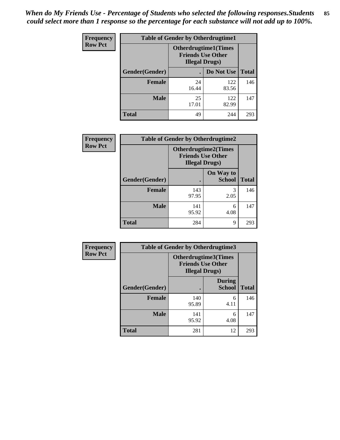*When do My Friends Use - Percentage of Students who selected the following responses.Students could select more than 1 response so the percentage for each substance will not add up to 100%.* **85**

| <b>Frequency</b> | <b>Table of Gender by Otherdrugtime1</b> |                                                                                   |              |              |  |
|------------------|------------------------------------------|-----------------------------------------------------------------------------------|--------------|--------------|--|
| <b>Row Pct</b>   |                                          | <b>Otherdrugtime1(Times</b><br><b>Friends Use Other</b><br><b>Illegal Drugs</b> ) |              |              |  |
|                  | Gender(Gender)                           |                                                                                   | Do Not Use   | <b>Total</b> |  |
|                  | <b>Female</b>                            | 24<br>16.44                                                                       | 122<br>83.56 | 146          |  |
|                  | <b>Male</b>                              | 25<br>17.01                                                                       | 122<br>82.99 | 147          |  |
|                  | <b>Total</b>                             | 49                                                                                | 244          | 293          |  |

| Frequency      |                        | <b>Table of Gender by Otherdrugtime2</b>                                          |                            |              |
|----------------|------------------------|-----------------------------------------------------------------------------------|----------------------------|--------------|
| <b>Row Pct</b> |                        | <b>Otherdrugtime2(Times</b><br><b>Friends Use Other</b><br><b>Illegal Drugs</b> ) |                            |              |
|                | <b>Gender</b> (Gender) |                                                                                   | On Way to<br><b>School</b> | <b>Total</b> |
|                | <b>Female</b>          | 143<br>97.95                                                                      | 3<br>2.05                  | 146          |
|                | <b>Male</b>            | 141<br>95.92                                                                      | 6<br>4.08                  | 147          |
|                | <b>Total</b>           | 284                                                                               | 9                          | 293          |

| <b>Frequency</b> |                | <b>Table of Gender by Otherdrugtime3</b>           |                                |              |
|------------------|----------------|----------------------------------------------------|--------------------------------|--------------|
| <b>Row Pct</b>   |                | <b>Friends Use Other</b><br><b>Illegal Drugs</b> ) | Otherdrugtime3(Times           |              |
|                  | Gender(Gender) |                                                    | <b>During</b><br><b>School</b> | <b>Total</b> |
|                  | <b>Female</b>  | 140<br>95.89                                       | 6<br>4.11                      | 146          |
|                  | <b>Male</b>    | 141<br>95.92                                       | 6<br>4.08                      | 147          |
|                  | <b>Total</b>   | 281                                                | 12                             | 293          |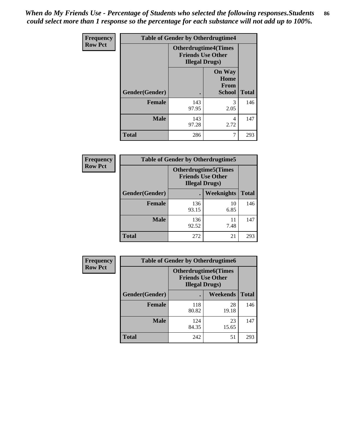*When do My Friends Use - Percentage of Students who selected the following responses.Students could select more than 1 response so the percentage for each substance will not add up to 100%.* **86**

| <b>Frequency</b> | <b>Table of Gender by Otherdrugtime4</b> |                                                                                   |                                                       |              |
|------------------|------------------------------------------|-----------------------------------------------------------------------------------|-------------------------------------------------------|--------------|
| <b>Row Pct</b>   |                                          | <b>Otherdrugtime4(Times</b><br><b>Friends Use Other</b><br><b>Illegal Drugs</b> ) |                                                       |              |
|                  | Gender(Gender)                           |                                                                                   | <b>On Way</b><br>Home<br><b>From</b><br><b>School</b> | <b>Total</b> |
|                  | Female                                   | 143<br>97.95                                                                      | 3<br>2.05                                             | 146          |
|                  | <b>Male</b>                              | 143<br>97.28                                                                      | 4<br>2.72                                             | 147          |
|                  | <b>Total</b>                             | 286                                                                               |                                                       | 293          |

| Frequency      | <b>Table of Gender by Otherdrugtime5</b> |                                                                                    |            |              |
|----------------|------------------------------------------|------------------------------------------------------------------------------------|------------|--------------|
| <b>Row Pct</b> |                                          | <b>Otherdrugtime5</b> (Times<br><b>Friends Use Other</b><br><b>Illegal Drugs</b> ) |            |              |
|                | Gender(Gender)                           |                                                                                    | Weeknights | <b>Total</b> |
|                | Female                                   | 136<br>93.15                                                                       | 10<br>6.85 | 146          |
|                | <b>Male</b>                              | 136<br>92.52                                                                       | 11<br>7.48 | 147          |
|                | <b>Total</b>                             | 272                                                                                | 21         | 293          |

| <b>Frequency</b> | <b>Table of Gender by Otherdrugtime6</b> |                                                                                   |             |              |
|------------------|------------------------------------------|-----------------------------------------------------------------------------------|-------------|--------------|
| <b>Row Pct</b>   |                                          | <b>Otherdrugtime6(Times</b><br><b>Friends Use Other</b><br><b>Illegal Drugs</b> ) |             |              |
|                  | Gender(Gender)                           |                                                                                   | Weekends    | <b>Total</b> |
|                  | Female                                   | 118<br>80.82                                                                      | 28<br>19.18 | 146          |
|                  | <b>Male</b>                              | 124<br>84.35                                                                      | 23<br>15.65 | 147          |
|                  | <b>Total</b>                             | 242                                                                               | 51          | 293          |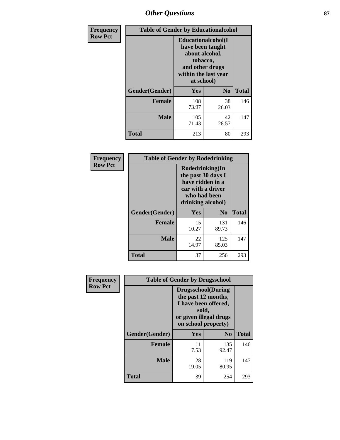# *Other Questions* **87**

| <b>Frequency</b> | <b>Table of Gender by Educationalcohol</b> |                                                                                                                                       |                |              |  |
|------------------|--------------------------------------------|---------------------------------------------------------------------------------------------------------------------------------------|----------------|--------------|--|
| <b>Row Pct</b>   |                                            | <b>Educationalcohol</b> (I<br>have been taught<br>about alcohol,<br>tobacco,<br>and other drugs<br>within the last year<br>at school) |                |              |  |
|                  | Gender(Gender)                             | <b>Yes</b>                                                                                                                            | N <sub>0</sub> | <b>Total</b> |  |
|                  | <b>Female</b>                              | 108<br>73.97                                                                                                                          | 38<br>26.03    | 146          |  |
|                  | <b>Male</b>                                | 105<br>71.43                                                                                                                          | 42<br>28.57    | 147          |  |
|                  | <b>Total</b>                               | 213                                                                                                                                   | 80             | 293          |  |

| Frequency      | <b>Table of Gender by Rodedrinking</b> |                                                                                                                     |                |              |  |
|----------------|----------------------------------------|---------------------------------------------------------------------------------------------------------------------|----------------|--------------|--|
| <b>Row Pct</b> |                                        | Rodedrinking(In<br>the past 30 days I<br>have ridden in a<br>car with a driver<br>who had been<br>drinking alcohol) |                |              |  |
|                | Gender(Gender)                         | Yes                                                                                                                 | N <sub>0</sub> | <b>Total</b> |  |
|                | <b>Female</b>                          | 15<br>10.27                                                                                                         | 131<br>89.73   | 146          |  |
|                | <b>Male</b>                            | 22<br>14.97                                                                                                         | 125<br>85.03   | 147          |  |
|                | <b>Total</b>                           | 37                                                                                                                  | 256            | 293          |  |

| Frequency      | <b>Table of Gender by Drugsschool</b> |                                                                                                                                     |                |              |  |
|----------------|---------------------------------------|-------------------------------------------------------------------------------------------------------------------------------------|----------------|--------------|--|
| <b>Row Pct</b> |                                       | <b>Drugsschool</b> (During<br>the past 12 months,<br>I have been offered,<br>sold,<br>or given illegal drugs<br>on school property) |                |              |  |
|                | Gender(Gender)                        | Yes                                                                                                                                 | N <sub>0</sub> | <b>Total</b> |  |
|                | <b>Female</b>                         | 11<br>7.53                                                                                                                          | 135<br>92.47   | 146          |  |
|                | <b>Male</b>                           | 28<br>19.05                                                                                                                         | 119<br>80.95   | 147          |  |
|                | <b>Total</b>                          | 39                                                                                                                                  | 254            | 293          |  |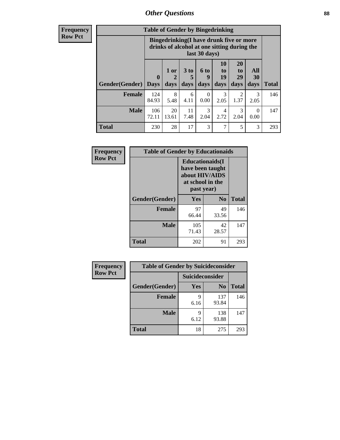# *Other Questions* **88**

**Frequency Row Pct**

| <b>Table of Gender by Bingedrinking</b> |                             |                                                                                                                |                   |                   |                        |                        |                   |              |
|-----------------------------------------|-----------------------------|----------------------------------------------------------------------------------------------------------------|-------------------|-------------------|------------------------|------------------------|-------------------|--------------|
|                                         |                             | <b>Bingedrinking(I have drunk five or more</b><br>drinks of alcohol at one sitting during the<br>last 30 days) |                   |                   |                        |                        |                   |              |
| <b>Gender</b> (Gender)                  | $\mathbf{0}$<br><b>Days</b> | 1 or<br>days                                                                                                   | 3 to<br>5<br>days | 6 to<br>q<br>days | 10<br>to<br>19<br>days | 20<br>to<br>29<br>days | All<br>30<br>days | <b>Total</b> |
| <b>Female</b>                           | 124<br>84.93                | 8<br>5.48                                                                                                      | 6<br>4.11         | 0<br>0.00         | 3<br>2.05              | 2<br>1.37              | 3<br>2.05         | 146          |
| <b>Male</b>                             | 106<br>72.11                | 20<br>13.61                                                                                                    | 11<br>7.48        | 3<br>2.04         | 4<br>2.72              | 3<br>2.04              | 0<br>0.00         | 147          |
| <b>Total</b>                            | 230                         | 28                                                                                                             | 17                | 3                 | $\tau$                 | 5                      | 3                 | 293          |

| Frequency      | <b>Table of Gender by Educationaids</b> |                                                                                                 |             |              |  |
|----------------|-----------------------------------------|-------------------------------------------------------------------------------------------------|-------------|--------------|--|
| <b>Row Pct</b> |                                         | <b>Educationaids</b> (I<br>have been taught<br>about HIV/AIDS<br>at school in the<br>past year) |             |              |  |
|                | Gender(Gender)                          | Yes                                                                                             | $\bf N_0$   | <b>Total</b> |  |
|                | <b>Female</b>                           | 97<br>66.44                                                                                     | 49<br>33.56 | 146          |  |
|                | <b>Male</b>                             | 105<br>71.43                                                                                    | 42<br>28.57 | 147          |  |
|                | <b>Total</b>                            | 202                                                                                             | 91          | 293          |  |

| <b>Frequency</b> | <b>Table of Gender by Suicideconsider</b> |                 |                |              |  |
|------------------|-------------------------------------------|-----------------|----------------|--------------|--|
| <b>Row Pct</b>   |                                           | Suicideconsider |                |              |  |
|                  | Gender(Gender)                            | Yes             | N <sub>0</sub> | <b>Total</b> |  |
|                  | <b>Female</b>                             | q<br>6.16       | 137<br>93.84   | 146          |  |
|                  | <b>Male</b>                               | q<br>6.12       | 138<br>93.88   | 147          |  |
|                  | Total                                     | 18              | 275            | 293          |  |